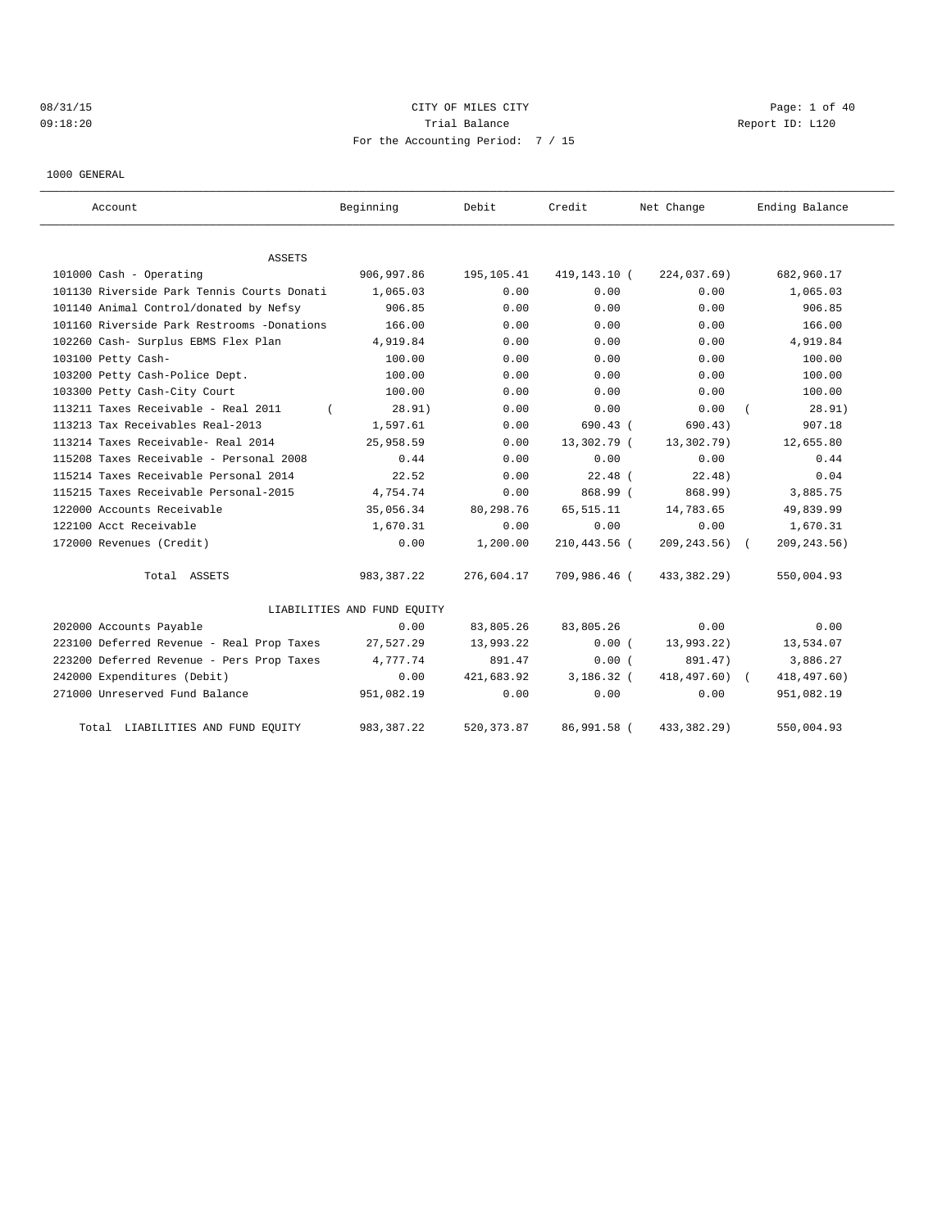# 08/31/15 CITY OF MILES CITY CHARGES CITY CONTROLLER Page: 1 of 40 09:18:20 Report ID: L120 For the Accounting Period: 7 / 15

1000 GENERAL

| Account                                    | Beginning                   | Debit       | Credit       | Net Change       | Ending Balance |
|--------------------------------------------|-----------------------------|-------------|--------------|------------------|----------------|
| <b>ASSETS</b>                              |                             |             |              |                  |                |
| 101000 Cash - Operating                    | 906,997.86                  | 195,105.41  | 419,143.10 ( | 224,037.69)      | 682,960.17     |
| 101130 Riverside Park Tennis Courts Donati | 1,065.03                    | 0.00        | 0.00         | 0.00             | 1,065.03       |
| 101140 Animal Control/donated by Nefsy     | 906.85                      | 0.00        | 0.00         | 0.00             | 906.85         |
| 101160 Riverside Park Restrooms -Donations | 166.00                      | 0.00        | 0.00         | 0.00             | 166.00         |
| 102260 Cash- Surplus EBMS Flex Plan        | 4,919.84                    | 0.00        | 0.00         | 0.00             | 4,919.84       |
| 103100 Petty Cash-                         | 100.00                      | 0.00        | 0.00         | 0.00             | 100.00         |
| 103200 Petty Cash-Police Dept.             | 100.00                      | 0.00        | 0.00         | 0.00             | 100.00         |
| 103300 Petty Cash-City Court               | 100.00                      | 0.00        | 0.00         | 0.00             | 100.00         |
| 113211 Taxes Receivable - Real 2011        | 28.91)                      | 0.00        | 0.00         | 0.00             | 28.91)         |
| 113213 Tax Receivables Real-2013           | 1,597.61                    | 0.00        | $690.43$ (   | 690.43)          | 907.18         |
| 113214 Taxes Receivable- Real 2014         | 25,958.59                   | 0.00        | 13,302.79 (  | 13,302.79)       | 12,655.80      |
| 115208 Taxes Receivable - Personal 2008    | 0.44                        | 0.00        | 0.00         | 0.00             | 0.44           |
| 115214 Taxes Receivable Personal 2014      | 22.52                       | 0.00        | $22.48$ (    | 22.48)           | 0.04           |
| 115215 Taxes Receivable Personal-2015      | 4,754.74                    | 0.00        | 868.99 (     | 868.99)          | 3,885.75       |
| 122000 Accounts Receivable                 | 35,056.34                   | 80,298.76   | 65, 515.11   | 14,783.65        | 49,839.99      |
| 122100 Acct Receivable                     | 1,670.31                    | 0.00        | 0.00         | 0.00             | 1,670.31       |
| 172000 Revenues (Credit)                   | 0.00                        | 1,200.00    | 210,443.56 ( | $209, 243, 56$ ( | 209, 243.56)   |
| Total ASSETS                               | 983, 387.22                 | 276,604.17  | 709,986.46 ( | 433,382.29)      | 550,004.93     |
|                                            | LIABILITIES AND FUND EQUITY |             |              |                  |                |
| 202000 Accounts Payable                    | 0.00                        | 83,805.26   | 83,805.26    | 0.00             | 0.00           |
| 223100 Deferred Revenue - Real Prop Taxes  | 27,527.29                   | 13,993.22   | 0.00(        | 13,993.22)       | 13,534.07      |
| 223200 Deferred Revenue - Pers Prop Taxes  | 4,777.74                    | 891.47      | 0.00(        | 891.47)          | 3,886.27       |
| 242000 Expenditures (Debit)                | 0.00                        | 421,683.92  | $3.186.32$ ( | 418,497.60) (    | 418, 497.60)   |
| 271000 Unreserved Fund Balance             | 951,082.19                  | 0.00        | 0.00         | 0.00             | 951,082.19     |
| Total LIABILITIES AND FUND EQUITY          | 983, 387.22                 | 520, 373.87 | 86,991.58 (  | 433, 382. 29)    | 550,004.93     |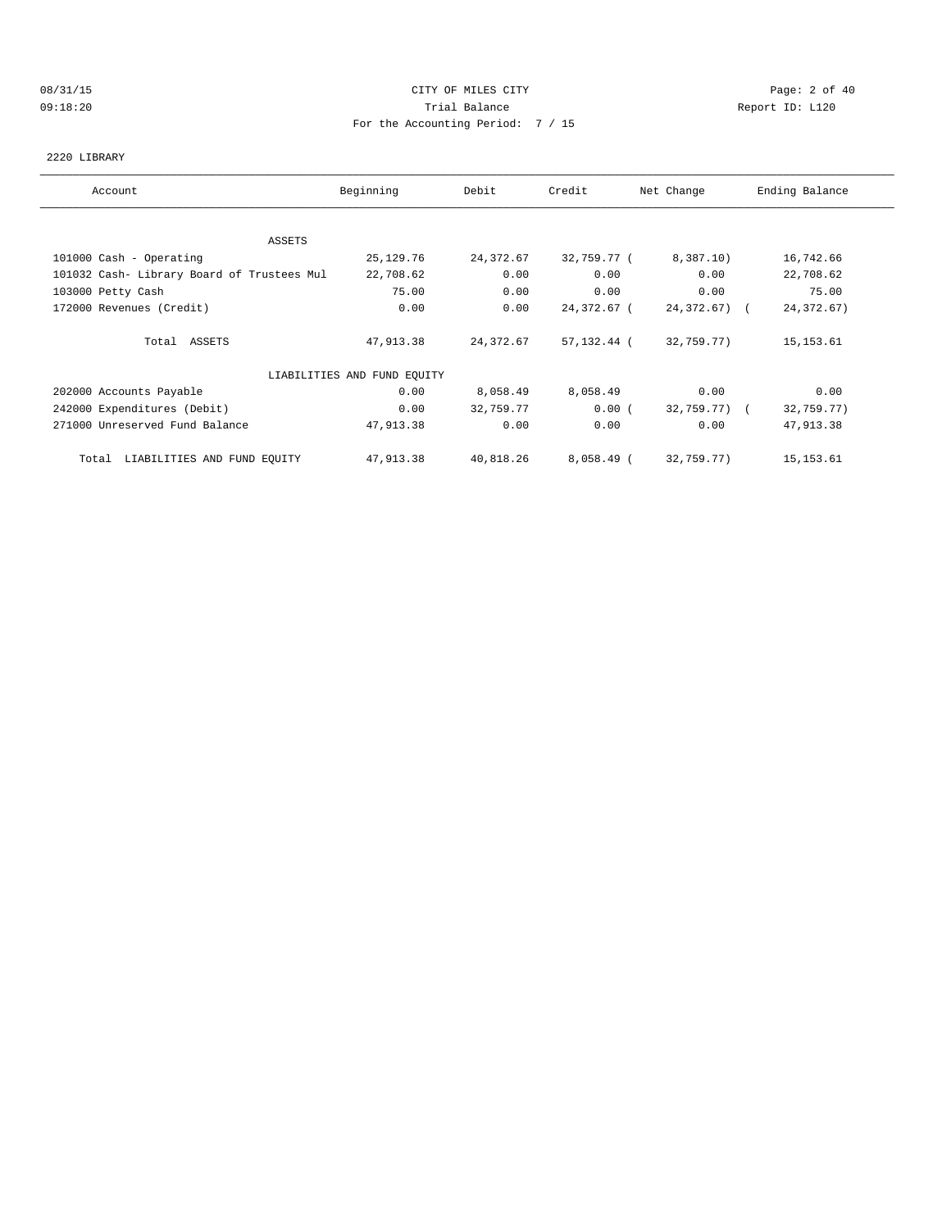### 08/31/15 Page: 2 of 40 09:18:20 Trial Balance Report ID: L120 For the Accounting Period: 7 / 15

### 2220 LIBRARY

| Account                                    | Beginning                   | Debit     | Credit      | Net Change   | Ending Balance |
|--------------------------------------------|-----------------------------|-----------|-------------|--------------|----------------|
|                                            |                             |           |             |              |                |
| ASSETS                                     |                             |           |             |              |                |
| 101000 Cash - Operating                    | 25, 129. 76                 | 24,372.67 | 32,759.77 ( | 8,387.10)    | 16,742.66      |
| 101032 Cash- Library Board of Trustees Mul | 22,708.62                   | 0.00      | 0.00        | 0.00         | 22,708.62      |
| 103000 Petty Cash                          | 75.00                       | 0.00      | 0.00        | 0.00         | 75.00          |
| 172000 Revenues (Credit)                   | 0.00                        | 0.00      | 24,372.67 ( | 24,372.67) ( | 24, 372.67)    |
| Total ASSETS                               | 47,913.38                   | 24,372.67 | 57,132.44 ( | 32,759.77)   | 15, 153.61     |
|                                            | LIABILITIES AND FUND EQUITY |           |             |              |                |
| 202000 Accounts Payable                    | 0.00                        | 8,058.49  | 8,058.49    | 0.00         | 0.00           |
| 242000 Expenditures (Debit)                | 0.00                        | 32,759.77 | 0.00(       | 32,759.77) ( | 32,759.77)     |
| 271000 Unreserved Fund Balance             | 47,913.38                   | 0.00      | 0.00        | 0.00         | 47,913.38      |
| LIABILITIES AND FUND EQUITY<br>Total       | 47,913.38                   | 40,818.26 | 8,058.49 (  | 32,759.77)   | 15,153.61      |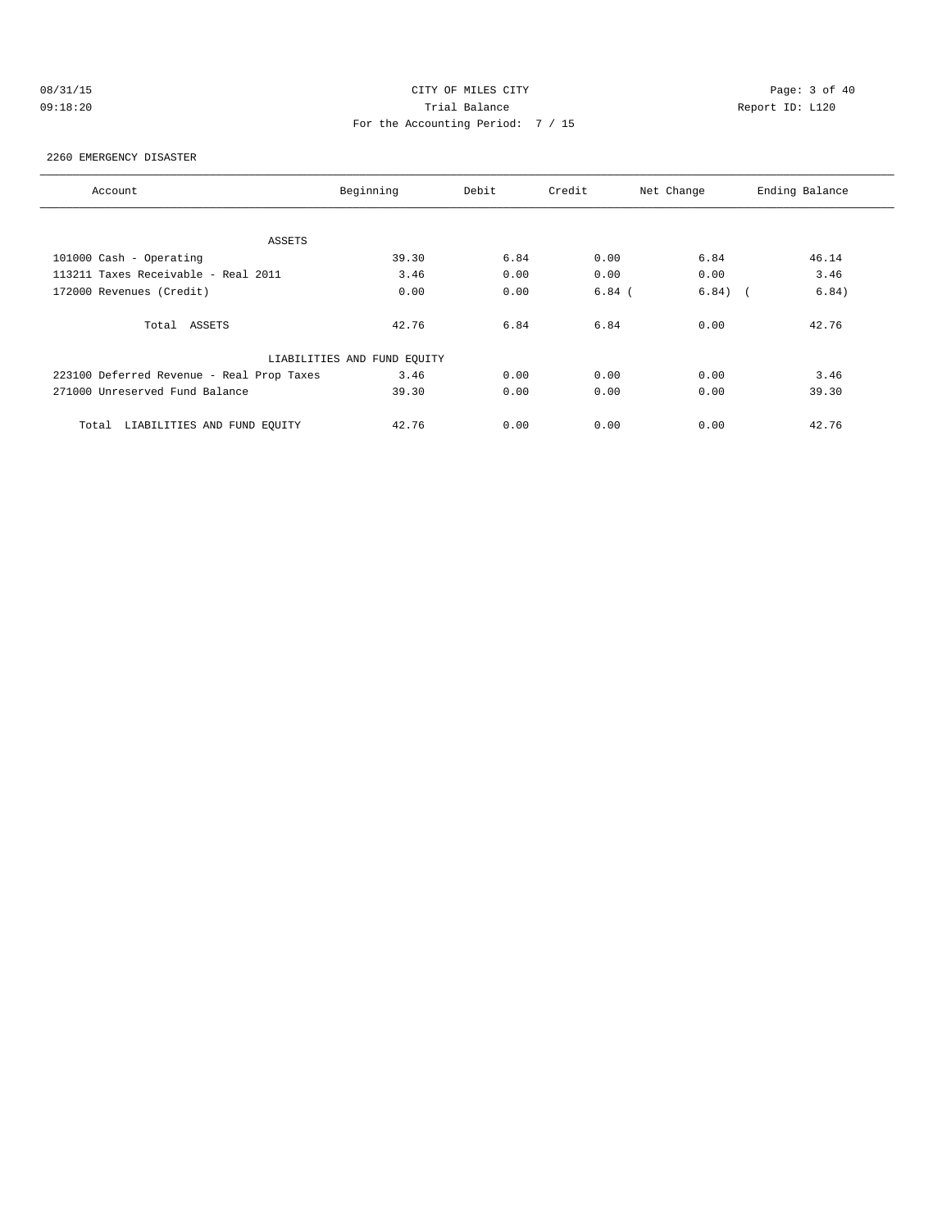# 08/31/15 Page: 3 of 40 09:18:20 Trial Balance Report ID: L120 For the Accounting Period: 7 / 15

### 2260 EMERGENCY DISASTER

| Account                                   | Beginning                   | Debit | Credit   | Net Change          | Ending Balance |
|-------------------------------------------|-----------------------------|-------|----------|---------------------|----------------|
|                                           |                             |       |          |                     |                |
| ASSETS                                    |                             |       |          |                     |                |
| 101000 Cash - Operating                   | 39.30                       | 6.84  | 0.00     | 6.84                | 46.14          |
| 113211 Taxes Receivable - Real 2011       | 3.46                        | 0.00  | 0.00     | 0.00                | 3.46           |
| 172000 Revenues (Credit)                  | 0.00                        | 0.00  | $6.84$ ( | 6.84)<br>$\sqrt{2}$ | 6.84)          |
| Total ASSETS                              | 42.76                       | 6.84  | 6.84     | 0.00                | 42.76          |
|                                           | LIABILITIES AND FUND EQUITY |       |          |                     |                |
| 223100 Deferred Revenue - Real Prop Taxes | 3.46                        | 0.00  | 0.00     | 0.00                | 3.46           |
| 271000 Unreserved Fund Balance            | 39.30                       | 0.00  | 0.00     | 0.00                | 39.30          |
| LIABILITIES AND FUND EOUITY<br>Total      | 42.76                       | 0.00  | 0.00     | 0.00                | 42.76          |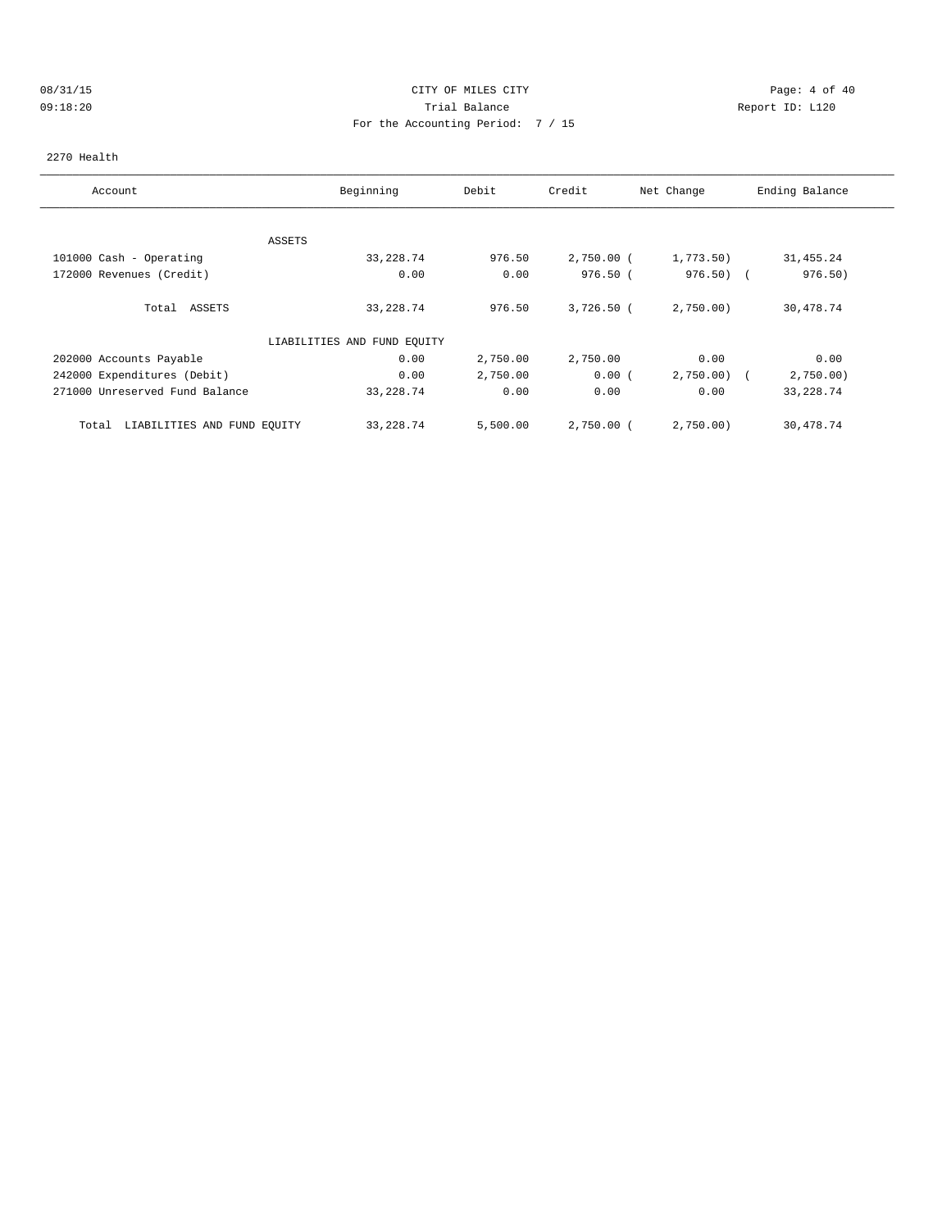# 08/31/15 CITY OF MILES CITY Page: 4 of 40 09:18:20 Trial Balance Report ID: L120 For the Accounting Period: 7 / 15

### 2270 Health

| Account                              | Beginning                   | Debit    | Credit       | Net Change | Ending Balance |
|--------------------------------------|-----------------------------|----------|--------------|------------|----------------|
|                                      |                             |          |              |            |                |
|                                      | ASSETS                      |          |              |            |                |
| 101000 Cash - Operating              | 33, 228.74                  | 976.50   | $2,750.00$ ( | 1,773.50)  | 31, 455.24     |
| 172000 Revenues (Credit)             | 0.00                        | 0.00     | 976.50(      | $976.50$ ( | 976.50)        |
| Total ASSETS                         | 33, 228.74                  | 976.50   | $3,726.50$ ( | 2,750.00   | 30,478.74      |
|                                      | LIABILITIES AND FUND EQUITY |          |              |            |                |
| 202000 Accounts Payable              | 0.00                        | 2,750.00 | 2,750.00     | 0.00       | 0.00           |
| 242000 Expenditures (Debit)          | 0.00                        | 2,750.00 | 0.00(        | 2,750.00)  | 2,750.00       |
| 271000 Unreserved Fund Balance       | 33, 228.74                  | 0.00     | 0.00         | 0.00       | 33, 228.74     |
| LIABILITIES AND FUND EQUITY<br>Total | 33, 228.74                  | 5,500.00 | 2,750.00 (   | 2,750.00   | 30,478.74      |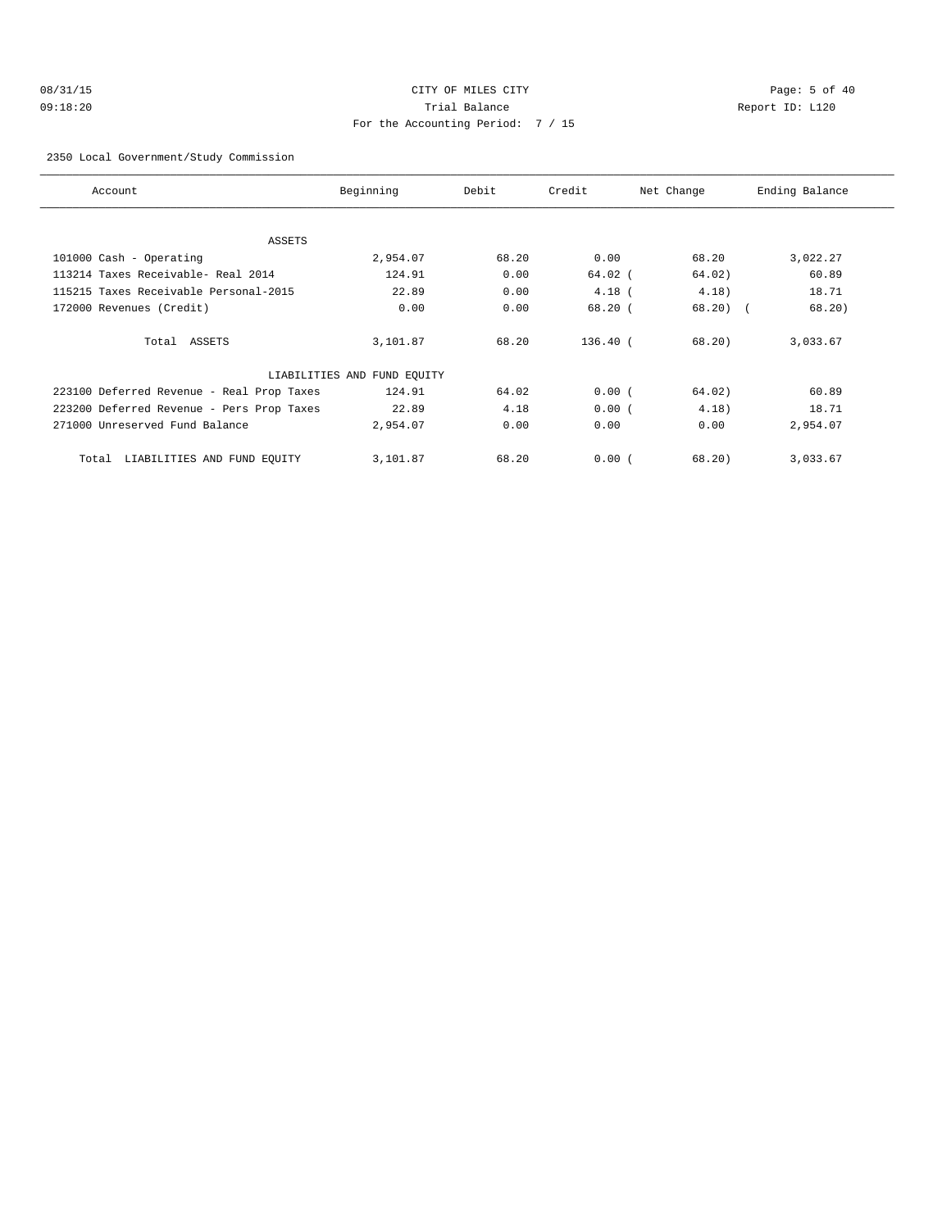# 08/31/15 Page: 5 of 40 09:18:20 Trial Balance Report ID: L120 For the Accounting Period: 7 / 15

### 2350 Local Government/Study Commission

| Account                                   | Beginning                   | Debit | Credit    | Net Change | Ending Balance |
|-------------------------------------------|-----------------------------|-------|-----------|------------|----------------|
| ASSETS                                    |                             |       |           |            |                |
| 101000 Cash - Operating                   | 2,954.07                    | 68.20 | 0.00      | 68.20      | 3,022.27       |
| 113214 Taxes Receivable- Real 2014        | 124.91                      | 0.00  | $64.02$ ( | 64.02)     | 60.89          |
| 115215 Taxes Receivable Personal-2015     | 22.89                       | 0.00  | $4.18$ (  | 4.18)      | 18.71          |
| 172000 Revenues (Credit)                  | 0.00                        | 0.00  | 68.20(    | $68.20$ (  | 68.20)         |
| Total ASSETS                              | 3,101.87                    | 68.20 | 136.40 (  | 68.20      | 3,033.67       |
|                                           | LIABILITIES AND FUND EQUITY |       |           |            |                |
| 223100 Deferred Revenue - Real Prop Taxes | 124.91                      | 64.02 | 0.00(     | 64.02)     | 60.89          |
| 223200 Deferred Revenue - Pers Prop Taxes | 22.89                       | 4.18  | 0.00(     | 4.18)      | 18.71          |
| 271000 Unreserved Fund Balance            | 2,954.07                    | 0.00  | 0.00      | 0.00       | 2,954.07       |
| LIABILITIES AND FUND EQUITY<br>Total      | 3,101.87                    | 68.20 | 0.00(     | 68.20)     | 3,033.67       |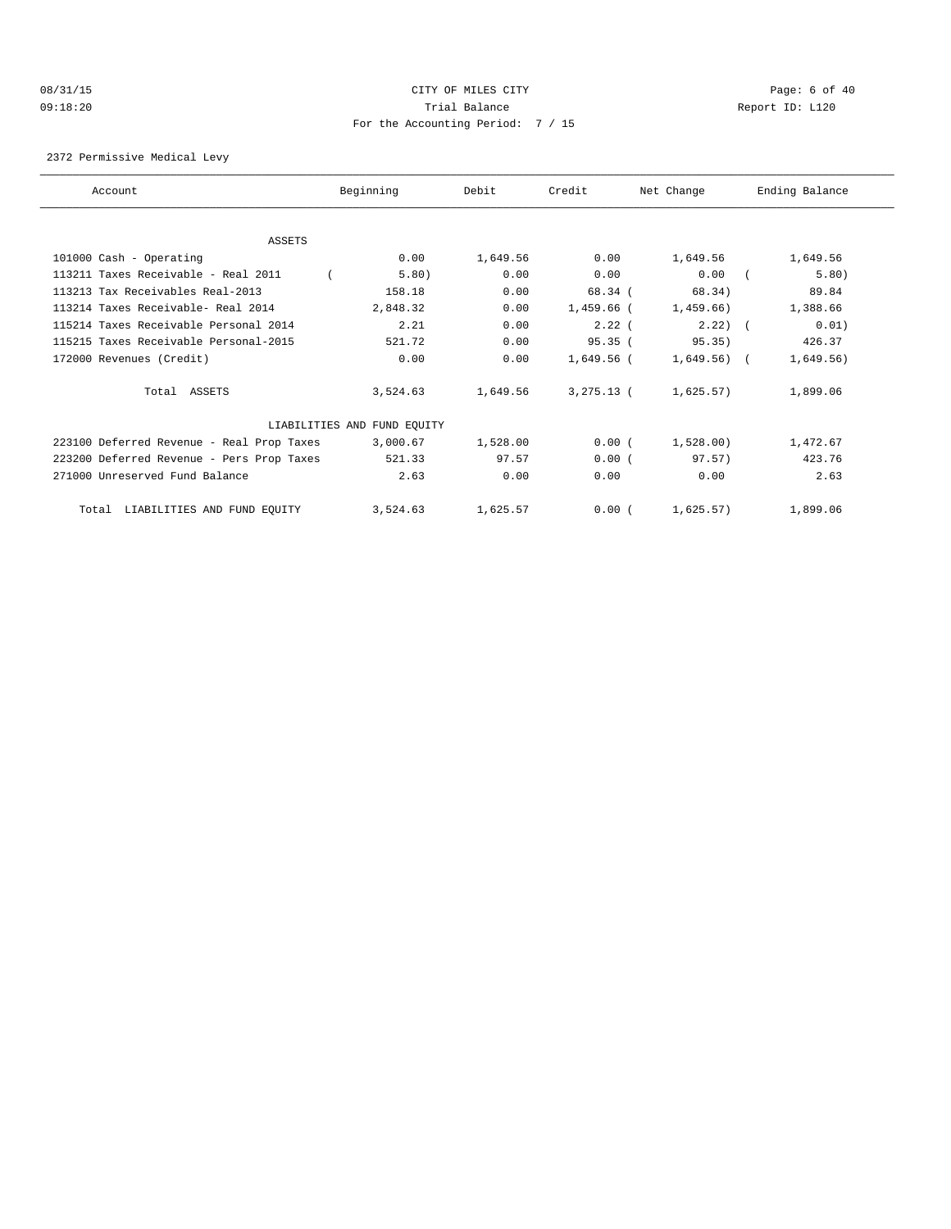# 08/31/15 CITY OF MILES CITY Page: 6 of 40 09:18:20 Trial Balance Report ID: L120 For the Accounting Period: 7 / 15

### 2372 Permissive Medical Levy

| Account                                   | Beginning                   | Debit    | Credit       | Net Change     | Ending Balance |
|-------------------------------------------|-----------------------------|----------|--------------|----------------|----------------|
|                                           |                             |          |              |                |                |
| ASSETS                                    |                             |          |              |                |                |
| 101000 Cash - Operating                   | 0.00                        | 1,649.56 | 0.00         | 1,649.56       | 1,649.56       |
| 113211 Taxes Receivable - Real 2011       | 5.80)                       | 0.00     | 0.00         | 0.00           | 5.80)          |
| 113213 Tax Receivables Real-2013          | 158.18                      | 0.00     | 68.34 (      | 68.34)         | 89.84          |
| 113214 Taxes Receivable- Real 2014        | 2,848.32                    | 0.00     | 1,459.66 (   | 1,459.66)      | 1,388.66       |
| 115214 Taxes Receivable Personal 2014     | 2.21                        | 0.00     | $2.22$ (     | $2.22$ ) (     | 0.01)          |
| 115215 Taxes Receivable Personal-2015     | 521.72                      | 0.00     | 95.35(       | 95.35)         | 426.37         |
| 172000 Revenues (Credit)                  | 0.00                        | 0.00     | $1.649.56$ ( | $1,649.56$ ) ( | 1,649.56)      |
| Total ASSETS                              | 3,524.63                    | 1,649.56 | $3,275.13$ ( | 1,625.57)      | 1,899.06       |
|                                           | LIABILITIES AND FUND EQUITY |          |              |                |                |
| 223100 Deferred Revenue - Real Prop Taxes | 3,000.67                    | 1,528.00 | 0.00(        | 1,528.00)      | 1,472.67       |
| 223200 Deferred Revenue - Pers Prop Taxes | 521.33                      | 97.57    | 0.00(        | 97.57)         | 423.76         |
| 271000 Unreserved Fund Balance            | 2.63                        | 0.00     | 0.00         | 0.00           | 2.63           |
| LIABILITIES AND FUND EQUITY<br>Total      | 3,524.63                    | 1,625.57 | 0.00(        | 1,625.57)      | 1,899.06       |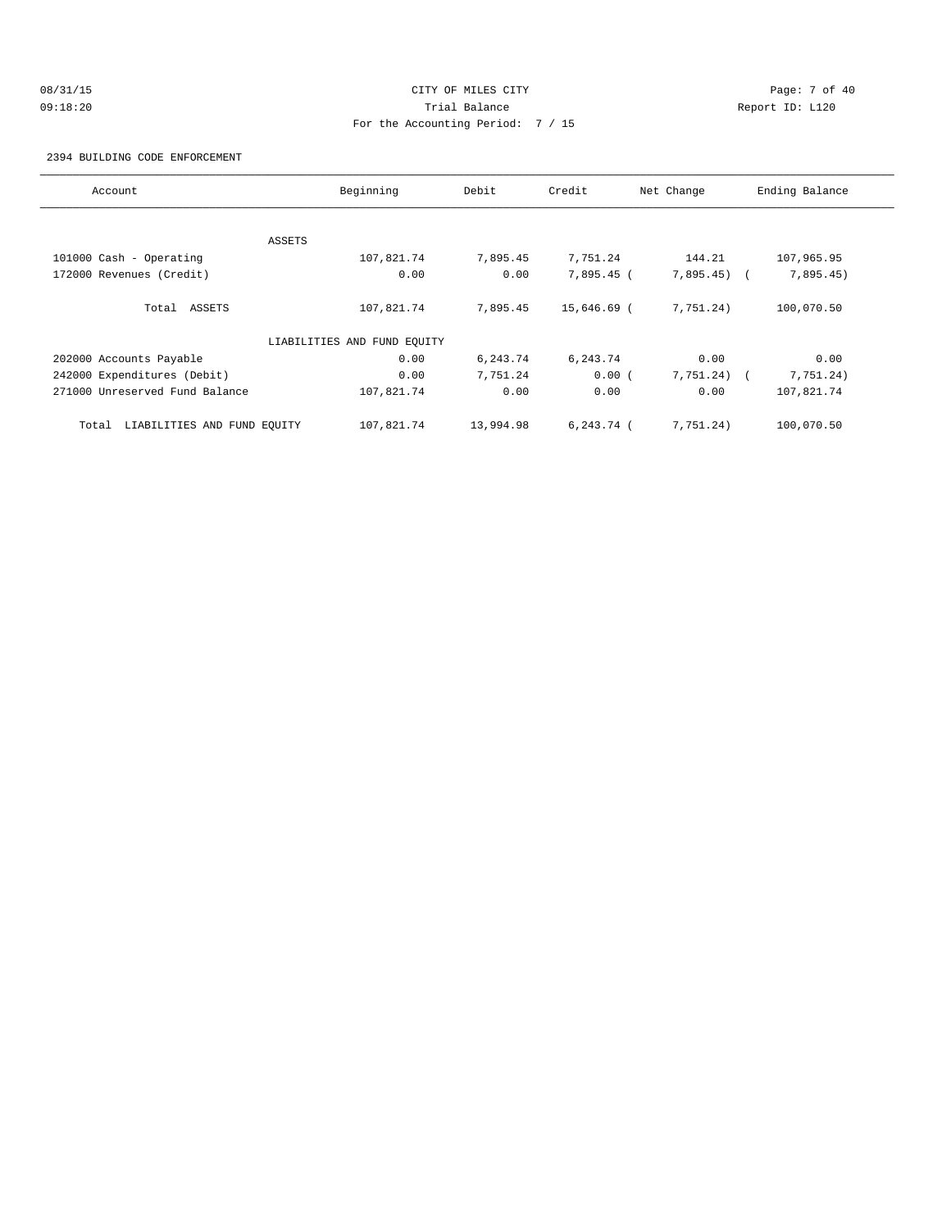# 08/31/15 Page: 7 of 40 09:18:20 Trial Balance Report ID: L120 For the Accounting Period: 7 / 15

2394 BUILDING CODE ENFORCEMENT

| Account                              | Beginning                   | Debit     | Credit       | Net Change     | Ending Balance |
|--------------------------------------|-----------------------------|-----------|--------------|----------------|----------------|
|                                      |                             |           |              |                |                |
|                                      | ASSETS                      |           |              |                |                |
| 101000 Cash - Operating              | 107,821.74                  | 7,895.45  | 7,751.24     | 144.21         | 107,965.95     |
| 172000 Revenues (Credit)             | 0.00                        | 0.00      | 7,895.45 (   | $7,895.45$ (   | 7,895.45)      |
| Total ASSETS                         | 107,821.74                  | 7,895.45  | 15,646.69 (  | 7,751.24)      | 100,070.50     |
|                                      | LIABILITIES AND FUND EOUITY |           |              |                |                |
| 202000 Accounts Payable              | 0.00                        | 6,243.74  | 6,243.74     | 0.00           | 0.00           |
| 242000 Expenditures (Debit)          | 0.00                        | 7,751.24  | 0.00(        | $7,751,24$ ) ( | 7,751.24)      |
| 271000 Unreserved Fund Balance       | 107,821.74                  | 0.00      | 0.00         | 0.00           | 107,821.74     |
| LIABILITIES AND FUND EQUITY<br>Total | 107,821.74                  | 13,994.98 | $6.243.74$ ( | 7,751.24)      | 100,070.50     |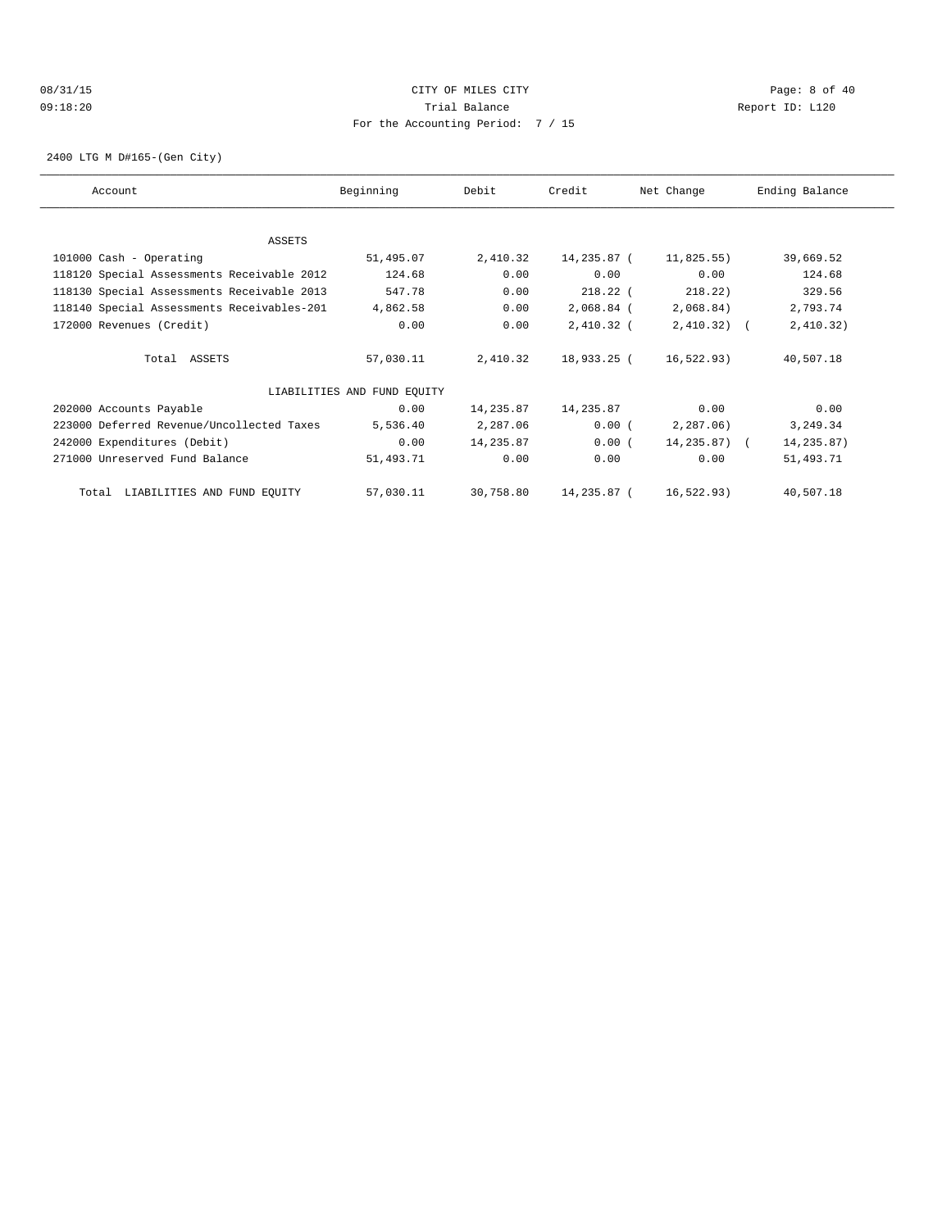### 08/31/15 Page: 8 of 40 09:18:20 Trial Balance Report ID: L120 For the Accounting Period: 7 / 15

2400 LTG M D#165-(Gen City)

| Account                                    | Beginning                   | Debit     | Credit      | Net Change   | Ending Balance |
|--------------------------------------------|-----------------------------|-----------|-------------|--------------|----------------|
|                                            |                             |           |             |              |                |
| ASSETS<br>101000 Cash - Operating          | 51,495.07                   | 2,410.32  | 14,235.87 ( | 11,825.55)   | 39,669.52      |
| 118120 Special Assessments Receivable 2012 | 124.68                      | 0.00      | 0.00        | 0.00         | 124.68         |
| 118130 Special Assessments Receivable 2013 | 547.78                      | 0.00      | $218.22$ (  | 218.22)      | 329.56         |
| 118140 Special Assessments Receivables-201 | 4,862.58                    | 0.00      | 2,068.84 (  | 2,068.84)    | 2,793.74       |
| 172000 Revenues (Credit)                   | 0.00                        | 0.00      | 2,410.32 (  | $2,410.32$ ( | 2,410.32)      |
| Total ASSETS                               | 57,030.11                   | 2,410.32  | 18,933.25 ( | 16,522.93)   | 40,507.18      |
|                                            | LIABILITIES AND FUND EQUITY |           |             |              |                |
| 202000 Accounts Payable                    | 0.00                        | 14,235.87 | 14,235.87   | 0.00         | 0.00           |
| 223000 Deferred Revenue/Uncollected Taxes  | 5,536.40                    | 2,287.06  | 0.00(       | 2,287.06)    | 3,249.34       |
| 242000 Expenditures (Debit)                | 0.00                        | 14,235.87 | 0.00(       | 14,235.87) ( | 14,235.87)     |
| 271000 Unreserved Fund Balance             | 51,493.71                   | 0.00      | 0.00        | 0.00         | 51,493.71      |
| Total LIABILITIES AND FUND EQUITY          | 57,030.11                   | 30,758.80 | 14,235.87 ( | 16,522.93)   | 40,507.18      |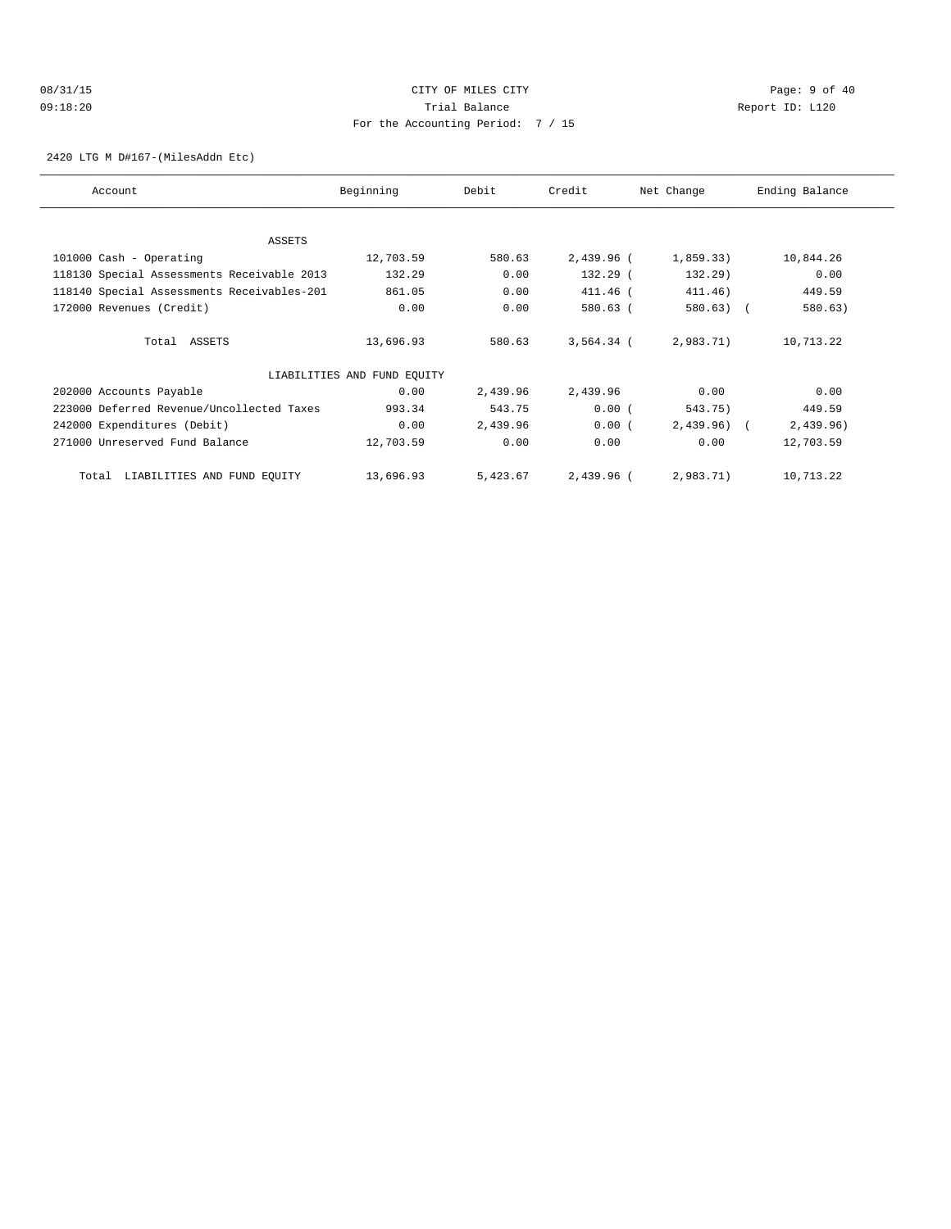# 08/31/15 Page: 9 of 40 09:18:20 Trial Balance Report ID: L120 For the Accounting Period: 7 / 15

2420 LTG M D#167-(MilesAddn Etc)

| Account                                    | Beginning                   | Debit    | Credit       | Net Change   | Ending Balance |
|--------------------------------------------|-----------------------------|----------|--------------|--------------|----------------|
|                                            |                             |          |              |              |                |
| ASSETS                                     |                             |          |              |              |                |
|                                            |                             |          |              |              |                |
| 101000 Cash - Operating                    | 12,703.59                   | 580.63   | 2,439.96 (   | 1,859.33)    | 10,844.26      |
| 118130 Special Assessments Receivable 2013 | 132.29                      | 0.00     | 132.29 (     | 132.29)      | 0.00           |
| 118140 Special Assessments Receivables-201 | 861.05                      | 0.00     | 411.46 (     | 411.46)      | 449.59         |
| 172000 Revenues (Credit)                   | 0.00                        | 0.00     | 580.63 (     | 580.63)      | 580.63)        |
|                                            |                             |          |              |              |                |
| Total ASSETS                               | 13,696.93                   | 580.63   | $3,564.34$ ( | 2,983.71)    | 10,713.22      |
|                                            | LIABILITIES AND FUND EQUITY |          |              |              |                |
| 202000 Accounts Payable                    | 0.00                        | 2,439.96 | 2,439.96     | 0.00         | 0.00           |
|                                            |                             |          |              |              |                |
| 223000 Deferred Revenue/Uncollected Taxes  | 993.34                      | 543.75   | 0.00(        | 543.75)      | 449.59         |
| 242000 Expenditures (Debit)                | 0.00                        | 2,439.96 | 0.00(        | $2,439.96$ ( | 2,439.96)      |
| 271000 Unreserved Fund Balance             | 12,703.59                   | 0.00     | 0.00         | 0.00         | 12,703.59      |
| LIABILITIES AND FUND EQUITY<br>Total       | 13,696.93                   | 5,423.67 | 2,439.96 (   | 2,983.71)    | 10,713.22      |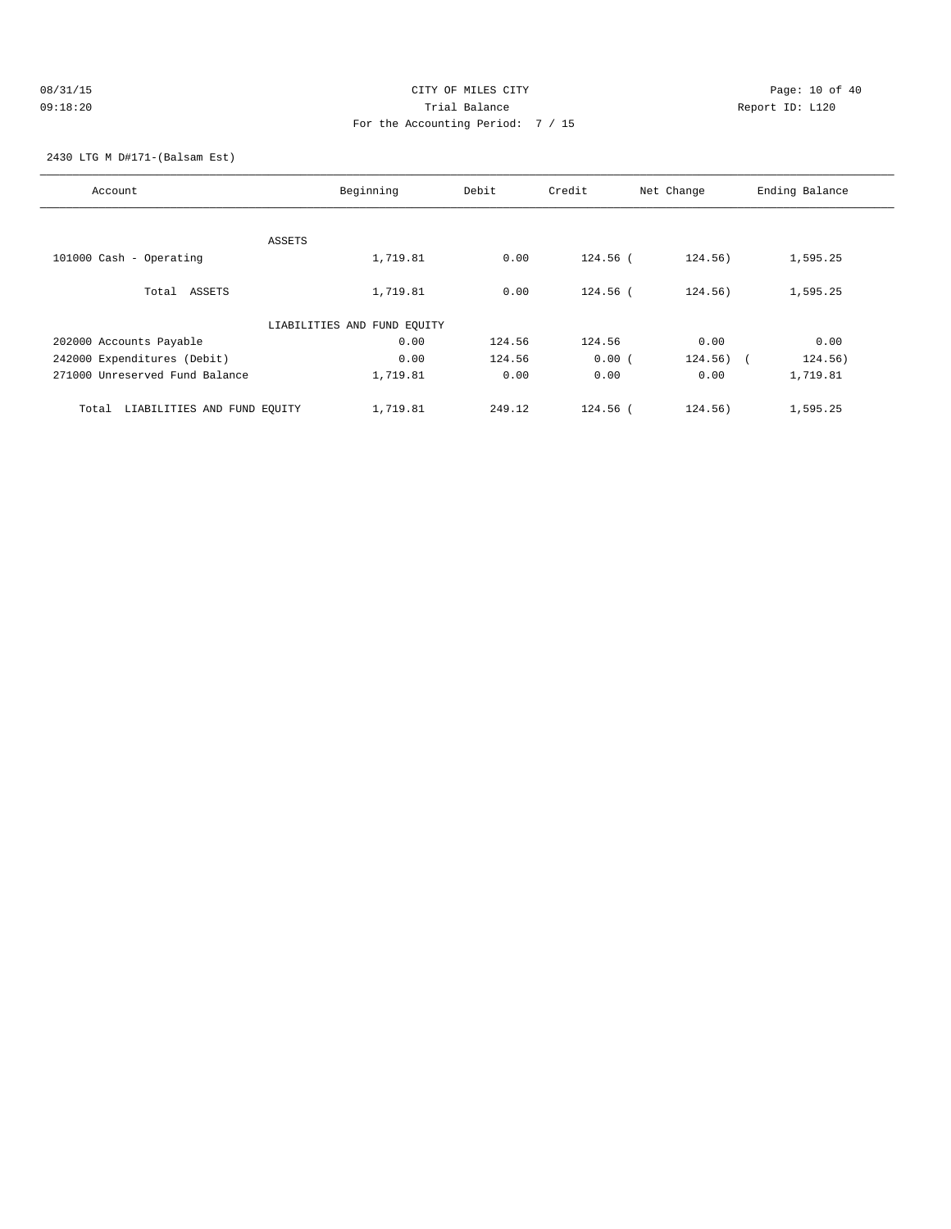# 08/31/15 CITY OF MILES CITY CHANNEL CONTROL Page: 10 of 40 09:18:20 Trial Balance Report ID: L120 For the Accounting Period: 7 / 15

2430 LTG M D#171-(Balsam Est)

| Account                              | Beginning                   | Debit  | Credit     | Net Change            | Ending Balance |
|--------------------------------------|-----------------------------|--------|------------|-----------------------|----------------|
|                                      |                             |        |            |                       |                |
|                                      | ASSETS                      |        |            |                       |                |
| 101000 Cash - Operating              | 1,719.81                    | 0.00   | $124.56$ ( | 124.56)               | 1,595.25       |
| Total ASSETS                         | 1,719.81                    | 0.00   | $124.56$ ( | 124.56)               | 1,595.25       |
|                                      | LIABILITIES AND FUND EQUITY |        |            |                       |                |
| 202000 Accounts Payable              | 0.00                        | 124.56 | 124.56     | 0.00                  | 0.00           |
| 242000 Expenditures (Debit)          | 0.00                        | 124.56 | 0.00(      | 124.56)<br>$\sqrt{2}$ | 124.56)        |
| 271000 Unreserved Fund Balance       | 1,719.81                    | 0.00   | 0.00       | 0.00                  | 1,719.81       |
| LIABILITIES AND FUND EQUITY<br>Total | 1,719.81                    | 249.12 | $124.56$ ( | 124.56)               | 1,595.25       |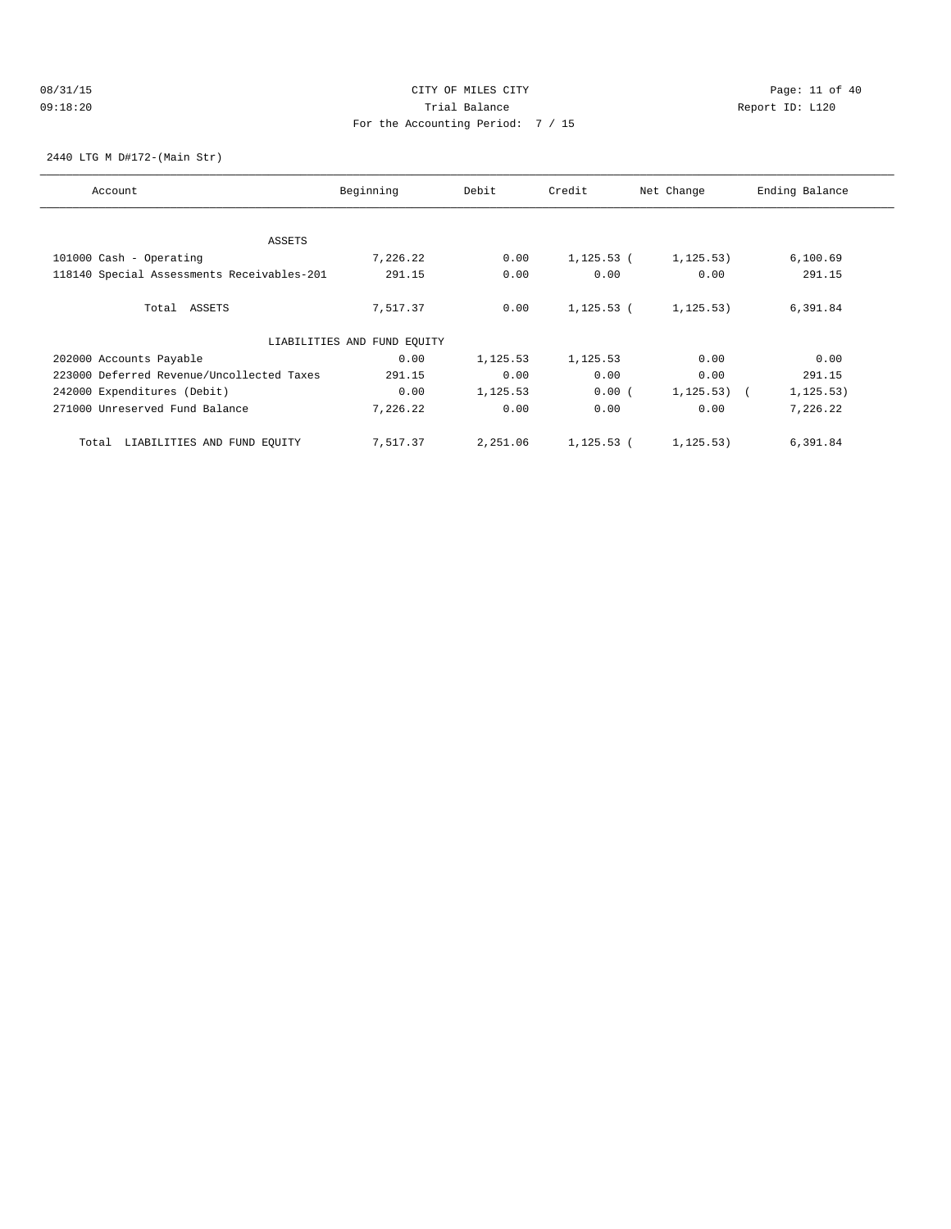### 08/31/15 Page: 11 of 40 09:18:20 Trial Balance Report ID: L120 For the Accounting Period: 7 / 15

2440 LTG M D#172-(Main Str)

| Account                                    | Beginning                   | Debit    | Credit       | Net Change | Ending Balance |
|--------------------------------------------|-----------------------------|----------|--------------|------------|----------------|
|                                            |                             |          |              |            |                |
| ASSETS                                     |                             |          |              |            |                |
| 101000 Cash - Operating                    | 7,226.22                    | 0.00     | $1,125.53$ ( | 1, 125.53) | 6,100.69       |
| 118140 Special Assessments Receivables-201 | 291.15                      | 0.00     | 0.00         | 0.00       | 291.15         |
| Total ASSETS                               | 7,517.37                    | 0.00     | $1,125.53$ ( | 1, 125.53) | 6,391.84       |
|                                            | LIABILITIES AND FUND EQUITY |          |              |            |                |
| 202000 Accounts Payable                    | 0.00                        | 1,125.53 | 1,125.53     | 0.00       | 0.00           |
| 223000 Deferred Revenue/Uncollected Taxes  | 291.15                      | 0.00     | 0.00         | 0.00       | 291.15         |
| 242000 Expenditures (Debit)                | 0.00                        | 1,125.53 | 0.00(        | 1, 125.53) | 1, 125.53)     |
| 271000 Unreserved Fund Balance             | 7,226.22                    | 0.00     | 0.00         | 0.00       | 7,226.22       |
| LIABILITIES AND FUND EQUITY<br>Total       | 7,517.37                    | 2,251.06 | $1,125.53$ ( | 1, 125.53) | 6,391.84       |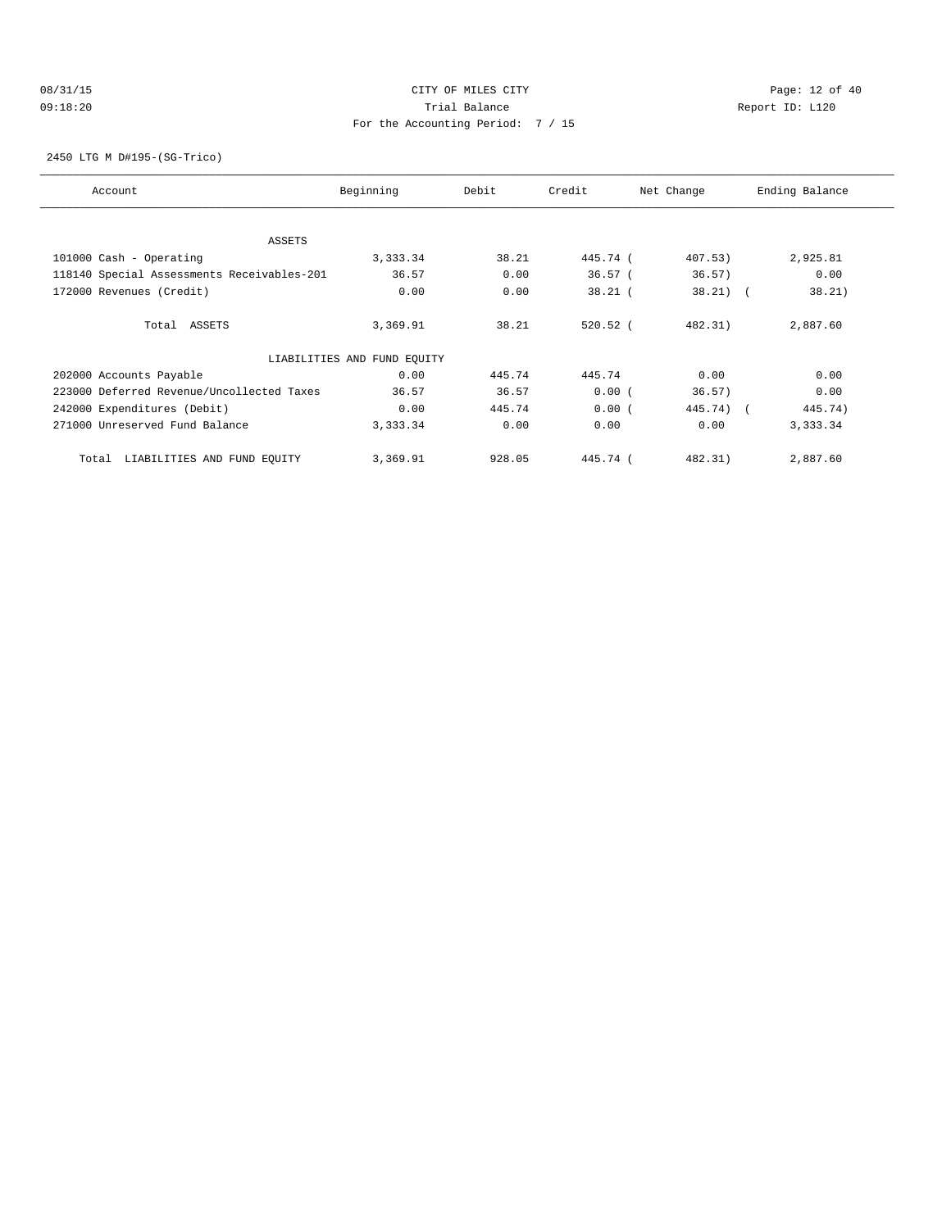### 08/31/15 Page: 12 of 40 09:18:20 Trial Balance Report ID: L120 For the Accounting Period: 7 / 15

2450 LTG M D#195-(SG-Trico)

| Account                                    | Beginning                   | Debit  | Credit     | Net Change | Ending Balance |
|--------------------------------------------|-----------------------------|--------|------------|------------|----------------|
| ASSETS                                     |                             |        |            |            |                |
| 101000 Cash - Operating                    | 3,333.34                    | 38.21  | 445.74 (   | 407.53)    | 2,925.81       |
| 118140 Special Assessments Receivables-201 | 36.57                       | 0.00   | 36.57(     | 36.57)     | 0.00           |
| 172000 Revenues (Credit)                   | 0.00                        | 0.00   | $38.21$ (  | $38.21)$ ( | 38.21)         |
| Total ASSETS                               | 3,369.91                    | 38.21  | $520.52$ ( | 482.31)    | 2,887.60       |
|                                            | LIABILITIES AND FUND EQUITY |        |            |            |                |
| 202000 Accounts Payable                    | 0.00                        | 445.74 | 445.74     | 0.00       | 0.00           |
| 223000 Deferred Revenue/Uncollected Taxes  | 36.57                       | 36.57  | 0.00(      | 36.57)     | 0.00           |
| 242000 Expenditures (Debit)                | 0.00                        | 445.74 | 0.00(      | 445.74) (  | 445.74)        |
| 271000 Unreserved Fund Balance             | 3,333.34                    | 0.00   | 0.00       | 0.00       | 3,333.34       |
| LIABILITIES AND FUND EQUITY<br>Total       | 3,369.91                    | 928.05 | 445.74 (   | 482.31)    | 2,887.60       |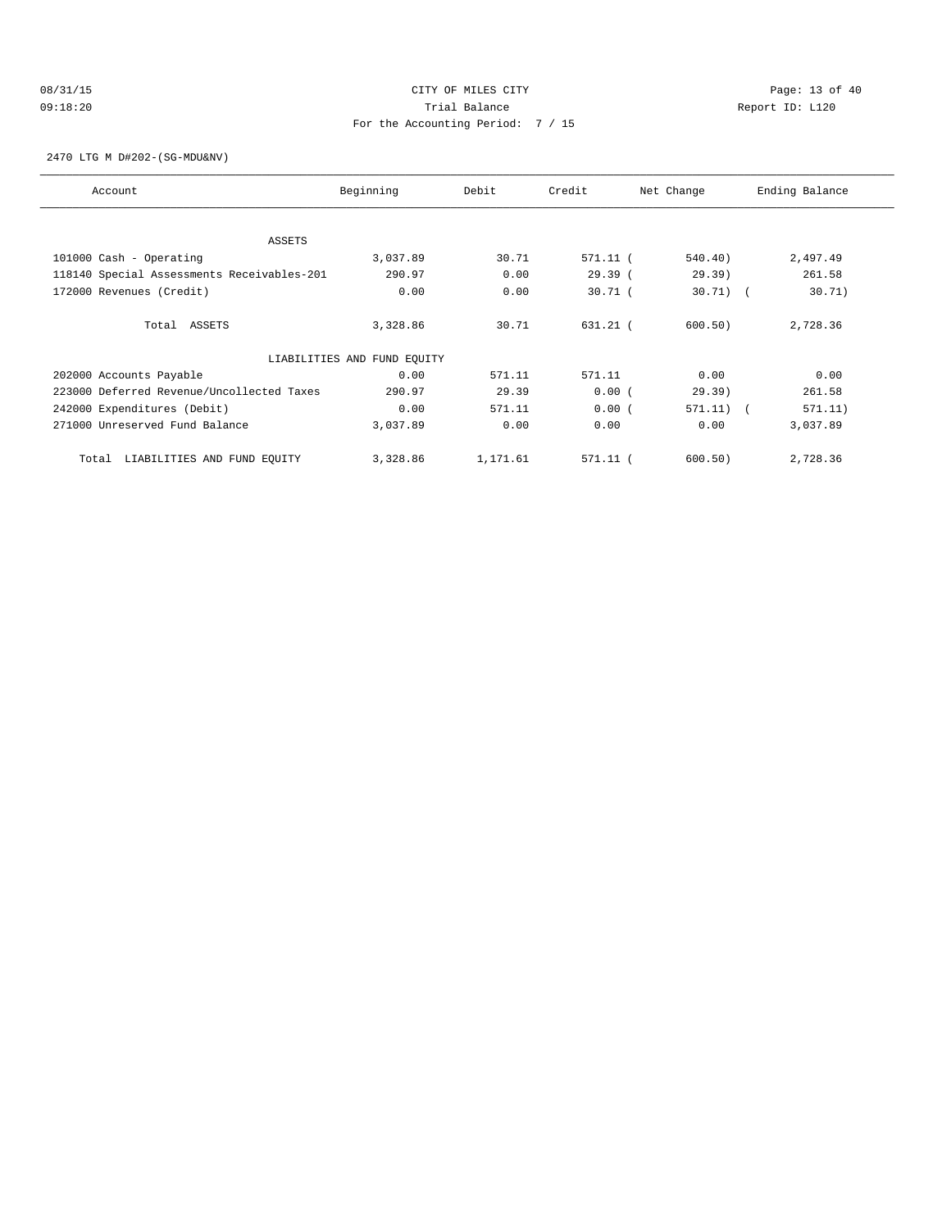# 08/31/15 Page: 13 of 40 09:18:20 Trial Balance Report ID: L120 For the Accounting Period: 7 / 15

2470 LTG M D#202-(SG-MDU&NV)

| Account                                    | Beginning                   | Debit    | Credit    | Net Change  | Ending Balance |
|--------------------------------------------|-----------------------------|----------|-----------|-------------|----------------|
| ASSETS                                     |                             |          |           |             |                |
| 101000 Cash - Operating                    | 3,037.89                    | 30.71    | 571.11 (  | 540.40)     | 2,497.49       |
| 118140 Special Assessments Receivables-201 | 290.97                      | 0.00     | 29.39(    | 29.39)      | 261.58         |
| 172000 Revenues (Credit)                   | 0.00                        | 0.00     | $30.71$ ( | $30.71$ (   | 30.71)         |
| Total ASSETS                               | 3,328.86                    | 30.71    | 631.21 (  | 600.50)     | 2,728.36       |
|                                            | LIABILITIES AND FUND EQUITY |          |           |             |                |
| 202000 Accounts Payable                    | 0.00                        | 571.11   | 571.11    | 0.00        | 0.00           |
| 223000 Deferred Revenue/Uncollected Taxes  | 290.97                      | 29.39    | 0.00(     | 29.39)      | 261.58         |
| 242000 Expenditures (Debit)                | 0.00                        | 571.11   | 0.00(     | $571.11)$ ( | 571.11)        |
| 271000 Unreserved Fund Balance             | 3,037.89                    | 0.00     | 0.00      | 0.00        | 3,037.89       |
| LIABILITIES AND FUND EQUITY<br>Total       | 3,328.86                    | 1,171.61 | 571.11 (  | 600.50)     | 2,728.36       |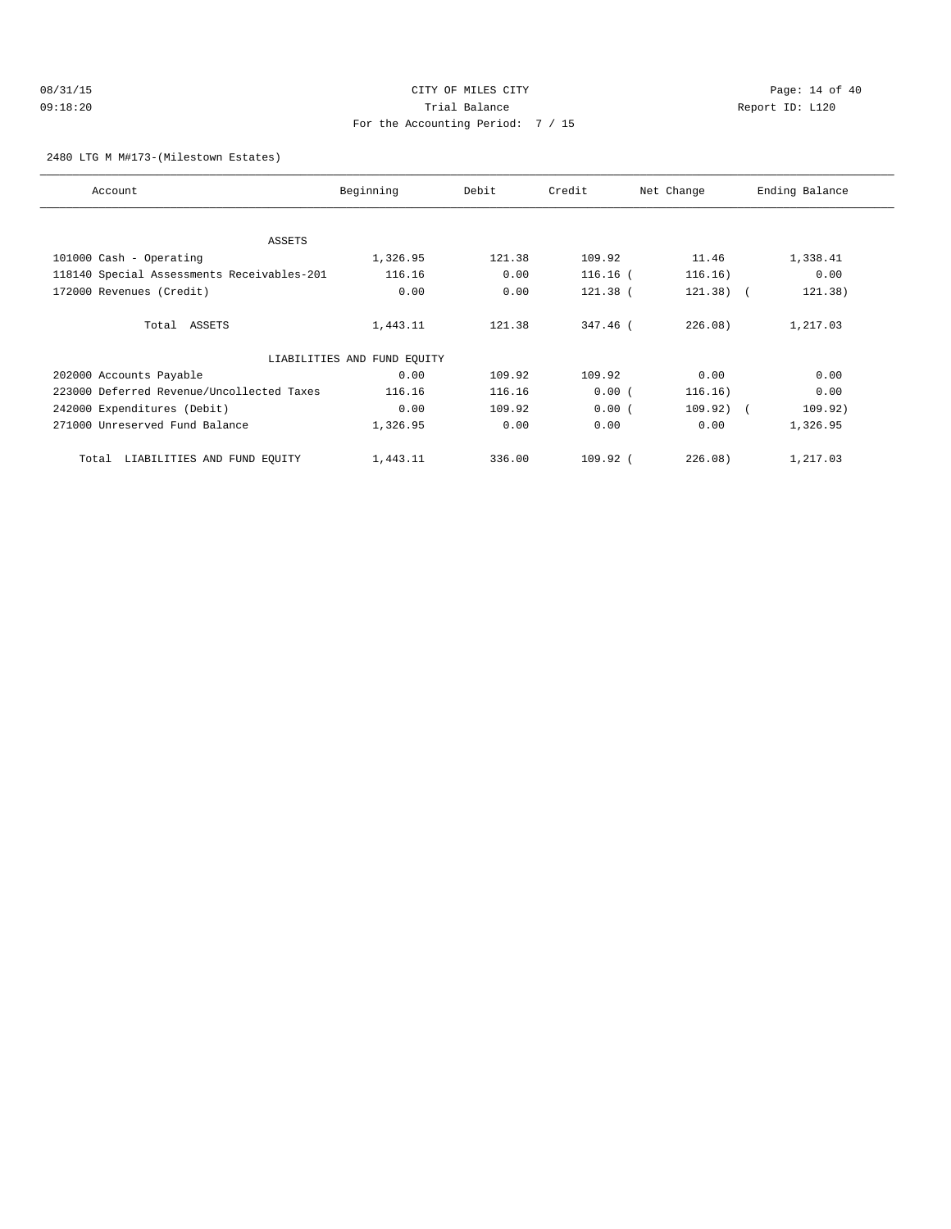### 08/31/15 Page: 14 of 40 09:18:20 Trial Balance Report ID: L120 For the Accounting Period: 7 / 15

2480 LTG M M#173-(Milestown Estates)

| Account                                    | Beginning                   | Debit  | Credit     | Net Change  | Ending Balance |
|--------------------------------------------|-----------------------------|--------|------------|-------------|----------------|
| ASSETS                                     |                             |        |            |             |                |
| 101000 Cash - Operating                    | 1,326.95                    | 121.38 | 109.92     | 11.46       | 1,338.41       |
|                                            |                             |        |            |             |                |
| 118140 Special Assessments Receivables-201 | 116.16                      | 0.00   | $116.16$ ( | 116.16)     | 0.00           |
| 172000 Revenues (Credit)                   | 0.00                        | 0.00   | $121.38$ ( | $121.38)$ ( | 121.38)        |
| Total ASSETS                               | 1,443.11                    | 121.38 | 347.46 (   | 226.08)     | 1,217.03       |
|                                            | LIABILITIES AND FUND EQUITY |        |            |             |                |
| 202000 Accounts Payable                    | 0.00                        | 109.92 | 109.92     | 0.00        | 0.00           |
| 223000 Deferred Revenue/Uncollected Taxes  | 116.16                      | 116.16 | 0.00(      | 116.16)     | 0.00           |
| 242000 Expenditures (Debit)                | 0.00                        | 109.92 | 0.00(      | $109.92)$ ( | 109.92)        |
| 271000 Unreserved Fund Balance             | 1,326.95                    | 0.00   | 0.00       | 0.00        | 1,326.95       |
| LIABILITIES AND FUND EQUITY<br>Total       | 1,443.11                    | 336.00 | 109.92 (   | 226.08)     | 1,217.03       |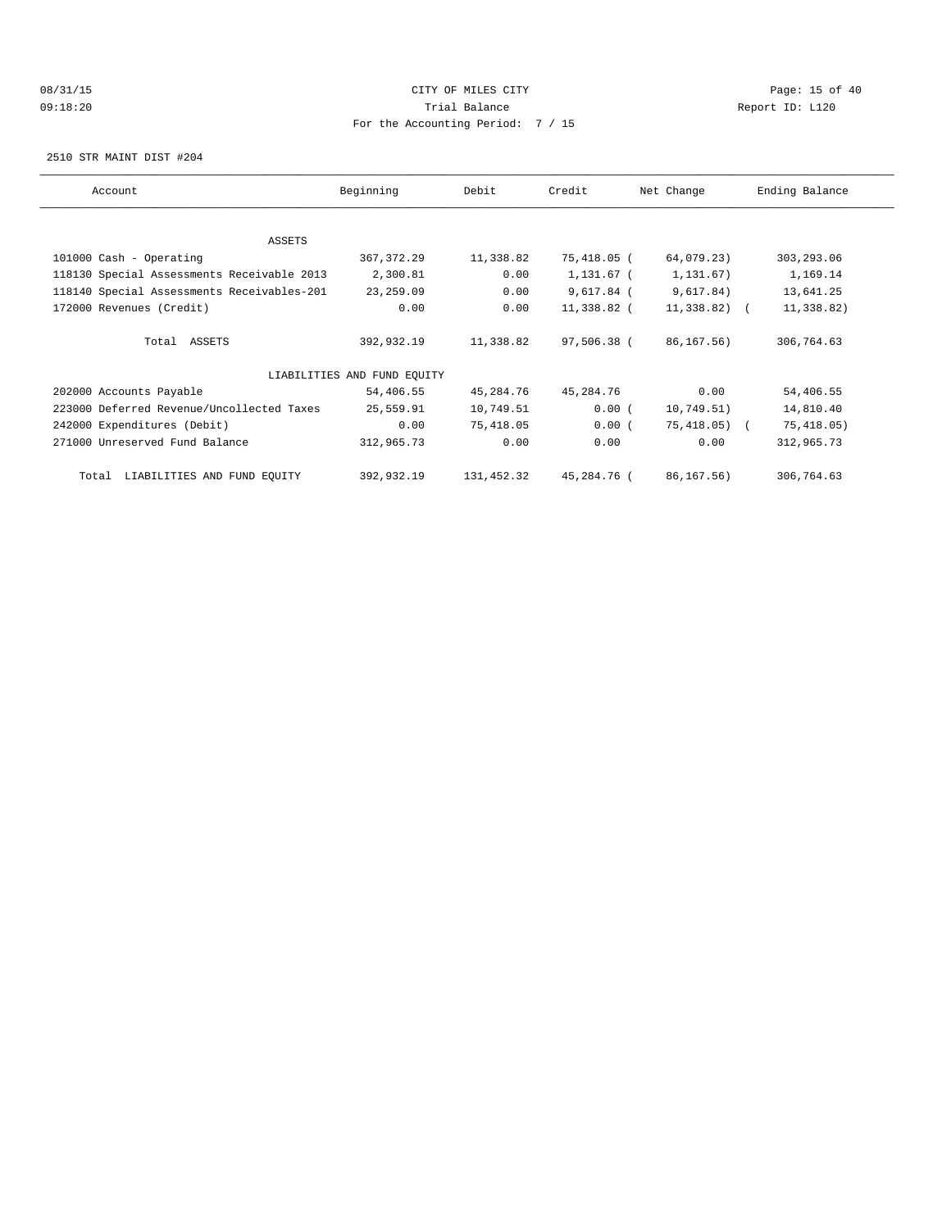# 08/31/15 Page: 15 of 40 09:18:20 Trial Balance Report ID: L120 For the Accounting Period: 7 / 15

2510 STR MAINT DIST #204

| Account                                    | Beginning                   | Debit      | Credit       | Net Change     | Ending Balance |  |  |  |  |
|--------------------------------------------|-----------------------------|------------|--------------|----------------|----------------|--|--|--|--|
|                                            |                             |            |              |                |                |  |  |  |  |
| ASSETS                                     |                             |            |              |                |                |  |  |  |  |
| 101000 Cash - Operating                    | 367, 372.29                 | 11,338.82  | 75,418.05 (  | 64,079.23)     | 303,293.06     |  |  |  |  |
| 118130 Special Assessments Receivable 2013 | 2,300.81                    | 0.00       | 1,131.67 (   | 1,131.67)      | 1,169.14       |  |  |  |  |
| 118140 Special Assessments Receivables-201 | 23, 259.09                  | 0.00       | $9,617.84$ ( | 9,617.84)      | 13,641.25      |  |  |  |  |
| 172000 Revenues (Credit)                   | 0.00                        | 0.00       | 11,338.82 (  | $11,338.82)$ ( | 11,338.82)     |  |  |  |  |
|                                            |                             |            |              |                |                |  |  |  |  |
| Total ASSETS                               | 392,932.19                  | 11,338.82  | 97,506.38 (  | 86,167.56)     | 306,764.63     |  |  |  |  |
|                                            | LIABILITIES AND FUND EQUITY |            |              |                |                |  |  |  |  |
| 202000 Accounts Payable                    | 54,406.55                   | 45,284.76  | 45,284.76    | 0.00           | 54,406.55      |  |  |  |  |
| 223000 Deferred Revenue/Uncollected Taxes  | 25,559.91                   | 10,749.51  | 0.00(        | 10,749.51)     | 14,810.40      |  |  |  |  |
| 242000 Expenditures (Debit)                | 0.00                        | 75,418.05  | 0.00(        | 75,418.05) (   | 75,418.05)     |  |  |  |  |
| 271000 Unreserved Fund Balance             | 312,965.73                  | 0.00       | 0.00         | 0.00           | 312,965.73     |  |  |  |  |
| LIABILITIES AND FUND EQUITY<br>Total       | 392,932.19                  | 131,452.32 | 45,284.76 (  | 86,167.56)     | 306,764.63     |  |  |  |  |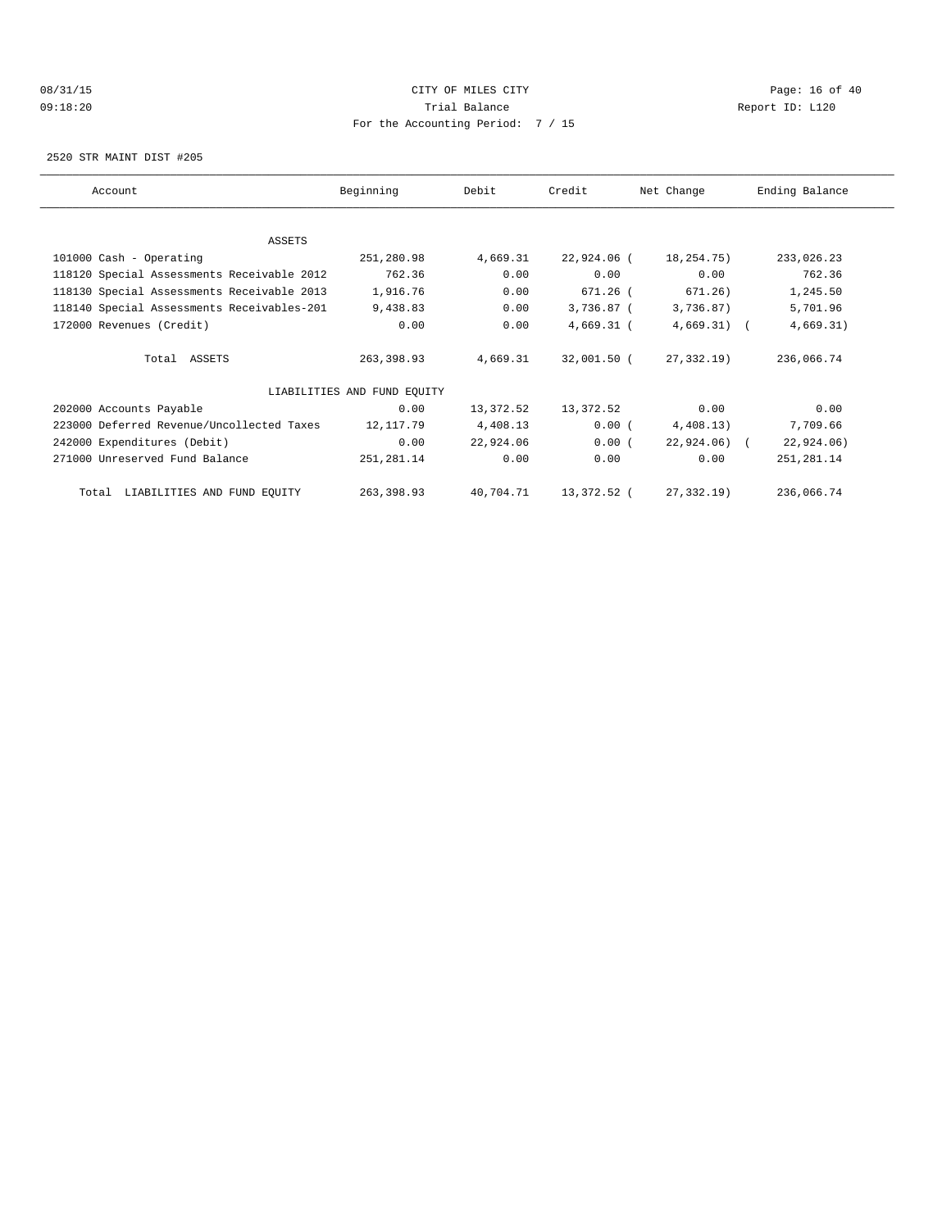# 08/31/15 Page: 16 of 40 09:18:20 Trial Balance Report ID: L120 For the Accounting Period: 7 / 15

2520 STR MAINT DIST #205

| Account                                    | Beginning                   | Debit     | Credit       | Net Change    | Ending Balance |
|--------------------------------------------|-----------------------------|-----------|--------------|---------------|----------------|
|                                            |                             |           |              |               |                |
| ASSETS                                     |                             |           |              |               |                |
| 101000 Cash - Operating                    | 251,280.98                  | 4,669.31  | 22,924.06 (  | 18,254.75)    | 233,026.23     |
| 118120 Special Assessments Receivable 2012 | 762.36                      | 0.00      | 0.00         | 0.00          | 762.36         |
| 118130 Special Assessments Receivable 2013 | 1,916.76                    | 0.00      | 671.26 (     | 671.26)       | 1,245.50       |
| 118140 Special Assessments Receivables-201 | 9,438.83                    | 0.00      | 3,736.87 (   | 3,736.87)     | 5,701.96       |
| 172000 Revenues (Credit)                   | 0.00                        | 0.00      | $4,669.31$ ( | $4,669.31)$ ( | 4,669.31)      |
| Total ASSETS                               | 263,398.93                  | 4,669.31  | 32,001.50 (  | 27,332.19)    | 236,066.74     |
|                                            | LIABILITIES AND FUND EQUITY |           |              |               |                |
| 202000 Accounts Payable                    | 0.00                        | 13,372.52 | 13,372.52    | 0.00          | 0.00           |
| 223000 Deferred Revenue/Uncollected Taxes  | 12,117.79                   | 4,408.13  | 0.00(        | 4,408.13)     | 7,709.66       |
| 242000 Expenditures (Debit)                | 0.00                        | 22,924.06 | 0.00(        | $22,924.06$ ( | 22,924.06)     |
| 271000 Unreserved Fund Balance             | 251,281.14                  | 0.00      | 0.00         | 0.00          | 251, 281.14    |
| Total LIABILITIES AND FUND EQUITY          | 263,398.93                  | 40,704.71 | 13,372.52 (  | 27,332.19)    | 236,066.74     |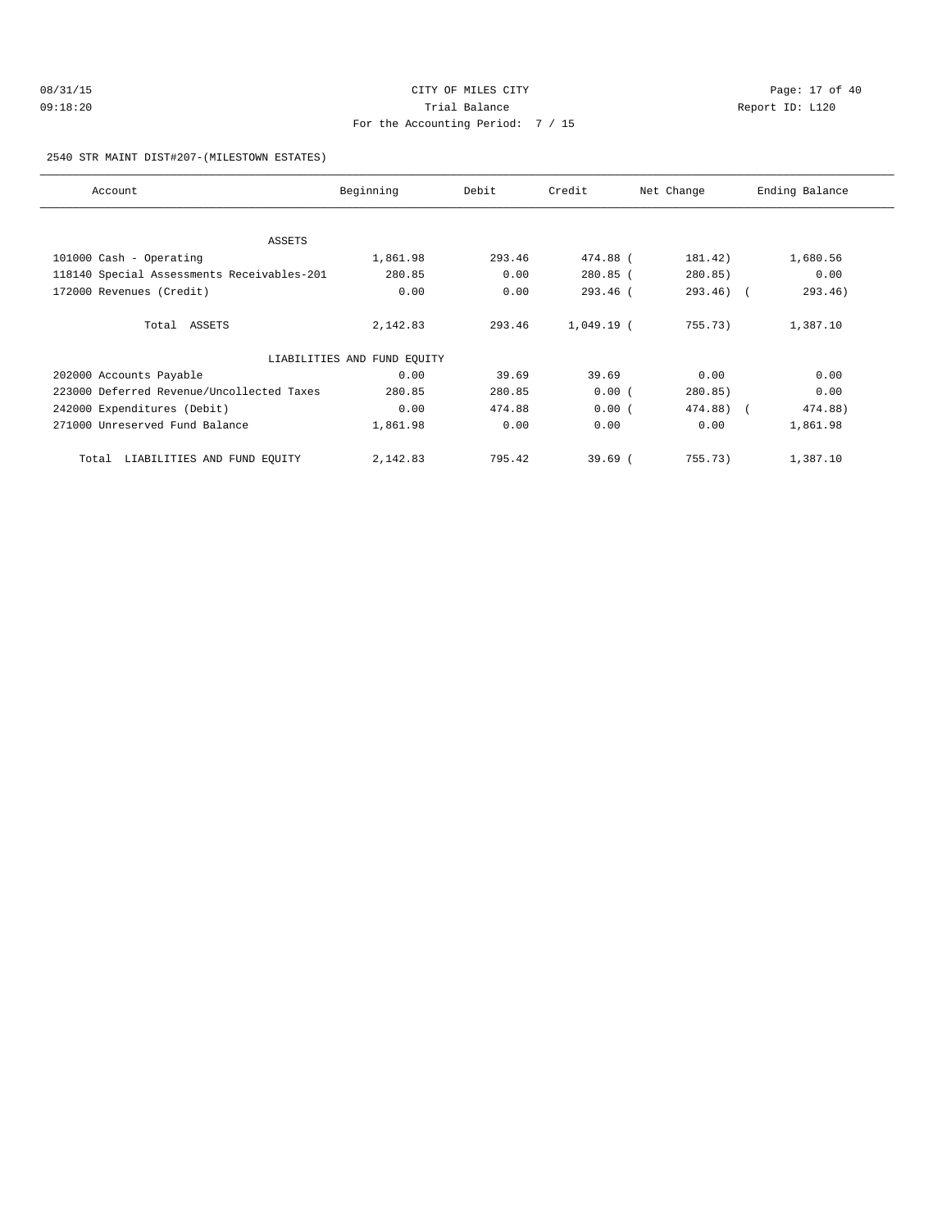# 08/31/15 Page: 17 of 40 09:18:20 Trial Balance Report ID: L120 For the Accounting Period: 7 / 15

### 2540 STR MAINT DIST#207-(MILESTOWN ESTATES)

| Account                                    | Beginning                   | Debit  | Credit       | Net Change   | Ending Balance |
|--------------------------------------------|-----------------------------|--------|--------------|--------------|----------------|
|                                            |                             |        |              |              |                |
| <b>ASSETS</b>                              |                             |        |              |              |                |
| 101000 Cash - Operating                    | 1,861.98                    | 293.46 | 474.88 (     | 181.42)      | 1,680.56       |
| 118140 Special Assessments Receivables-201 | 280.85                      | 0.00   | $280.85$ (   | 280.85)      | 0.00           |
| 172000 Revenues (Credit)                   | 0.00                        | 0.00   | $293.46$ (   | $293.46$ ) ( | 293.46)        |
| Total ASSETS                               | 2,142.83                    | 293.46 | $1,049.19$ ( | 755.73)      | 1,387.10       |
|                                            | LIABILITIES AND FUND EQUITY |        |              |              |                |
| 202000 Accounts Payable                    | 0.00                        | 39.69  | 39.69        | 0.00         | 0.00           |
| 223000 Deferred Revenue/Uncollected Taxes  | 280.85                      | 280.85 | 0.00(        | 280.85)      | 0.00           |
| 242000 Expenditures (Debit)                | 0.00                        | 474.88 | 0.00(        | 474.88) (    | 474.88)        |
| 271000 Unreserved Fund Balance             | 1,861.98                    | 0.00   | 0.00         | 0.00         | 1,861.98       |
| LIABILITIES AND FUND EQUITY<br>Total       | 2,142.83                    | 795.42 | $39.69$ (    | 755.73)      | 1,387.10       |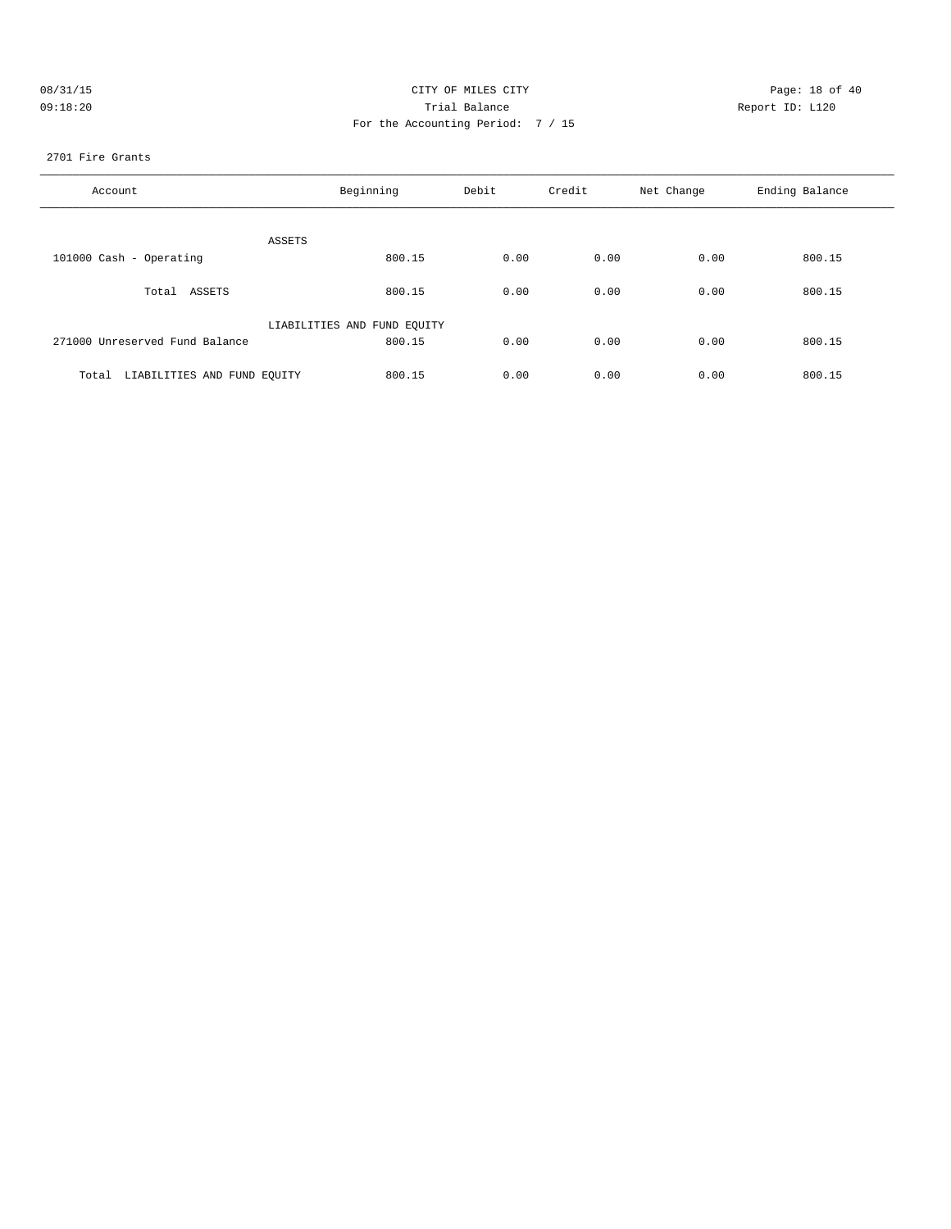| 08/31/15 | CI'                                         |
|----------|---------------------------------------------|
| 09:18:20 |                                             |
|          | $\Gamma_{\cap Y}$ the $\lambda_{\cap \cap}$ |

# ITY OF MILES CITY **Example 2008** Page: 18 of 40 Trial Balance **Report ID:** L120 For the Accounting Period: 7 / 15

### 2701 Fire Grants

| Account                              | Beginning                   | Debit | Credit | Net Change | Ending Balance |
|--------------------------------------|-----------------------------|-------|--------|------------|----------------|
| ASSETS                               |                             |       |        |            |                |
| 101000 Cash - Operating              | 800.15                      | 0.00  | 0.00   | 0.00       | 800.15         |
| Total ASSETS                         | 800.15                      | 0.00  | 0.00   | 0.00       | 800.15         |
|                                      | LIABILITIES AND FUND EQUITY |       |        |            |                |
| 271000 Unreserved Fund Balance       | 800.15                      | 0.00  | 0.00   | 0.00       | 800.15         |
| LIABILITIES AND FUND EQUITY<br>Total | 800.15                      | 0.00  | 0.00   | 0.00       | 800.15         |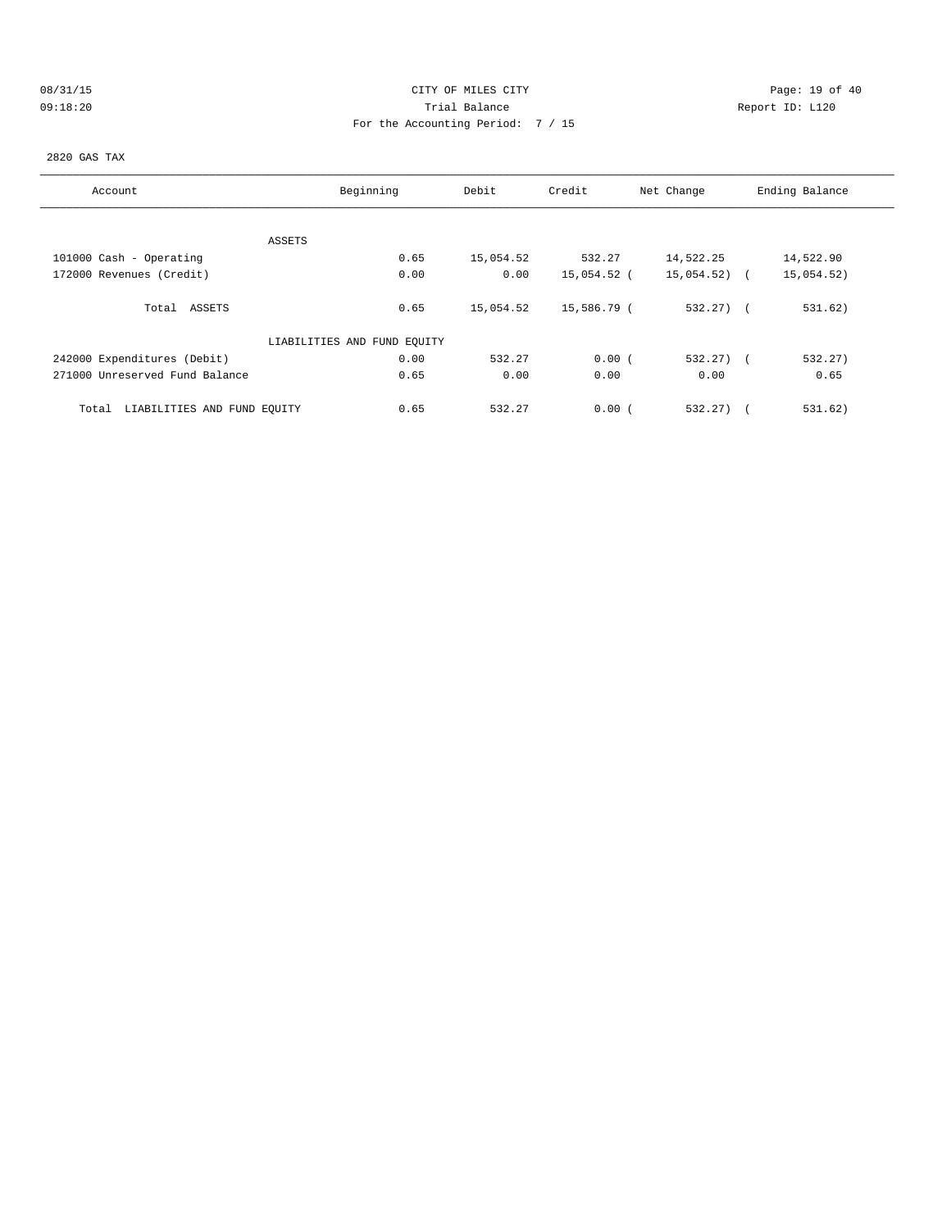# 08/31/15 Page: 19 of 40 09:18:20 Trial Balance Report ID: L120 For the Accounting Period: 7 / 15

2820 GAS TAX

| Account                              | Beginning                   | Debit     | Credit      | Net Change   | Ending Balance |
|--------------------------------------|-----------------------------|-----------|-------------|--------------|----------------|
|                                      |                             |           |             |              |                |
|                                      | ASSETS                      |           |             |              |                |
| 101000 Cash - Operating              | 0.65                        | 15,054.52 | 532.27      | 14,522.25    | 14,522.90      |
| 172000 Revenues (Credit)             | 0.00                        | 0.00      | 15,054.52 ( | 15,054.52)   | 15,054.52)     |
| Total ASSETS                         | 0.65                        | 15,054.52 | 15,586.79 ( | $532.27$ ) ( | 531.62)        |
|                                      | LIABILITIES AND FUND EQUITY |           |             |              |                |
| 242000 Expenditures (Debit)          | 0.00                        | 532.27    | 0.00(       | $532.27$ ) ( | 532.27)        |
| 271000 Unreserved Fund Balance       | 0.65                        | 0.00      | 0.00        | 0.00         | 0.65           |
| LIABILITIES AND FUND EQUITY<br>Total | 0.65                        | 532.27    | 0.00(       | 532.27)      | 531.62)        |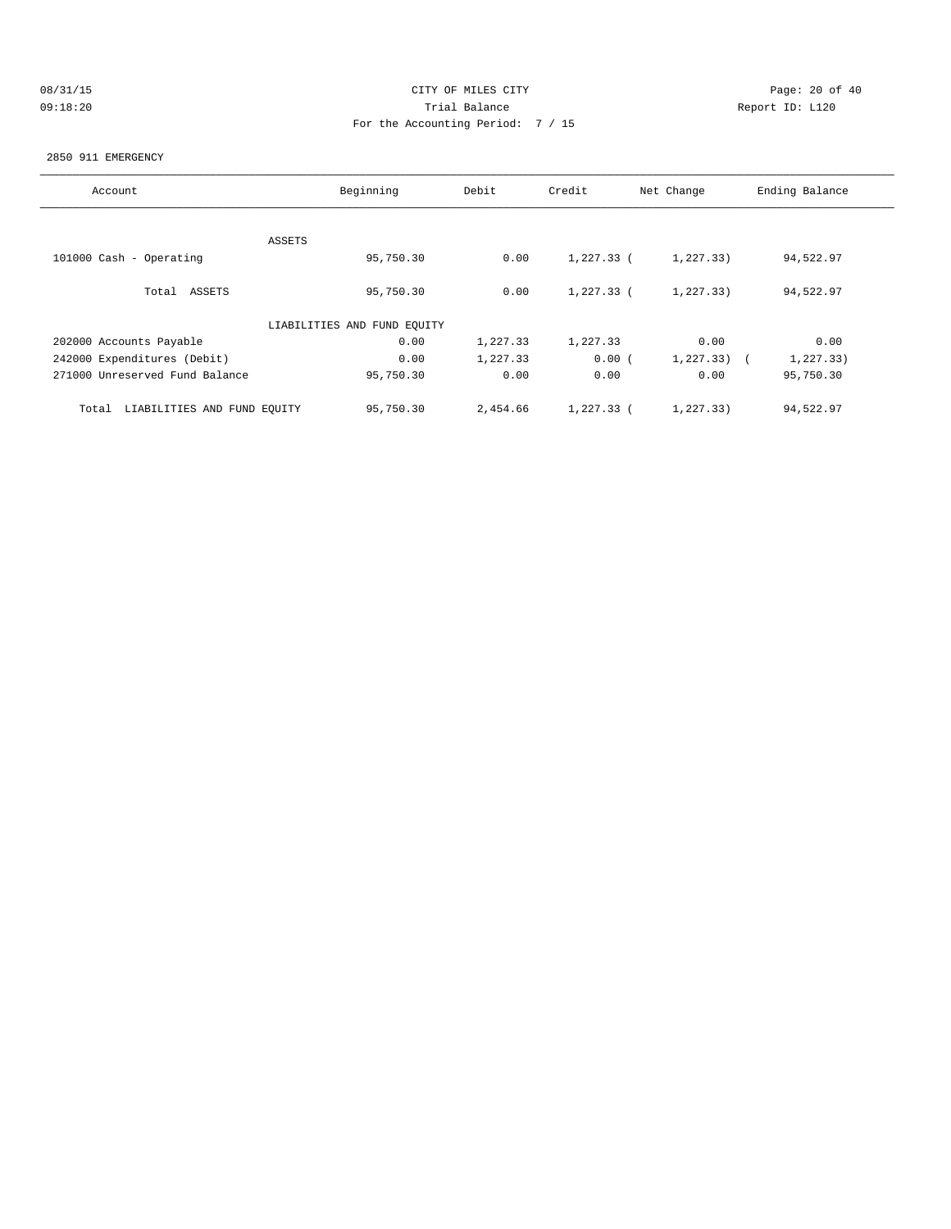|  | 08/31/15 |  |
|--|----------|--|
|  | 09:18:20 |  |

# CITY OF MILES CITY CONTROL CONTROL CONTROL CONTROL CITY 09:18:20 Report ID: L120 For the Accounting Period: 7 / 15

### 2850 911 EMERGENCY

| Account                              | Beginning | Debit    | Credit     | Net Change | Ending Balance |  |  |
|--------------------------------------|-----------|----------|------------|------------|----------------|--|--|
|                                      | ASSETS    |          |            |            |                |  |  |
| 101000 Cash - Operating              | 95,750.30 | 0.00     | 1,227.33 ( | 1, 227.33) | 94,522.97      |  |  |
| Total ASSETS                         | 95,750.30 | 0.00     | 1,227.33 ( | 1, 227.33) | 94,522.97      |  |  |
| LIABILITIES AND FUND EQUITY          |           |          |            |            |                |  |  |
| 202000 Accounts Payable              | 0.00      | 1,227.33 | 1,227.33   | 0.00       | 0.00           |  |  |
| 242000 Expenditures (Debit)          | 0.00      | 1,227.33 | 0.00(      | 1, 227.33) | 1, 227.33)     |  |  |
| 271000 Unreserved Fund Balance       | 95,750.30 | 0.00     | 0.00       | 0.00       | 95,750.30      |  |  |
| LIABILITIES AND FUND EQUITY<br>Total | 95,750.30 | 2,454.66 | 1,227.33 ( | 1,227.33)  | 94,522.97      |  |  |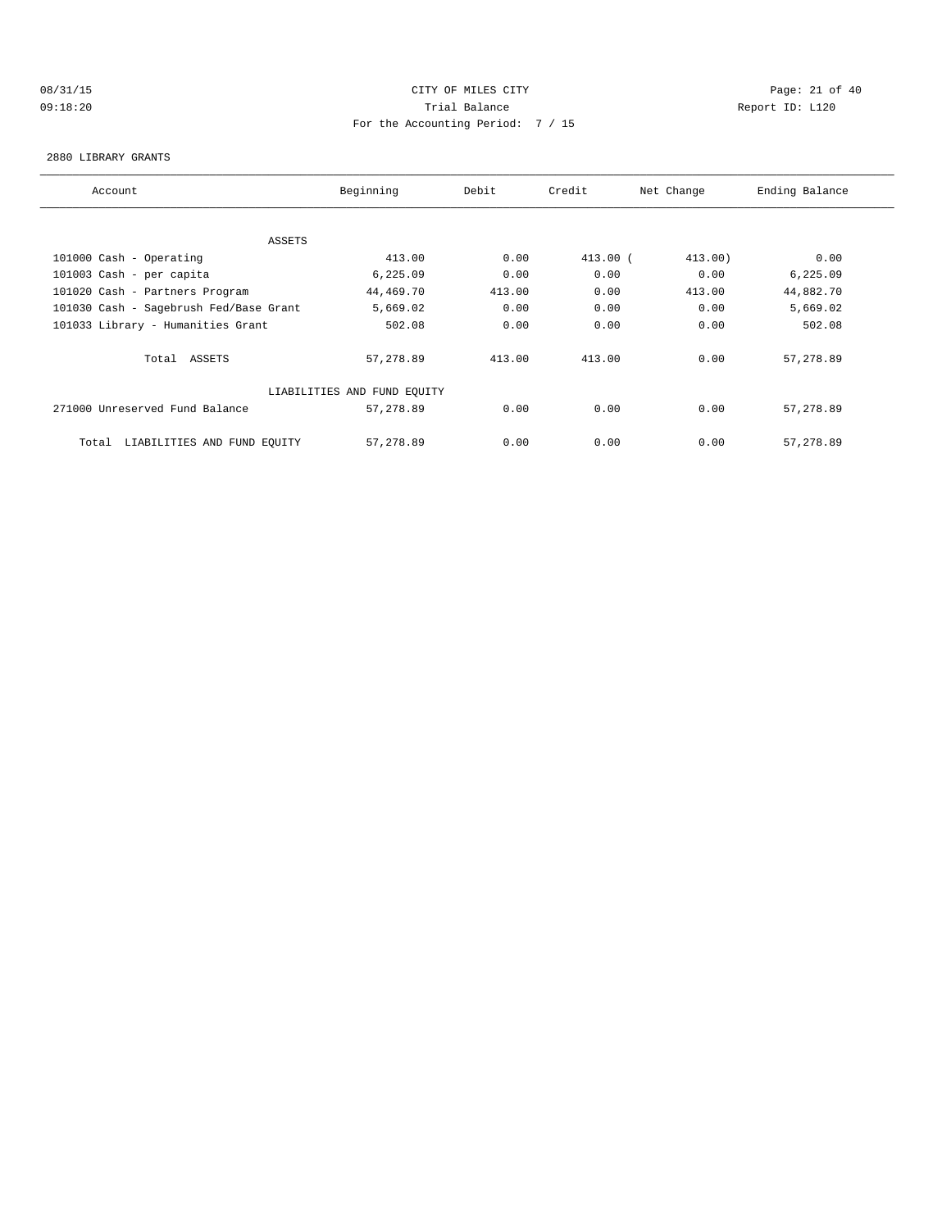# 08/31/15 Page: 21 of 40 09:18:20 Trial Balance Report ID: L120 For the Accounting Period: 7 / 15

### 2880 LIBRARY GRANTS

| Account                                | Beginning                   | Debit  | Credit     | Net Change | Ending Balance |
|----------------------------------------|-----------------------------|--------|------------|------------|----------------|
|                                        |                             |        |            |            |                |
|                                        |                             |        |            |            |                |
| ASSETS                                 |                             |        |            |            |                |
| 101000 Cash - Operating                | 413.00                      | 0.00   | $413.00$ ( | 413.00)    | 0.00           |
| 101003 Cash - per capita               | 6,225.09                    | 0.00   | 0.00       | 0.00       | 6,225.09       |
| 101020 Cash - Partners Program         | 44,469.70                   | 413.00 | 0.00       | 413.00     | 44,882.70      |
| 101030 Cash - Sagebrush Fed/Base Grant | 5,669.02                    | 0.00   | 0.00       | 0.00       | 5,669.02       |
| 101033 Library - Humanities Grant      | 502.08                      | 0.00   | 0.00       | 0.00       | 502.08         |
|                                        |                             |        |            |            |                |
| Total ASSETS                           | 57,278.89                   | 413.00 | 413.00     | 0.00       | 57, 278.89     |
|                                        |                             |        |            |            |                |
|                                        | LIABILITIES AND FUND EQUITY |        |            |            |                |
| 271000 Unreserved Fund Balance         | 57,278.89                   | 0.00   | 0.00       | 0.00       | 57,278.89      |
|                                        |                             |        |            |            |                |
| LIABILITIES AND FUND EQUITY<br>Total   | 57,278.89                   | 0.00   | 0.00       | 0.00       | 57, 278.89     |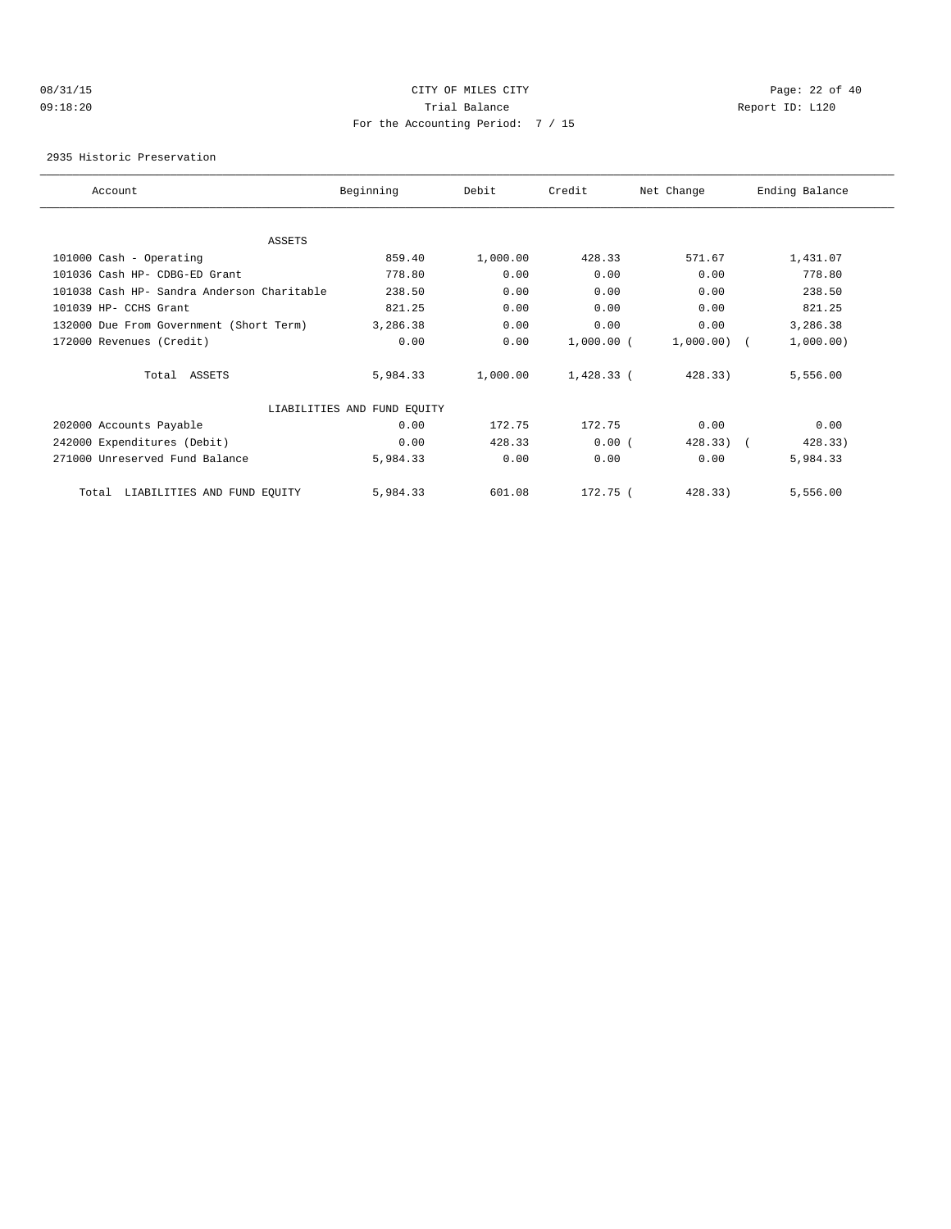# 08/31/15 Page: 22 of 40 09:18:20 Trial Balance Report ID: L120 For the Accounting Period: 7 / 15

2935 Historic Preservation

| Account                                    | Beginning                   | Debit    | Credit       | Net Change            | Ending Balance |  |
|--------------------------------------------|-----------------------------|----------|--------------|-----------------------|----------------|--|
|                                            |                             |          |              |                       |                |  |
| <b>ASSETS</b>                              |                             |          |              |                       |                |  |
| 101000 Cash - Operating                    | 859.40                      | 1,000.00 | 428.33       | 571.67                | 1,431.07       |  |
| 101036 Cash HP- CDBG-ED Grant              | 778.80                      | 0.00     | 0.00         | 0.00                  | 778.80         |  |
| 101038 Cash HP- Sandra Anderson Charitable | 238.50                      | 0.00     | 0.00         | 0.00                  | 238.50         |  |
| 101039 HP- CCHS Grant                      | 821.25                      | 0.00     | 0.00         | 0.00                  | 821.25         |  |
| 132000 Due From Government (Short Term)    | 3,286.38                    | 0.00     | 0.00         | 0.00                  | 3,286.38       |  |
| 172000 Revenues (Credit)                   | 0.00                        | 0.00     | $1,000.00$ ( | $1,000.00)$ (         | 1,000.00)      |  |
| Total ASSETS                               | 5,984.33                    | 1,000.00 | $1,428.33$ ( | 428.33)               | 5,556.00       |  |
|                                            | LIABILITIES AND FUND EQUITY |          |              |                       |                |  |
| 202000 Accounts Payable                    | 0.00                        | 172.75   | 172.75       | 0.00                  | 0.00           |  |
| 242000 Expenditures (Debit)                | 0.00                        | 428.33   | 0.00(        | 428.33)<br>$\sqrt{2}$ | 428.33)        |  |
| 271000 Unreserved Fund Balance             | 5,984.33                    | 0.00     | 0.00         | 0.00                  | 5,984.33       |  |
| LIABILITIES AND FUND EQUITY<br>Total       | 5,984.33                    | 601.08   | 172.75 (     | 428.33)               | 5,556.00       |  |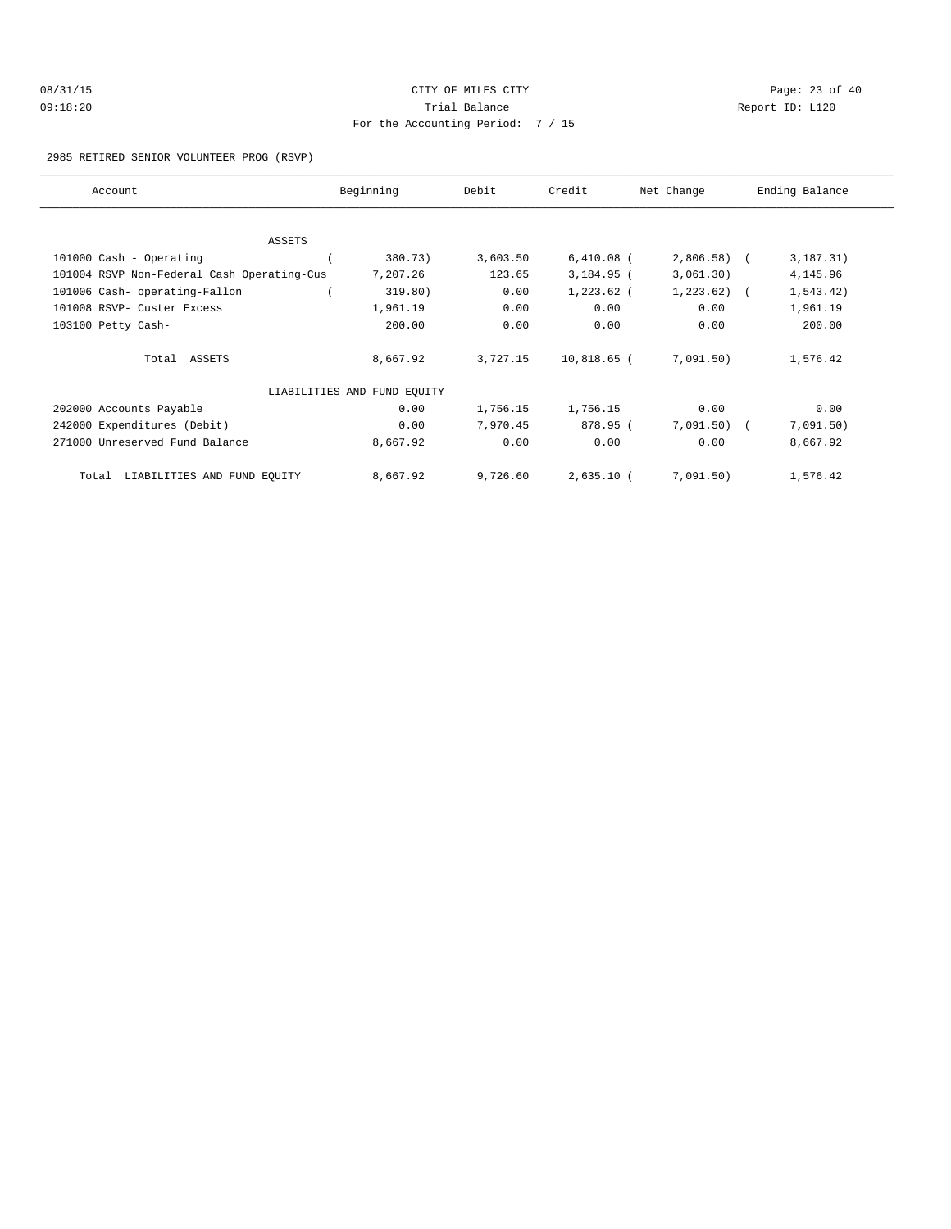| 08/31/15 |  |
|----------|--|
| 09:18:20 |  |

# CITY OF MILES CITY CONTROL CONTROL CONTROL CONTROL CONTROL PAGE: 23 of 40 Trial Balance **Communist Communist Communist Communist Communist Communist Communist Communist Communist Communist Communist Communist Communist Communist Communist Communist Communist Communist Communist Communist Communi** For the Accounting Period: 7 / 15

### 2985 RETIRED SENIOR VOLUNTEER PROG (RSVP)

| Account                                    | Beginning                   | Debit    | Credit        | Net Change   | Ending Balance |
|--------------------------------------------|-----------------------------|----------|---------------|--------------|----------------|
|                                            |                             |          |               |              |                |
| ASSETS                                     |                             |          |               |              |                |
| 101000 Cash - Operating                    | 380.73)                     | 3,603.50 | $6,410.08$ (  | $2,806.58$ ( | 3, 187.31)     |
| 101004 RSVP Non-Federal Cash Operating-Cus | 7,207.26                    | 123.65   | $3,184.95$ (  | 3,061.30)    | 4,145.96       |
| 101006 Cash- operating-Fallon              | 319.80)                     | 0.00     | $1,223.62$ (  | $1,223.62$ ( | 1, 543.42)     |
| 101008 RSVP- Custer Excess                 | 1,961.19                    | 0.00     | 0.00          | 0.00         | 1,961.19       |
| 103100 Petty Cash-                         | 200.00                      | 0.00     | 0.00          | 0.00         | 200.00         |
| Total ASSETS                               | 8,667.92                    | 3,727.15 | $10,818.65$ ( | 7,091.50)    | 1,576.42       |
|                                            | LIABILITIES AND FUND EQUITY |          |               |              |                |
| 202000 Accounts Payable                    | 0.00                        | 1,756.15 | 1,756.15      | 0.00         | 0.00           |
| 242000 Expenditures (Debit)                | 0.00                        | 7,970.45 | 878.95 (      | $7,091.50$ ( | 7,091.50)      |
| 271000 Unreserved Fund Balance             | 8,667.92                    | 0.00     | 0.00          | 0.00         | 8,667.92       |
| LIABILITIES AND FUND EQUITY<br>Total       | 8,667.92                    | 9,726.60 | $2,635.10$ (  | 7,091.50)    | 1,576.42       |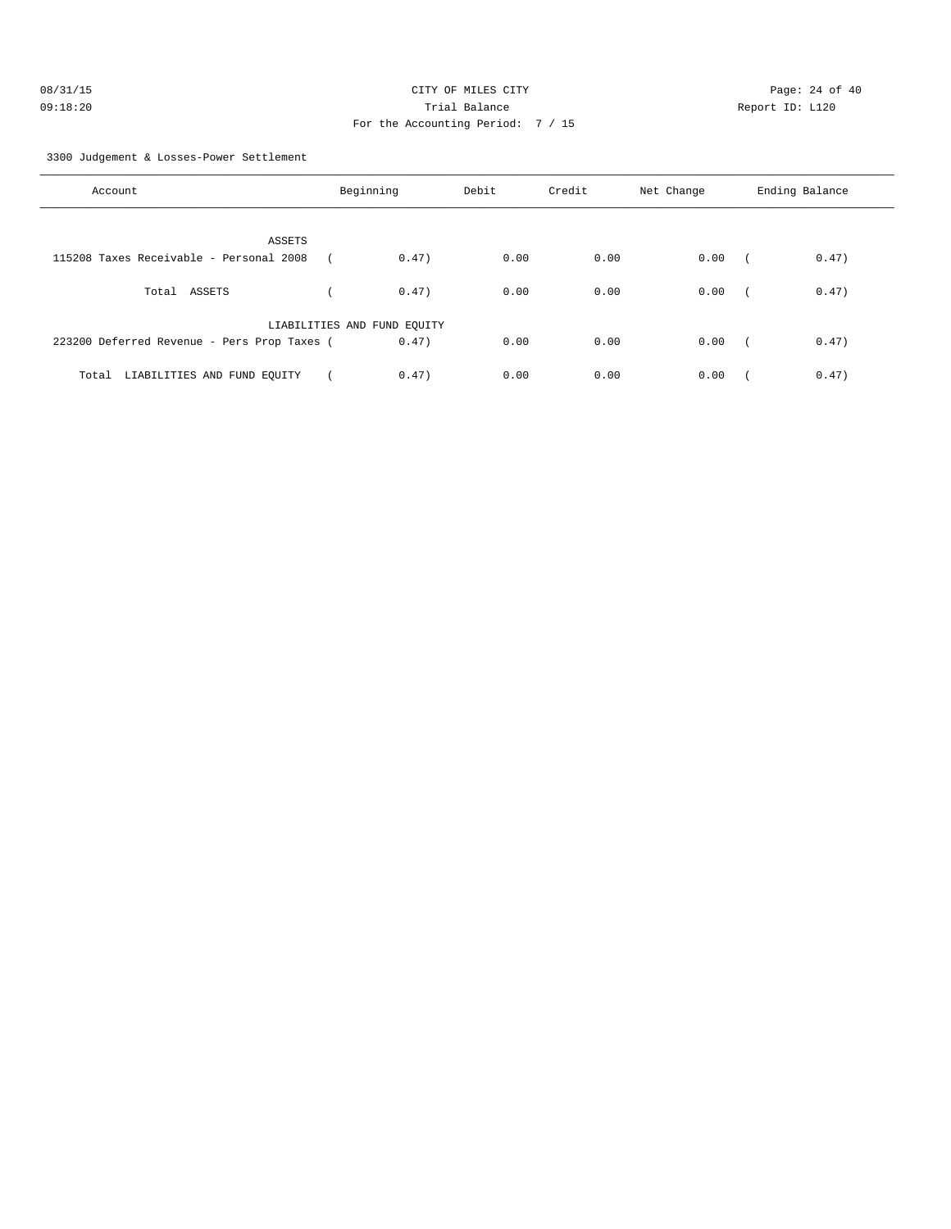| 08/31/15 | CITY OF MILES CITY                |
|----------|-----------------------------------|
| 09:18:20 | Trial Balance                     |
|          | For the Accounting Period: 7 / 15 |

Page: 24 of 40 Report ID: L120

3300 Judgement & Losses-Power Settlement

| Account                                                  | Beginning                   | Debit         | Credit | Net Change | Ending Balance      |
|----------------------------------------------------------|-----------------------------|---------------|--------|------------|---------------------|
| <b>ASSETS</b><br>115208 Taxes Receivable - Personal 2008 |                             | 0.47)<br>0.00 | 0.00   | 0.00       | 0.47)<br>$\sqrt{2}$ |
| Total ASSETS                                             |                             | 0.00<br>0.47) | 0.00   | 0.00       | 0.47)               |
| 223200 Deferred Revenue - Pers Prop Taxes (              | LIABILITIES AND FUND EQUITY | 0.47)<br>0.00 | 0.00   | 0.00       | 0.47)<br>$\sqrt{2}$ |
| Total LIABILITIES AND FUND EQUITY                        |                             | 0.47)<br>0.00 | 0.00   | 0.00       | 0.47)               |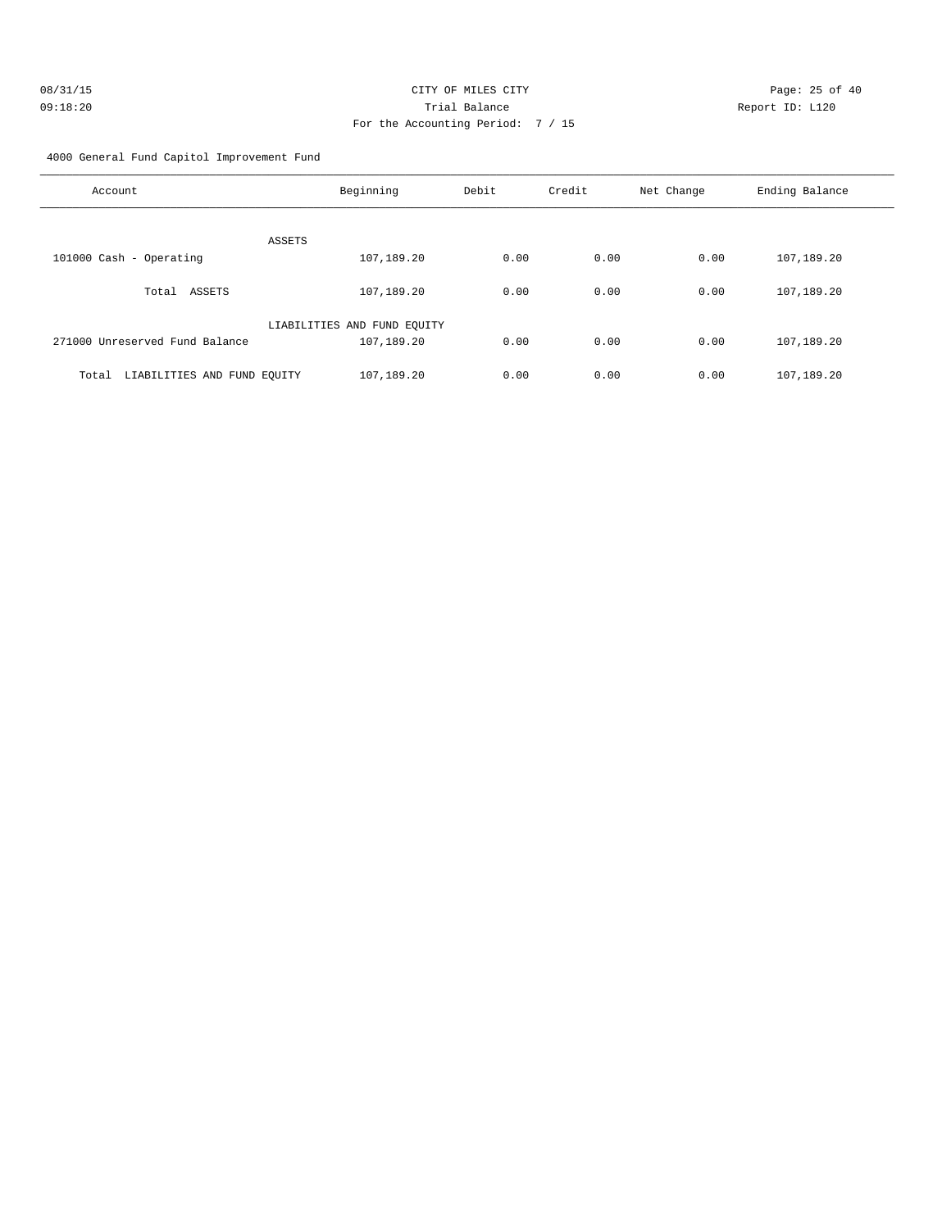| 08/31/15 | CITY OF MILES CITY                  |
|----------|-------------------------------------|
| 09:18:20 | Trial Balance                       |
|          | For the Accounting Period: $7 / 15$ |

Page: 25 of 40 Report ID: L120

4000 General Fund Capitol Improvement Fund

| Account                              | Beginning                   | Debit | Credit | Net Change | Ending Balance |
|--------------------------------------|-----------------------------|-------|--------|------------|----------------|
|                                      | ASSETS                      |       |        |            |                |
| 101000 Cash - Operating              | 107,189.20                  | 0.00  | 0.00   | 0.00       | 107,189.20     |
|                                      |                             |       |        |            |                |
| ASSETS<br>Total                      | 107,189.20                  | 0.00  | 0.00   | 0.00       | 107,189.20     |
|                                      | LIABILITIES AND FUND EQUITY |       |        |            |                |
| 271000 Unreserved Fund Balance       | 107,189.20                  | 0.00  | 0.00   | 0.00       | 107,189.20     |
| Total<br>LIABILITIES AND FUND EQUITY | 107,189.20                  | 0.00  | 0.00   | 0.00       | 107,189.20     |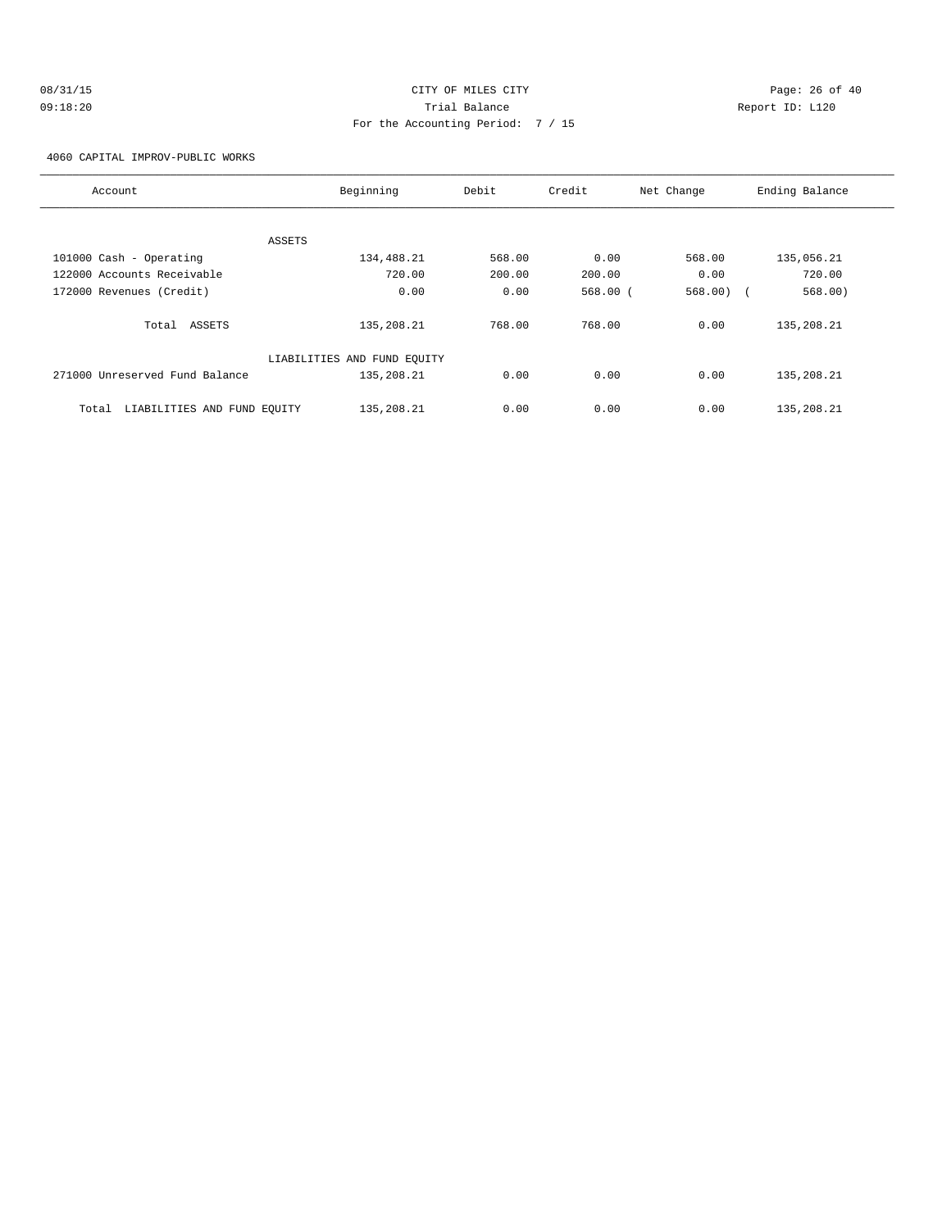# 08/31/15 Page: 26 of 40 09:18:20 Trial Balance Report ID: L120 For the Accounting Period: 7 / 15

4060 CAPITAL IMPROV-PUBLIC WORKS

| Account                              | Beginning                   | Debit  | Credit  | Net Change | Ending Balance |
|--------------------------------------|-----------------------------|--------|---------|------------|----------------|
|                                      |                             |        |         |            |                |
| ASSETS                               |                             |        |         |            |                |
| 101000 Cash - Operating              | 134,488.21                  | 568.00 | 0.00    | 568.00     | 135,056.21     |
| 122000 Accounts Receivable           | 720.00                      | 200.00 | 200.00  | 0.00       | 720.00         |
| 172000 Revenues (Credit)             | 0.00                        | 0.00   | 568.00( | 568.00)    | 568.00)        |
| Total ASSETS                         | 135,208.21                  | 768.00 | 768.00  | 0.00       | 135,208.21     |
|                                      | LIABILITIES AND FUND EQUITY |        |         |            |                |
| 271000 Unreserved Fund Balance       | 135,208.21                  | 0.00   | 0.00    | 0.00       | 135,208.21     |
| LIABILITIES AND FUND EQUITY<br>Total | 135,208.21                  | 0.00   | 0.00    | 0.00       | 135, 208. 21   |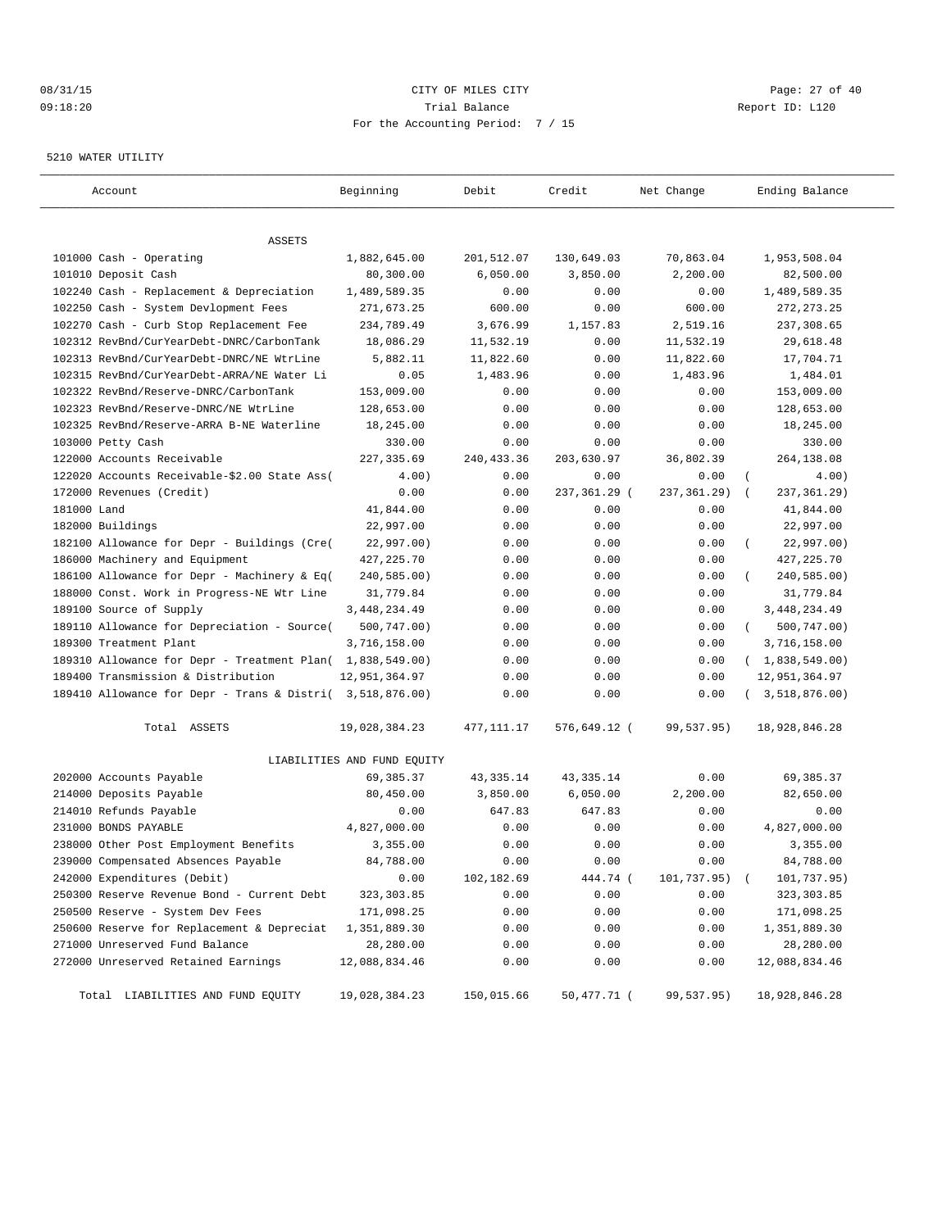# 08/31/15 Page: 27 of 40 09:18:20 Trial Balance Report ID: L120 For the Accounting Period: 7 / 15

### 5210 WATER UTILITY

| Account                                                   | Beginning                   | Debit       | Credit       | Net Change        | Ending Balance               |
|-----------------------------------------------------------|-----------------------------|-------------|--------------|-------------------|------------------------------|
|                                                           |                             |             |              |                   |                              |
| ASSETS<br>101000 Cash - Operating                         | 1,882,645.00                | 201,512.07  | 130,649.03   | 70,863.04         | 1,953,508.04                 |
| 101010 Deposit Cash                                       | 80,300.00                   | 6,050.00    | 3,850.00     | 2,200.00          | 82,500.00                    |
| 102240 Cash - Replacement & Depreciation                  | 1,489,589.35                | 0.00        | 0.00         | 0.00              | 1,489,589.35                 |
| 102250 Cash - System Devlopment Fees                      | 271,673.25                  | 600.00      | 0.00         | 600.00            | 272, 273. 25                 |
| 102270 Cash - Curb Stop Replacement Fee                   | 234,789.49                  | 3,676.99    | 1,157.83     | 2,519.16          | 237,308.65                   |
| 102312 RevBnd/CurYearDebt-DNRC/CarbonTank                 | 18,086.29                   | 11,532.19   | 0.00         | 11,532.19         | 29,618.48                    |
| 102313 RevBnd/CurYearDebt-DNRC/NE WtrLine                 | 5,882.11                    | 11,822.60   | 0.00         | 11,822.60         | 17,704.71                    |
| 102315 RevBnd/CurYearDebt-ARRA/NE Water Li                | 0.05                        | 1,483.96    | 0.00         | 1,483.96          | 1,484.01                     |
| 102322 RevBnd/Reserve-DNRC/CarbonTank                     | 153,009.00                  | 0.00        | 0.00         | 0.00              | 153,009.00                   |
| 102323 RevBnd/Reserve-DNRC/NE WtrLine                     | 128,653.00                  | 0.00        | 0.00         | 0.00              | 128,653.00                   |
| 102325 RevBnd/Reserve-ARRA B-NE Waterline                 | 18,245.00                   | 0.00        | 0.00         | 0.00              | 18,245.00                    |
| 103000 Petty Cash                                         | 330.00                      | 0.00        | 0.00         | 0.00              | 330.00                       |
| 122000 Accounts Receivable                                | 227, 335.69                 | 240, 433.36 | 203,630.97   | 36,802.39         | 264,138.08                   |
| 122020 Accounts Receivable-\$2.00 State Ass(              | 4.00)                       | 0.00        | 0.00         | 0.00              | $\overline{(\cdot)}$<br>4.00 |
| 172000 Revenues (Credit)                                  | 0.00                        | 0.00        | 237,361.29 ( | 237, 361.29)      | 237,361.29)<br>$\sqrt{ }$    |
| 181000 Land                                               | 41,844.00                   | 0.00        | 0.00         | 0.00              | 41,844.00                    |
| 182000 Buildings                                          | 22,997.00                   | 0.00        | 0.00         | 0.00              | 22,997.00                    |
| 182100 Allowance for Depr - Buildings (Cre(               | 22,997.00)                  | 0.00        | 0.00         | 0.00              | 22,997.00)                   |
| 186000 Machinery and Equipment                            | 427, 225.70                 | 0.00        | 0.00         | 0.00              | 427, 225.70                  |
| 186100 Allowance for Depr - Machinery & Eq(               | 240,585.00)                 | 0.00        | 0.00         | 0.00              | 240,585.00)                  |
| 188000 Const. Work in Progress-NE Wtr Line                | 31,779.84                   | 0.00        | 0.00         | 0.00              | 31,779.84                    |
| 189100 Source of Supply                                   | 3,448,234.49                | 0.00        | 0.00         | 0.00              | 3, 448, 234.49               |
| 189110 Allowance for Depreciation - Source(               | 500,747.00)                 | 0.00        | 0.00         | 0.00              | 500,747.00)<br>$\left($      |
| 189300 Treatment Plant                                    | 3,716,158.00                | 0.00        | 0.00         | 0.00              | 3,716,158.00                 |
| 189310 Allowance for Depr - Treatment Plan( 1,838,549.00) |                             | 0.00        | 0.00         | 0.00              | (1,838,549.00)               |
| 189400 Transmission & Distribution                        | 12,951,364.97               | 0.00        | 0.00         | 0.00              | 12,951,364.97                |
| 189410 Allowance for Depr - Trans & Distri( 3,518,876.00) |                             | 0.00        | 0.00         | 0.00              | (3, 518, 876.00)             |
| Total ASSETS                                              | 19,028,384.23               | 477,111.17  | 576,649.12 ( | 99,537.95)        | 18,928,846.28                |
|                                                           | LIABILITIES AND FUND EQUITY |             |              |                   |                              |
| 202000 Accounts Payable                                   | 69, 385. 37                 | 43, 335. 14 | 43, 335. 14  | 0.00              | 69,385.37                    |
| 214000 Deposits Payable                                   | 80,450.00                   | 3,850.00    | 6,050.00     | 2,200.00          | 82,650.00                    |
| 214010 Refunds Payable                                    | 0.00                        | 647.83      | 647.83       | 0.00              | 0.00                         |
| 231000 BONDS PAYABLE                                      | 4,827,000.00                | 0.00        | 0.00         | 0.00              | 4,827,000.00                 |
| 238000 Other Post Employment Benefits                     | 3,355.00                    | 0.00        | 0.00         | 0.00              | 3,355.00                     |
| 239000 Compensated Absences Payable                       | 84,788.00                   | 0.00        | 0.00         | 0.00              | 84,788.00                    |
| 242000 Expenditures (Debit)                               | 0.00                        | 102,182.69  | 444.74 (     | $101, 737.95$ ) ( | 101,737.95)                  |
| 250300 Reserve Revenue Bond - Current Debt                | 323, 303.85                 | 0.00        | 0.00         | 0.00              | 323,303.85                   |
| 250500 Reserve - System Dev Fees                          | 171,098.25                  | 0.00        | 0.00         | 0.00              | 171,098.25                   |
| 250600 Reserve for Replacement & Depreciat                | 1,351,889.30                | 0.00        | 0.00         | 0.00              | 1,351,889.30                 |
| 271000 Unreserved Fund Balance                            | 28,280.00                   | 0.00        | 0.00         | 0.00              | 28,280.00                    |
| 272000 Unreserved Retained Earnings                       | 12,088,834.46               | 0.00        | 0.00         | 0.00              | 12,088,834.46                |
| Total LIABILITIES AND FUND EQUITY                         | 19,028,384.23               | 150,015.66  | 50,477.71 (  | 99,537.95)        | 18,928,846.28                |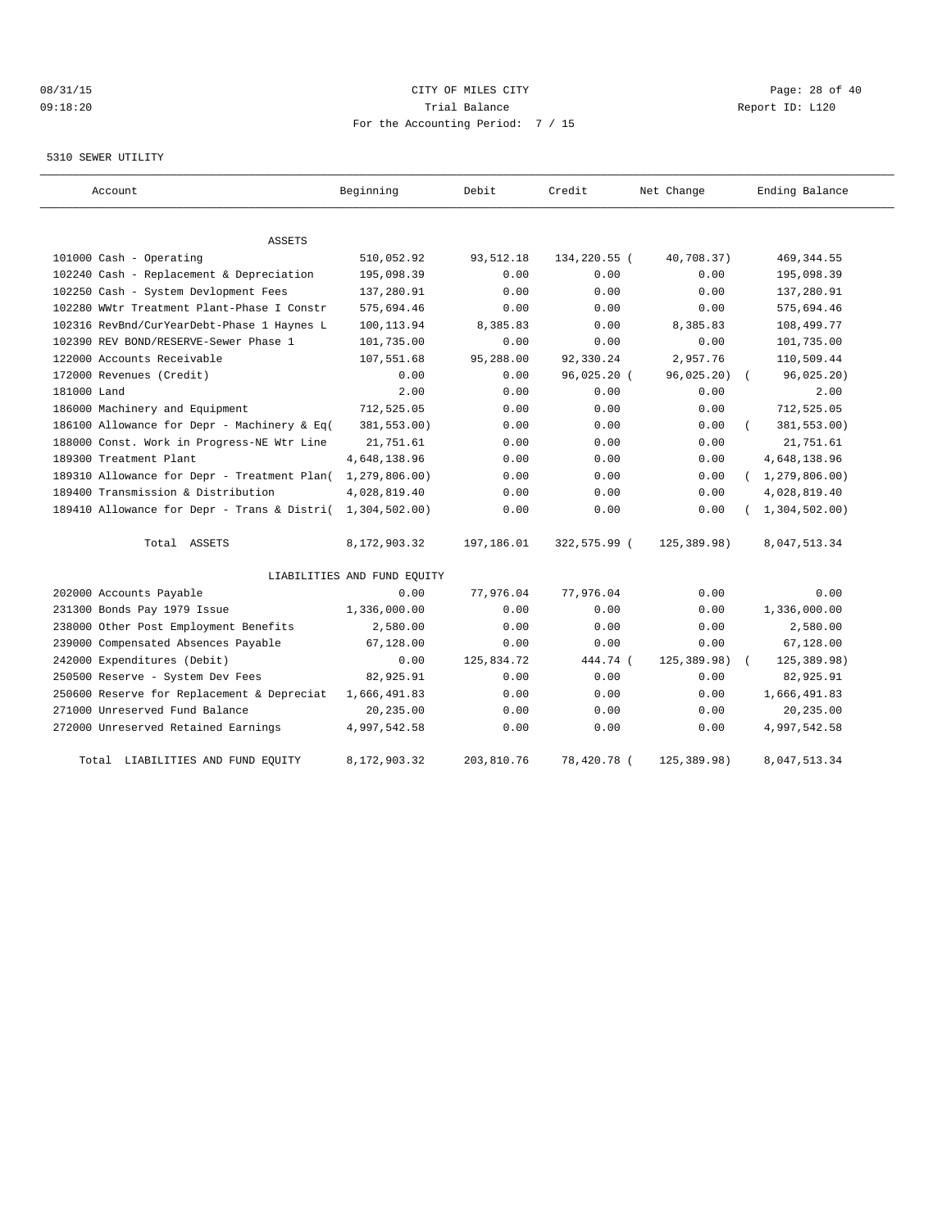# 08/31/15 Page: 28 of 40 09:18:20 Trial Balance Report ID: L120 For the Accounting Period: 7 / 15

### 5310 SEWER UTILITY

| Account                                     | Beginning                   | Debit      | Credit       | Net Change  | Ending Balance   |
|---------------------------------------------|-----------------------------|------------|--------------|-------------|------------------|
| <b>ASSETS</b>                               |                             |            |              |             |                  |
| 101000 Cash - Operating                     | 510,052.92                  | 93,512.18  | 134,220.55 ( | 40,708.37)  | 469, 344.55      |
| 102240 Cash - Replacement & Depreciation    | 195,098.39                  | 0.00       | 0.00         | 0.00        | 195,098.39       |
| 102250 Cash - System Devlopment Fees        | 137,280.91                  | 0.00       | 0.00         | 0.00        | 137,280.91       |
| 102280 WWtr Treatment Plant-Phase I Constr  | 575,694.46                  | 0.00       | 0.00         | 0.00        | 575,694.46       |
| 102316 RevBnd/CurYearDebt-Phase 1 Haynes L  | 100,113.94                  | 8,385.83   | 0.00         | 8,385.83    | 108,499.77       |
| 102390 REV BOND/RESERVE-Sewer Phase 1       | 101,735.00                  | 0.00       | 0.00         | 0.00        | 101,735.00       |
| 122000 Accounts Receivable                  | 107,551.68                  | 95,288.00  | 92,330.24    | 2,957.76    | 110,509.44       |
| 172000 Revenues (Credit)                    | 0.00                        | 0.00       | 96,025.20 (  | 96,025.20)  | 96,025.20)       |
| 181000 Land                                 | 2.00                        | 0.00       | 0.00         | 0.00        | 2.00             |
| 186000 Machinery and Equipment              | 712,525.05                  | 0.00       | 0.00         | 0.00        | 712,525.05       |
| 186100 Allowance for Depr - Machinery & Eq( | 381,553.00)                 | 0.00       | 0.00         | 0.00        | 381,553.00)      |
| 188000 Const. Work in Progress-NE Wtr Line  | 21,751.61                   | 0.00       | 0.00         | 0.00        | 21,751.61        |
| 189300 Treatment Plant                      | 4,648,138.96                | 0.00       | 0.00         | 0.00        | 4,648,138.96     |
| 189310 Allowance for Depr - Treatment Plan( | 1,279,806.00)               | 0.00       | 0.00         | 0.00        | (1, 279, 806.00) |
| 189400 Transmission & Distribution          | 4,028,819.40                | 0.00       | 0.00         | 0.00        | 4,028,819.40     |
| 189410 Allowance for Depr - Trans & Distri( | 1,304,502.00)               | 0.00       | 0.00         | 0.00        | 1,304,502.00)    |
| Total ASSETS                                | 8,172,903.32                | 197,186.01 | 322,575.99 ( | 125,389.98) | 8,047,513.34     |
|                                             | LIABILITIES AND FUND EQUITY |            |              |             |                  |
| 202000 Accounts Payable                     | 0.00                        | 77,976.04  | 77,976.04    | 0.00        | 0.00             |
| 231300 Bonds Pay 1979 Issue                 | 1,336,000.00                | 0.00       | 0.00         | 0.00        | 1,336,000.00     |
| 238000 Other Post Employment Benefits       | 2,580.00                    | 0.00       | 0.00         | 0.00        | 2,580.00         |
| 239000 Compensated Absences Payable         | 67,128.00                   | 0.00       | 0.00         | 0.00        | 67,128.00        |
| 242000 Expenditures (Debit)                 | 0.00                        | 125,834.72 | 444.74 (     | 125,389.98) | 125, 389.98)     |
| 250500 Reserve - System Dev Fees            | 82,925.91                   | 0.00       | 0.00         | 0.00        | 82,925.91        |
| 250600 Reserve for Replacement & Depreciat  | 1,666,491.83                | 0.00       | 0.00         | 0.00        | 1,666,491.83     |
| 271000 Unreserved Fund Balance              | 20,235.00                   | 0.00       | 0.00         | 0.00        | 20,235.00        |
| 272000 Unreserved Retained Earnings         | 4,997,542.58                | 0.00       | 0.00         | 0.00        | 4,997,542.58     |
| Total LIABILITIES AND FUND EQUITY           | 8,172,903.32                | 203,810.76 | 78,420.78 (  | 125,389.98) | 8,047,513.34     |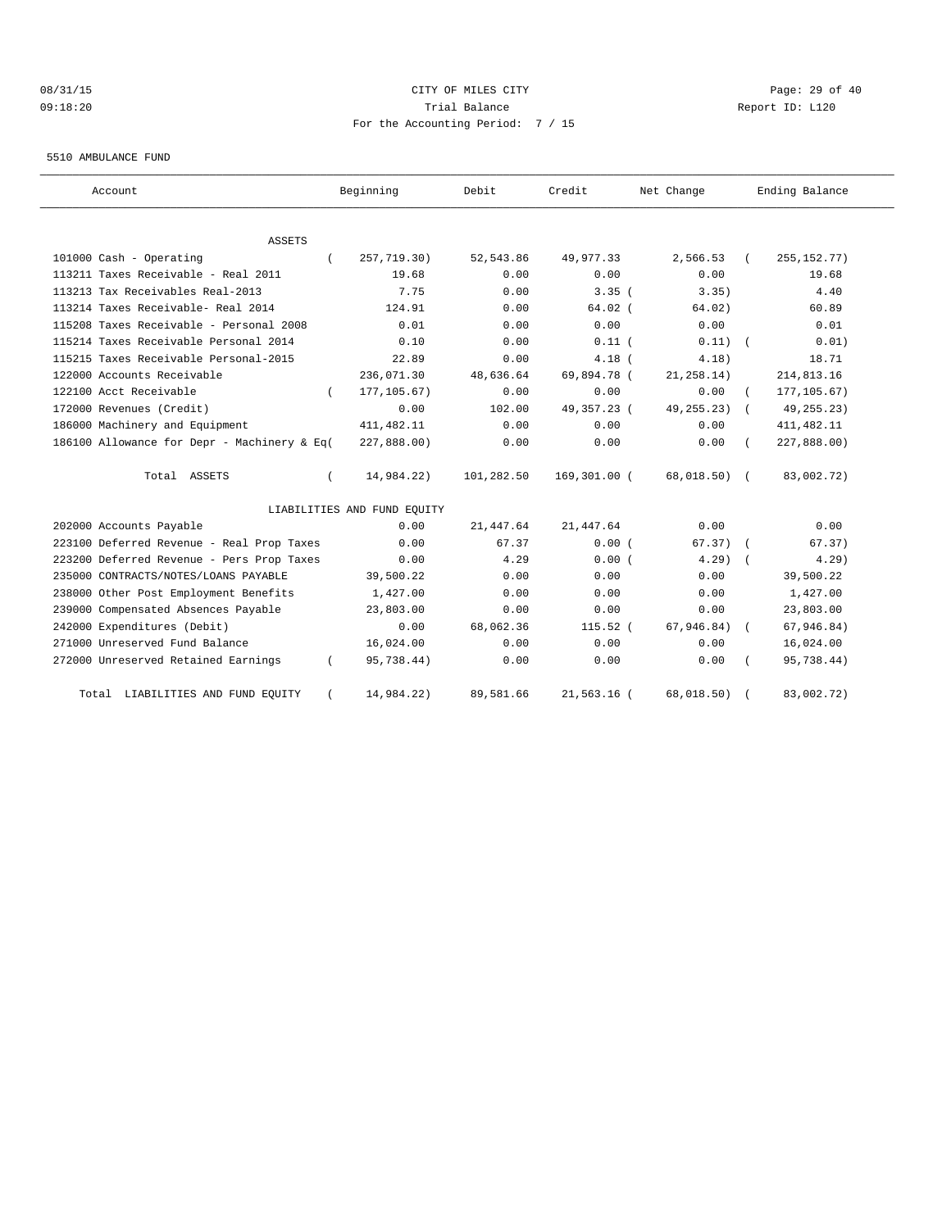# 08/31/15 Page: 29 of 40 09:18:20 Trial Balance Report ID: L120 For the Accounting Period: 7 / 15

#### 5510 AMBULANCE FUND

| Account                                     | Beginning                   | Debit      | Credit       | Net Change     | Ending Balance |
|---------------------------------------------|-----------------------------|------------|--------------|----------------|----------------|
| <b>ASSETS</b>                               |                             |            |              |                |                |
| 101000 Cash - Operating                     | 257,719.30)                 | 52,543.86  | 49,977.33    | 2,566.53       | 255, 152. 77)  |
| 113211 Taxes Receivable - Real 2011         | 19.68                       | 0.00       | 0.00         | 0.00           | 19.68          |
| 113213 Tax Receivables Real-2013            | 7.75                        | 0.00       | 3.35(        | 3.35)          | 4.40           |
| 113214 Taxes Receivable- Real 2014          | 124.91                      | 0.00       | $64.02$ (    | 64.02)         | 60.89          |
| 115208 Taxes Receivable - Personal 2008     | 0.01                        | 0.00       | 0.00         | 0.00           | 0.01           |
| 115214 Taxes Receivable Personal 2014       | 0.10                        | 0.00       | $0.11$ (     | 0.11)          | 0.01)          |
| 115215 Taxes Receivable Personal-2015       | 22.89                       | 0.00       | $4.18$ (     | 4.18)          | 18.71          |
| 122000 Accounts Receivable                  | 236,071.30                  | 48,636.64  | 69,894.78 (  | 21, 258.14)    | 214,813.16     |
| 122100 Acct Receivable                      | 177, 105.67)                | 0.00       | 0.00         | 0.00           | 177, 105.67)   |
| 172000 Revenues (Credit)                    | 0.00                        | 102.00     | 49,357.23 (  | 49, 255. 23)   | 49, 255. 23)   |
| 186000 Machinery and Equipment              | 411, 482.11                 | 0.00       | 0.00         | 0.00           | 411, 482.11    |
| 186100 Allowance for Depr - Machinery & Eq( | 227,888.00)                 | 0.00       | 0.00         | 0.00           | 227,888.00)    |
| Total ASSETS                                | 14,984.22)                  | 101,282.50 | 169,301.00 ( | $68,018.50)$ ( | 83,002.72)     |
|                                             | LIABILITIES AND FUND EQUITY |            |              |                |                |
| 202000 Accounts Payable                     | 0.00                        | 21,447.64  | 21, 447.64   | 0.00           | 0.00           |
| 223100 Deferred Revenue - Real Prop Taxes   | 0.00                        | 67.37      | 0.00(        | $67.37)$ (     | 67.37)         |
| 223200 Deferred Revenue - Pers Prop Taxes   | 0.00                        | 4.29       | 0.00(        | $4.29$ $($     | 4.29           |
| 235000 CONTRACTS/NOTES/LOANS PAYABLE        | 39,500.22                   | 0.00       | 0.00         | 0.00           | 39,500.22      |
| 238000 Other Post Employment Benefits       | 1,427.00                    | 0.00       | 0.00         | 0.00           | 1,427.00       |
| 239000 Compensated Absences Payable         | 23,803.00                   | 0.00       | 0.00         | 0.00           | 23,803.00      |
| 242000 Expenditures (Debit)                 | 0.00                        | 68,062.36  | 115.52 (     | 67, 946.84)    | 67,946.84)     |
| 271000 Unreserved Fund Balance              | 16,024.00                   | 0.00       | 0.00         | 0.00           | 16,024.00      |
| 272000 Unreserved Retained Earnings         | 95,738.44)                  | 0.00       | 0.00         | 0.00           | 95,738.44)     |
| Total LIABILITIES AND FUND EQUITY           | 14,984.22)                  | 89,581.66  | 21,563.16 (  | 68,018.50)     | 83,002.72)     |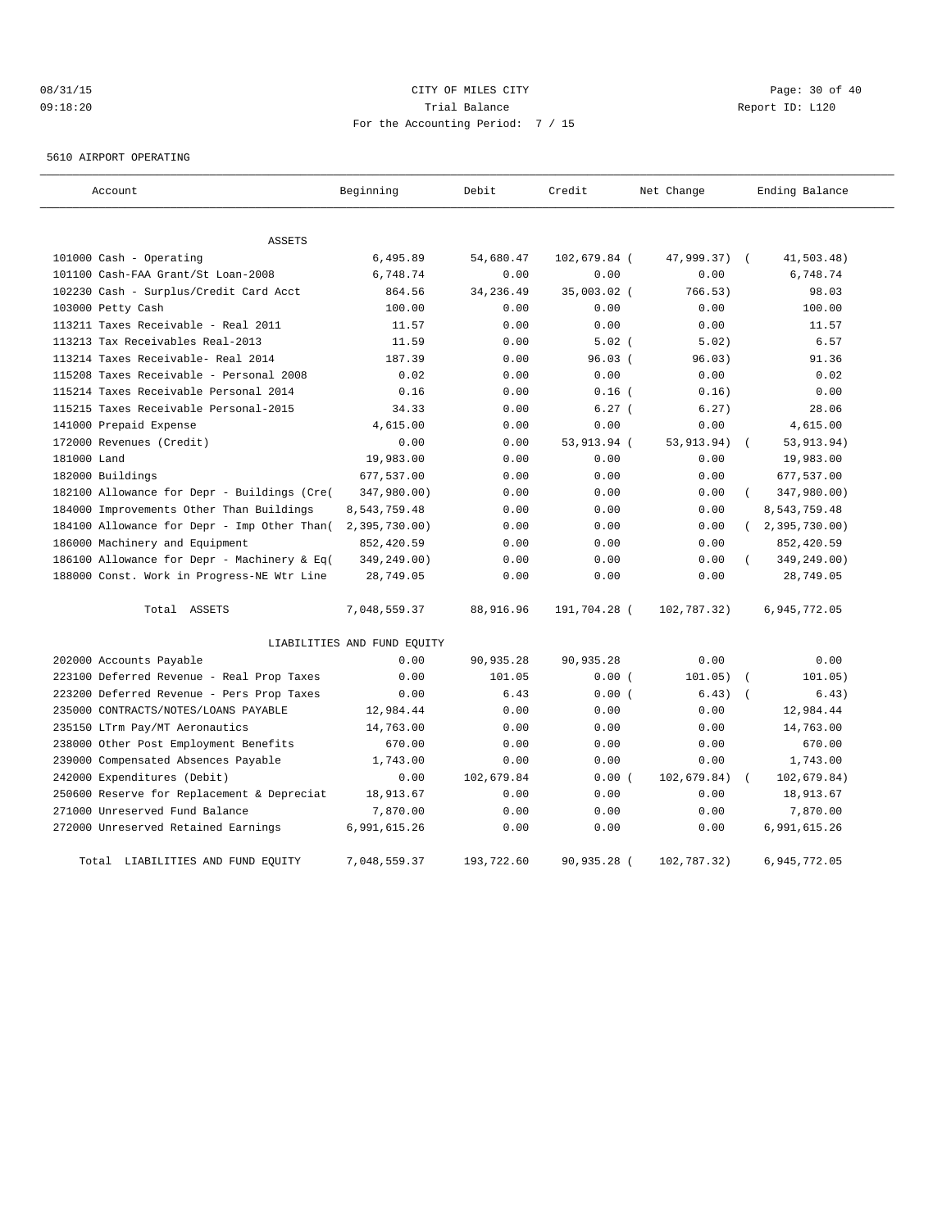# 08/31/15 Page: 30 of 40 09:18:20 Trial Balance Report ID: L120 For the Accounting Period: 7 / 15

5610 AIRPORT OPERATING

| Account                                     | Beginning                   | Debit      | Credit       | Net Change   | Ending Balance          |
|---------------------------------------------|-----------------------------|------------|--------------|--------------|-------------------------|
| <b>ASSETS</b>                               |                             |            |              |              |                         |
| 101000 Cash - Operating                     | 6,495.89                    | 54,680.47  | 102,679.84 ( | 47,999.37) ( | 41,503.48)              |
| 101100 Cash-FAA Grant/St Loan-2008          | 6,748.74                    | 0.00       | 0.00         | 0.00         | 6,748.74                |
| 102230 Cash - Surplus/Credit Card Acct      | 864.56                      | 34, 236.49 | 35,003.02 (  | 766.53)      | 98.03                   |
| 103000 Petty Cash                           | 100.00                      | 0.00       | 0.00         | 0.00         | 100.00                  |
| 113211 Taxes Receivable - Real 2011         | 11.57                       | 0.00       | 0.00         | 0.00         | 11.57                   |
| 113213 Tax Receivables Real-2013            | 11.59                       | 0.00       | $5.02$ (     | 5.02)        | 6.57                    |
| 113214 Taxes Receivable- Real 2014          | 187.39                      | 0.00       | $96.03$ (    | 96.03)       | 91.36                   |
| 115208 Taxes Receivable - Personal 2008     | 0.02                        | 0.00       | 0.00         | 0.00         | 0.02                    |
| 115214 Taxes Receivable Personal 2014       | 0.16                        | 0.00       | $0.16$ (     | 0.16)        | 0.00                    |
| 115215 Taxes Receivable Personal-2015       | 34.33                       | 0.00       | 6.27(        | 6.27)        | 28.06                   |
| 141000 Prepaid Expense                      | 4,615.00                    | 0.00       | 0.00         | 0.00         | 4,615.00                |
| 172000 Revenues (Credit)                    | 0.00                        | 0.00       | 53,913.94 (  | 53, 913. 94) | 53,913.94)              |
| 181000 Land                                 | 19,983.00                   | 0.00       | 0.00         | 0.00         | 19,983.00               |
| 182000 Buildings                            | 677,537.00                  | 0.00       | 0.00         | 0.00         | 677,537.00              |
| 182100 Allowance for Depr - Buildings (Cre( | 347,980.00)                 | 0.00       | 0.00         | 0.00         | 347,980.00)<br>$\left($ |
| 184000 Improvements Other Than Buildings    | 8,543,759.48                | 0.00       | 0.00         | 0.00         | 8,543,759.48            |
| 184100 Allowance for Depr - Imp Other Than( | 2,395,730.00)               | 0.00       | 0.00         | 0.00         | 2, 395, 730.00          |
| 186000 Machinery and Equipment              | 852,420.59                  | 0.00       | 0.00         | 0.00         | 852,420.59              |
| 186100 Allowance for Depr - Machinery & Eq( | 349,249.00)                 | 0.00       | 0.00         | 0.00         | 349,249.00)             |
| 188000 Const. Work in Progress-NE Wtr Line  | 28,749.05                   | 0.00       | 0.00         | 0.00         | 28,749.05               |
| Total ASSETS                                | 7,048,559.37                | 88,916.96  | 191,704.28 ( | 102,787.32)  | 6,945,772.05            |
|                                             | LIABILITIES AND FUND EQUITY |            |              |              |                         |
| 202000 Accounts Payable                     | 0.00                        | 90,935.28  | 90, 935.28   | 0.00         | 0.00                    |
| 223100 Deferred Revenue - Real Prop Taxes   | 0.00                        | 101.05     | 0.00(        | 101.05)      | 101.05)                 |
| 223200 Deferred Revenue - Pers Prop Taxes   | 0.00                        | 6.43       | 0.00(        | 6.43)        | 6.43)                   |
| 235000 CONTRACTS/NOTES/LOANS PAYABLE        | 12,984.44                   | 0.00       | 0.00         | 0.00         | 12,984.44               |
| 235150 LTrm Pay/MT Aeronautics              | 14,763.00                   | 0.00       | 0.00         | 0.00         | 14,763.00               |
| 238000 Other Post Employment Benefits       | 670.00                      | 0.00       | 0.00         | 0.00         | 670.00                  |
| 239000 Compensated Absences Payable         | 1,743.00                    | 0.00       | 0.00         | 0.00         | 1,743.00                |
| 242000 Expenditures (Debit)                 | 0.00                        | 102,679.84 | 0.00(        | 102,679.84)  | 102,679.84)             |
| 250600 Reserve for Replacement & Depreciat  | 18,913.67                   | 0.00       | 0.00         | 0.00         | 18,913.67               |
| 271000 Unreserved Fund Balance              | 7,870.00                    | 0.00       | 0.00         | 0.00         | 7,870.00                |
| 272000 Unreserved Retained Earnings         | 6,991,615.26                | 0.00       | 0.00         | 0.00         | 6,991,615.26            |
| Total LIABILITIES AND FUND EQUITY           | 7,048,559.37                | 193,722.60 | 90,935.28 (  | 102,787.32)  | 6,945,772.05            |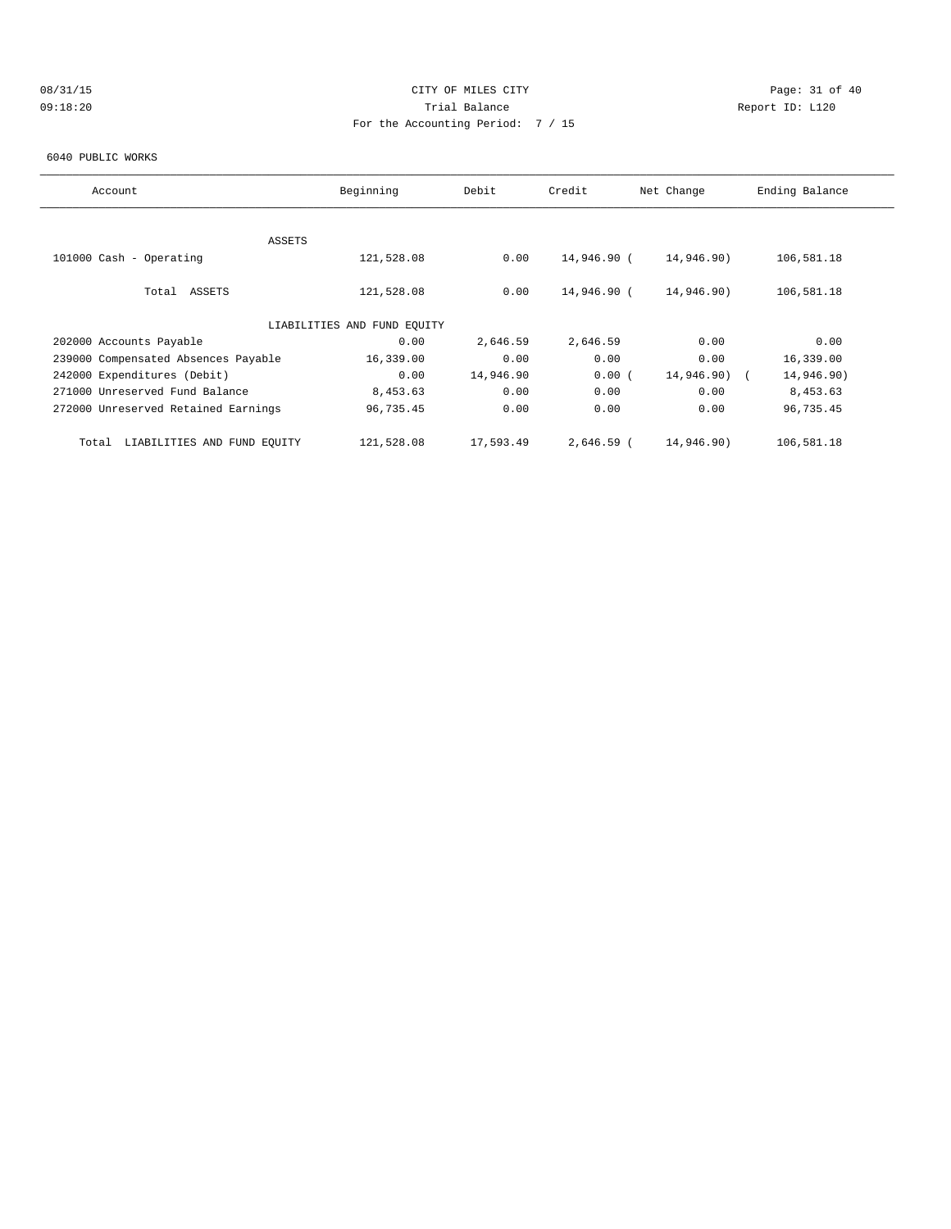# 08/31/15 Page: 31 of 40 09:18:20 Trial Balance Report ID: L120 For the Accounting Period: 7 / 15

### 6040 PUBLIC WORKS

| Account                              | Beginning                   | Debit     | Credit      | Net Change | Ending Balance |
|--------------------------------------|-----------------------------|-----------|-------------|------------|----------------|
|                                      |                             |           |             |            |                |
| ASSETS                               |                             |           |             |            |                |
| 101000 Cash - Operating              | 121,528.08                  | 0.00      | 14,946.90 ( | 14,946.90) | 106,581.18     |
|                                      |                             |           |             |            |                |
| Total ASSETS                         | 121,528.08                  | 0.00      | 14,946.90 ( | 14,946.90) | 106,581.18     |
|                                      |                             |           |             |            |                |
|                                      | LIABILITIES AND FUND EQUITY |           |             |            |                |
| 202000 Accounts Payable              | 0.00                        | 2,646.59  | 2,646.59    | 0.00       | 0.00           |
| 239000 Compensated Absences Payable  | 16,339.00                   | 0.00      | 0.00        | 0.00       | 16,339.00      |
| 242000 Expenditures (Debit)          | 0.00                        | 14,946.90 | 0.00(       | 14,946.90) | 14,946.90)     |
| 271000 Unreserved Fund Balance       | 8,453.63                    | 0.00      | 0.00        | 0.00       | 8,453.63       |
| 272000 Unreserved Retained Earnings  | 96,735.45                   | 0.00      | 0.00        | 0.00       | 96,735.45      |
|                                      |                             |           |             |            |                |
| LIABILITIES AND FUND EOUITY<br>Total | 121,528.08                  | 17,593.49 | 2,646.59 (  | 14,946.90) | 106,581.18     |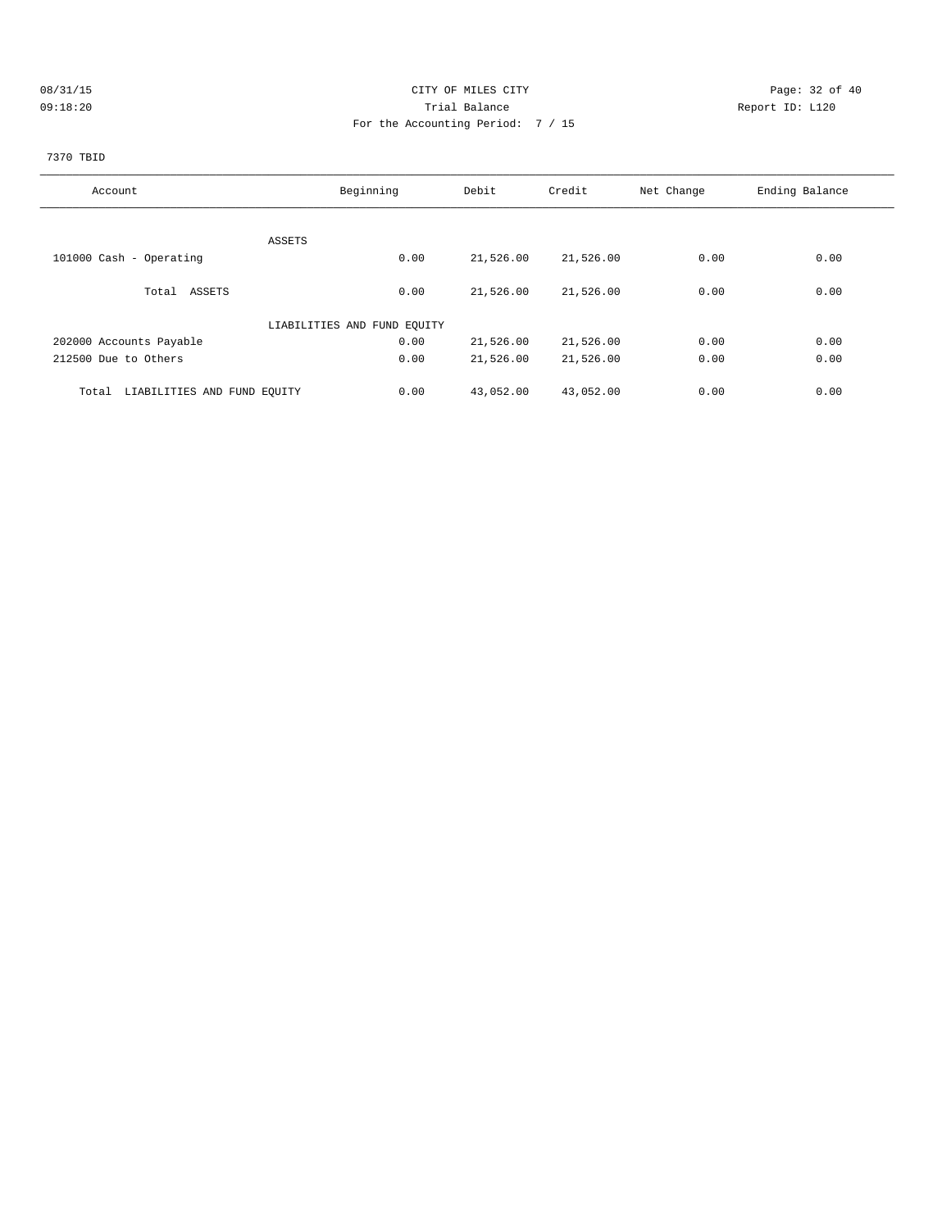# 08/31/15 Page: 32 of 40 09:18:20 Trial Balance Report ID: L120 For the Accounting Period: 7 / 15

# 7370 TBID

| Account                              | Beginning                   | Debit     | Credit    | Net Change | Ending Balance |
|--------------------------------------|-----------------------------|-----------|-----------|------------|----------------|
|                                      |                             |           |           |            |                |
| ASSETS                               |                             |           |           |            |                |
| 101000 Cash - Operating              | 0.00                        | 21,526.00 | 21,526.00 | 0.00       | 0.00           |
| Total ASSETS                         | 0.00                        | 21,526.00 | 21,526.00 | 0.00       | 0.00           |
|                                      | LIABILITIES AND FUND EQUITY |           |           |            |                |
| 202000 Accounts Payable              | 0.00                        | 21,526.00 | 21,526.00 | 0.00       | 0.00           |
| 212500 Due to Others                 | 0.00                        | 21,526.00 | 21,526.00 | 0.00       | 0.00           |
| LIABILITIES AND FUND EQUITY<br>Total | 0.00                        | 43,052.00 | 43,052.00 | 0.00       | 0.00           |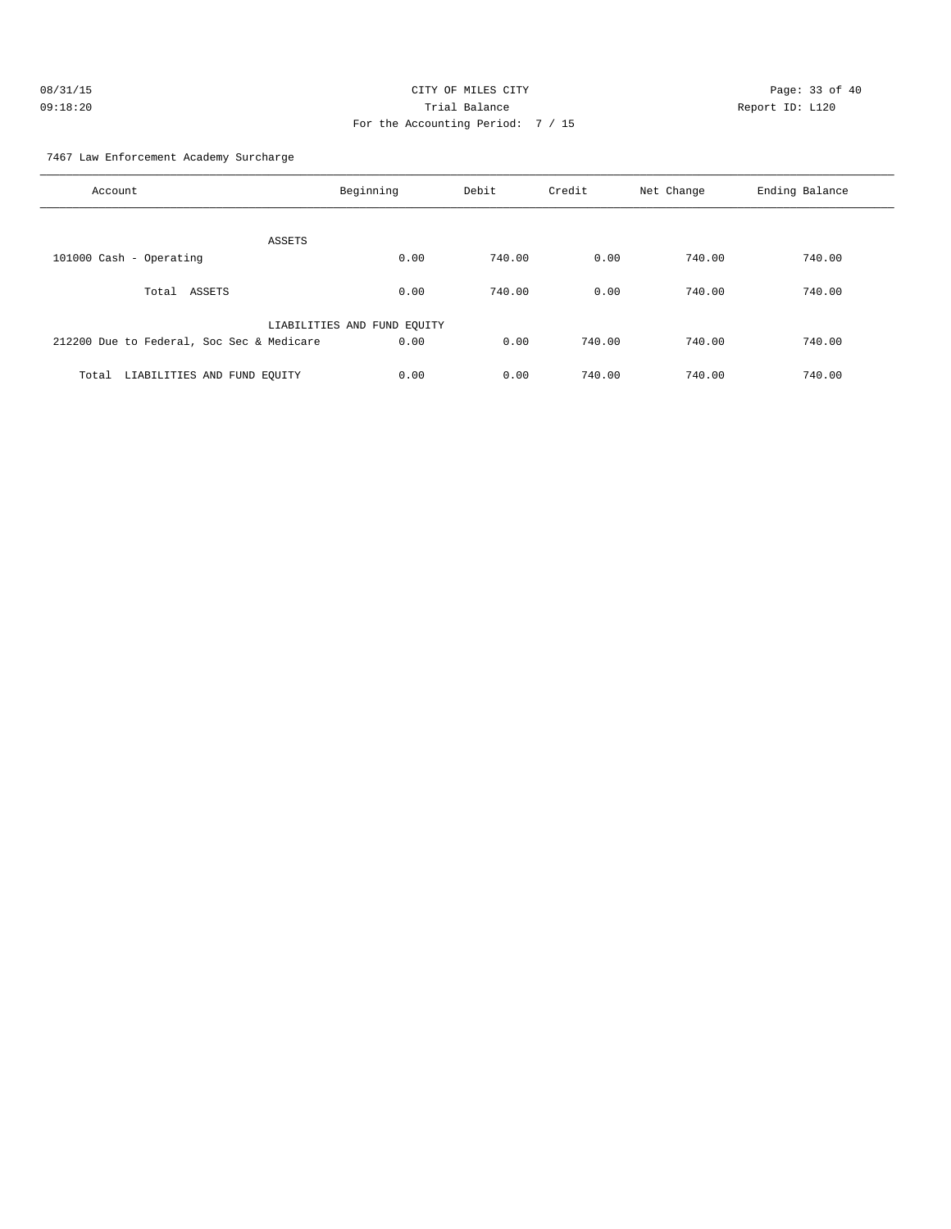| 08/31/15 | CITY OF MILES CITY                |   |
|----------|-----------------------------------|---|
| 09:18:20 | Trial Balance                     | R |
|          | For the Accounting Period: 7 / 15 |   |

Page: 33 of 40 Report ID: L120

7467 Law Enforcement Academy Surcharge

| Account                                   | Beginning                   | Debit  | Credit | Net Change | Ending Balance |
|-------------------------------------------|-----------------------------|--------|--------|------------|----------------|
| ASSETS                                    |                             |        |        |            |                |
| 101000 Cash - Operating                   | 0.00                        | 740.00 | 0.00   | 740.00     | 740.00         |
| ASSETS<br>Total                           | 0.00                        | 740.00 | 0.00   | 740.00     | 740.00         |
|                                           | LIABILITIES AND FUND EQUITY |        |        |            |                |
| 212200 Due to Federal, Soc Sec & Medicare | 0.00                        | 0.00   | 740.00 | 740.00     | 740.00         |
| LIABILITIES AND FUND EQUITY<br>Total      | 0.00                        | 0.00   | 740.00 | 740.00     | 740.00         |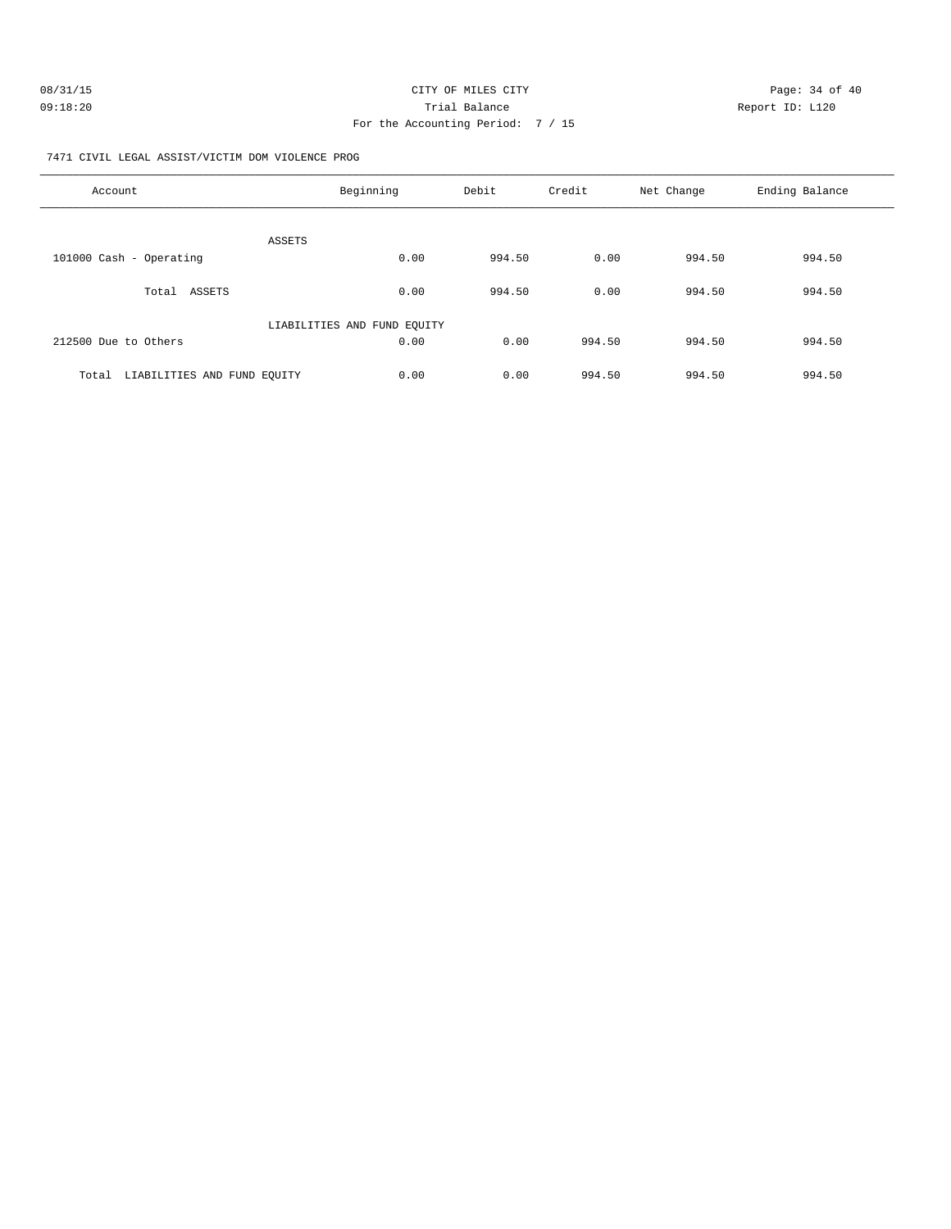| 08/31/15 | CITY OF MILES CITY                | Page: 34 of 40  |
|----------|-----------------------------------|-----------------|
| 09:18:20 | Trial Balance                     | Report ID: L120 |
|          | For the Accounting Period: 7 / 15 |                 |

7471 CIVIL LEGAL ASSIST/VICTIM DOM VIOLENCE PROG

| Account                              | Beginning                   | Debit  | Credit | Net Change | Ending Balance |
|--------------------------------------|-----------------------------|--------|--------|------------|----------------|
| ASSETS                               |                             |        |        |            |                |
| 101000 Cash - Operating              | 0.00                        | 994.50 | 0.00   | 994.50     | 994.50         |
| ASSETS<br>Total                      | 0.00                        | 994.50 | 0.00   | 994.50     | 994.50         |
|                                      | LIABILITIES AND FUND EQUITY |        |        |            |                |
| 212500 Due to Others                 | 0.00                        | 0.00   | 994.50 | 994.50     | 994.50         |
| LIABILITIES AND FUND EQUITY<br>Total | 0.00                        | 0.00   | 994.50 | 994.50     | 994.50         |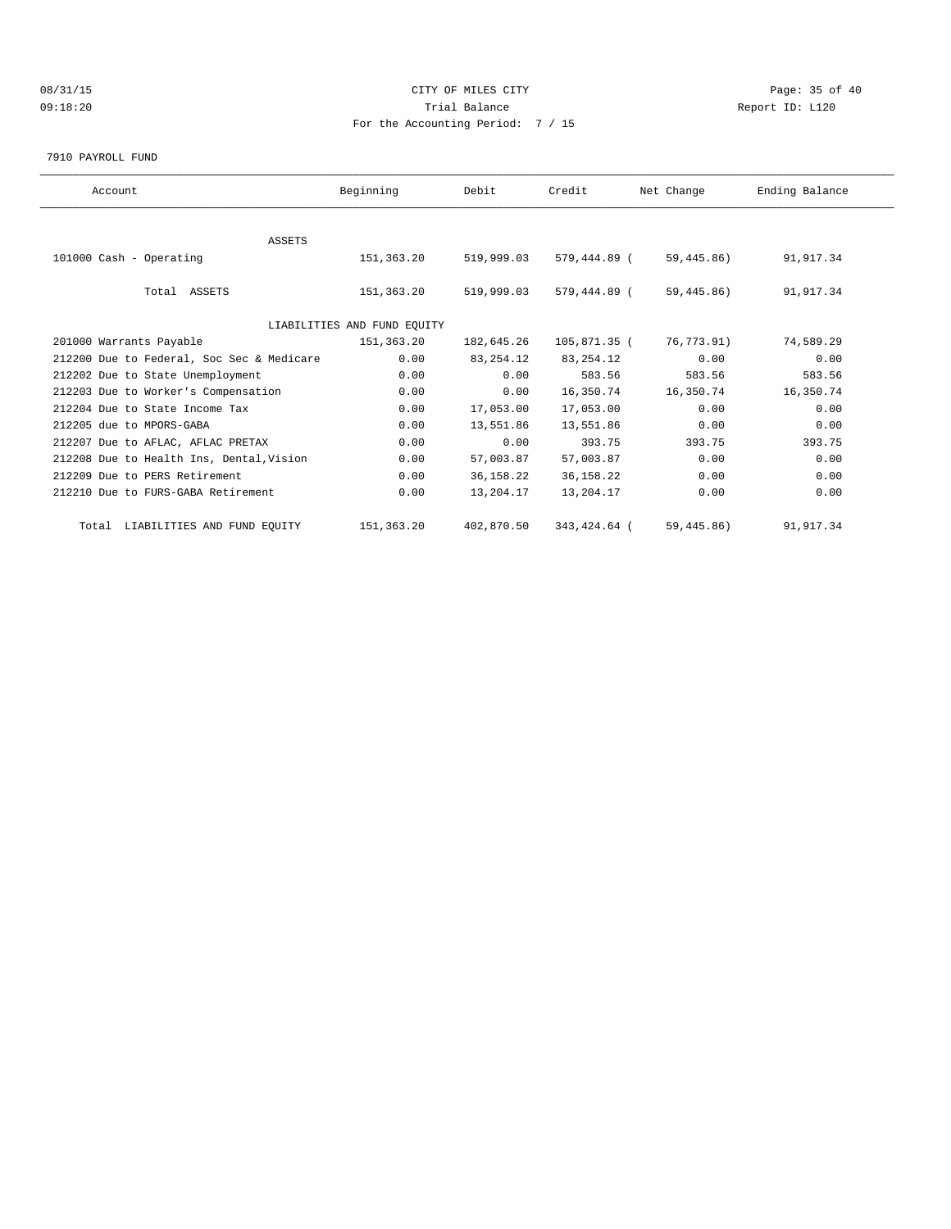# 08/31/15 Page: 35 of 40 09:18:20 Trial Balance Report ID: L120 For the Accounting Period: 7 / 15

7910 PAYROLL FUND

| Account                                   | Beginning                   | Debit       | Credit       | Net Change  | Ending Balance |  |
|-------------------------------------------|-----------------------------|-------------|--------------|-------------|----------------|--|
|                                           |                             |             |              |             |                |  |
| ASSETS                                    |                             |             |              |             |                |  |
| 101000 Cash - Operating                   | 151,363.20                  | 519,999.03  | 579,444.89 ( | 59,445.86)  | 91,917.34      |  |
|                                           |                             |             |              |             |                |  |
| Total ASSETS                              | 151,363.20                  | 519,999.03  | 579,444.89 ( | 59,445.86)  | 91,917.34      |  |
|                                           |                             |             |              |             |                |  |
|                                           | LIABILITIES AND FUND EOUITY |             |              |             |                |  |
| 201000 Warrants Payable                   | 151,363.20                  | 182,645.26  | 105,871.35 ( | 76,773.91)  | 74,589.29      |  |
| 212200 Due to Federal, Soc Sec & Medicare | 0.00                        | 83, 254. 12 | 83, 254. 12  | 0.00        | 0.00           |  |
| 212202 Due to State Unemployment          | 0.00                        | 0.00        | 583.56       | 583.56      | 583.56         |  |
| 212203 Due to Worker's Compensation       | 0.00                        | 0.00        | 16,350.74    | 16,350.74   | 16,350.74      |  |
| 212204 Due to State Income Tax            | 0.00                        | 17,053.00   | 17,053.00    | 0.00        | 0.00           |  |
| 212205 due to MPORS-GABA                  | 0.00                        | 13,551.86   | 13,551.86    | 0.00        | 0.00           |  |
| 212207 Due to AFLAC, AFLAC PRETAX         | 0.00                        | 0.00        | 393.75       | 393.75      | 393.75         |  |
| 212208 Due to Health Ins, Dental, Vision  | 0.00                        | 57,003.87   | 57,003.87    | 0.00        | 0.00           |  |
| 212209 Due to PERS Retirement             | 0.00                        | 36, 158. 22 | 36, 158. 22  | 0.00        | 0.00           |  |
| 212210 Due to FURS-GABA Retirement        | 0.00                        | 13,204.17   | 13,204.17    | 0.00        | 0.00           |  |
|                                           |                             |             |              |             |                |  |
| Total LIABILITIES AND FUND EQUITY         | 151, 363, 20                | 402,870.50  | 343,424.64 ( | 59, 445.86) | 91,917.34      |  |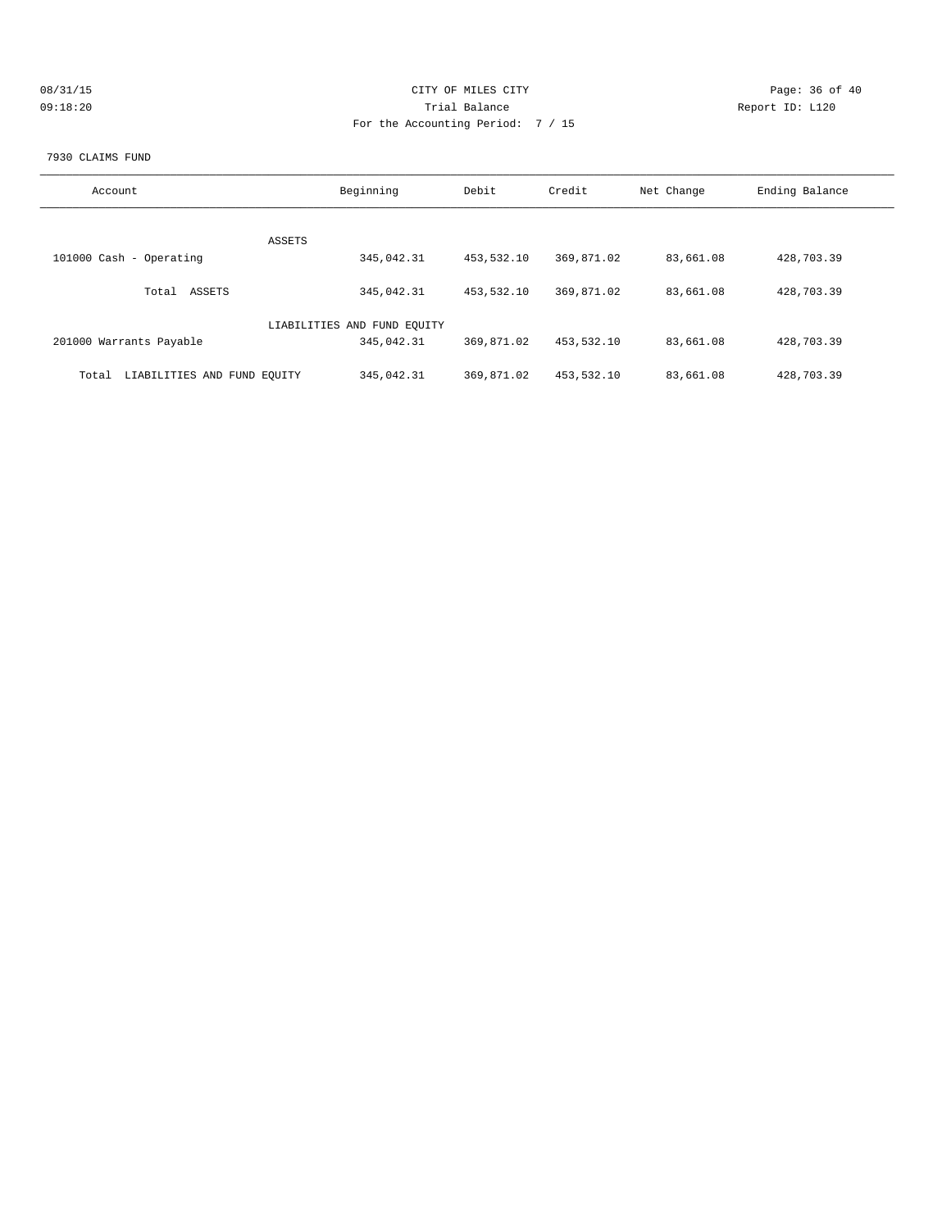| 08/31/15 | CITY OF MILES CITY | Page: 36 of 40  |
|----------|--------------------|-----------------|
| 09:18:20 | Trial Balance      | Report ID: L120 |
|          |                    |                 |
|          |                    |                 |

### 7930 CLAIMS FUND

| Account                              | Beginning                   | Debit      | Credit     | Net Change | Ending Balance |
|--------------------------------------|-----------------------------|------------|------------|------------|----------------|
|                                      |                             |            |            |            |                |
|                                      | ASSETS                      |            |            |            |                |
| 101000 Cash - Operating              | 345,042.31                  | 453,532.10 | 369,871.02 | 83,661.08  | 428,703.39     |
|                                      |                             |            |            |            |                |
| ASSETS<br>Total                      | 345,042.31                  | 453,532.10 | 369,871.02 | 83,661.08  | 428,703.39     |
|                                      |                             |            |            |            |                |
|                                      | LIABILITIES AND FUND EQUITY |            |            |            |                |
| 201000 Warrants Payable              | 345,042.31                  | 369,871.02 | 453,532.10 | 83,661.08  | 428,703.39     |
|                                      |                             |            |            |            |                |
| LIABILITIES AND FUND EQUITY<br>Total | 345,042.31                  | 369,871.02 | 453,532.10 | 83,661.08  | 428,703.39     |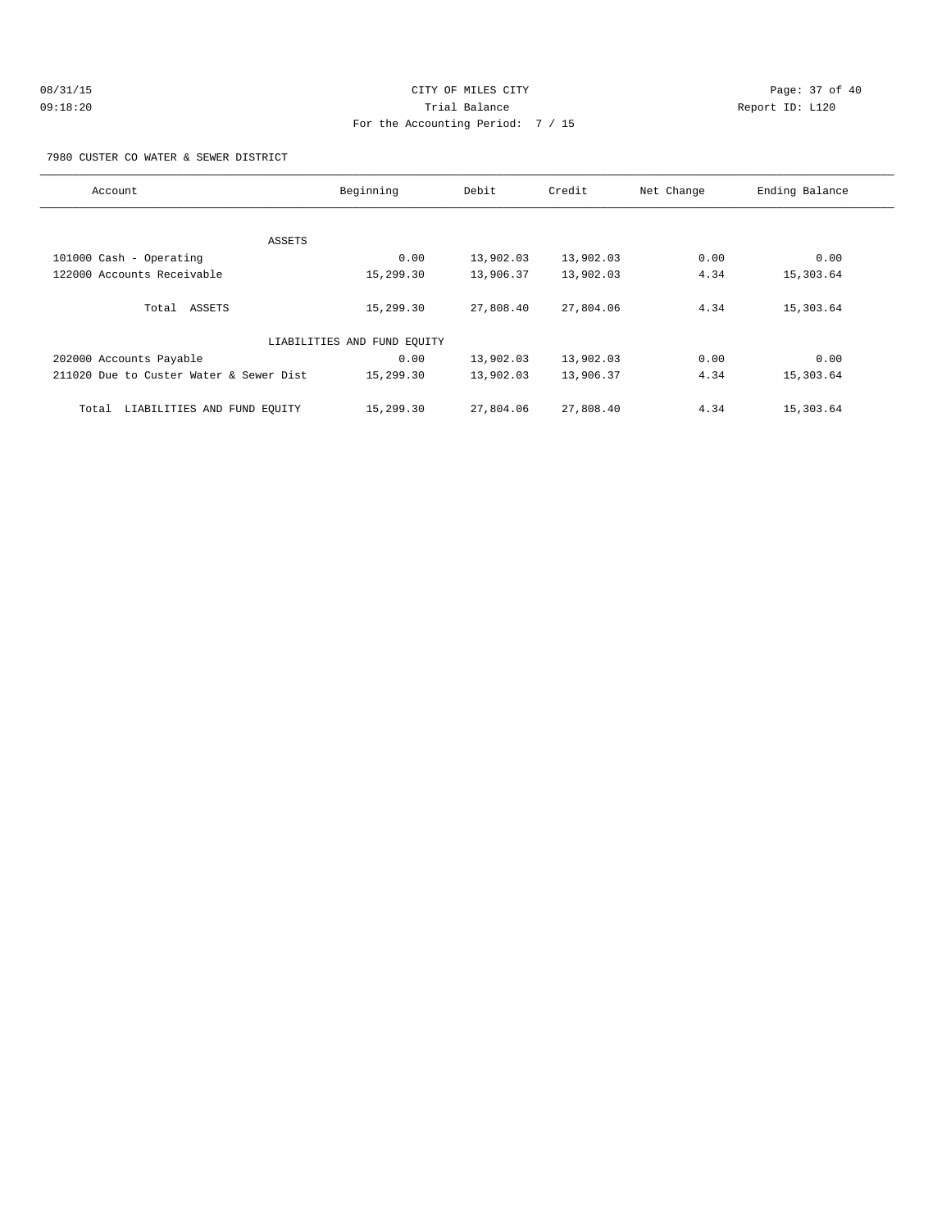# 08/31/15 Page: 37 of 40 09:18:20 Trial Balance Report ID: L120 For the Accounting Period: 7 / 15

7980 CUSTER CO WATER & SEWER DISTRICT

| Account                                 | Beginning                   | Debit     | Credit    | Net Change | Ending Balance |
|-----------------------------------------|-----------------------------|-----------|-----------|------------|----------------|
|                                         |                             |           |           |            |                |
|                                         | ASSETS                      |           |           |            |                |
| 101000 Cash - Operating                 | 0.00                        | 13,902.03 | 13,902.03 | 0.00       | 0.00           |
| 122000 Accounts Receivable              | 15,299.30                   | 13,906.37 | 13,902.03 | 4.34       | 15,303.64      |
| Total ASSETS                            | 15,299.30                   | 27,808.40 | 27,804.06 | 4.34       | 15,303.64      |
|                                         | LIABILITIES AND FUND EQUITY |           |           |            |                |
| 202000 Accounts Payable                 | 0.00                        | 13,902.03 | 13,902.03 | 0.00       | 0.00           |
| 211020 Due to Custer Water & Sewer Dist | 15,299.30                   | 13,902.03 | 13,906.37 | 4.34       | 15,303.64      |
| LIABILITIES AND FUND EQUITY<br>Total    | 15,299.30                   | 27,804.06 | 27,808.40 | 4.34       | 15,303.64      |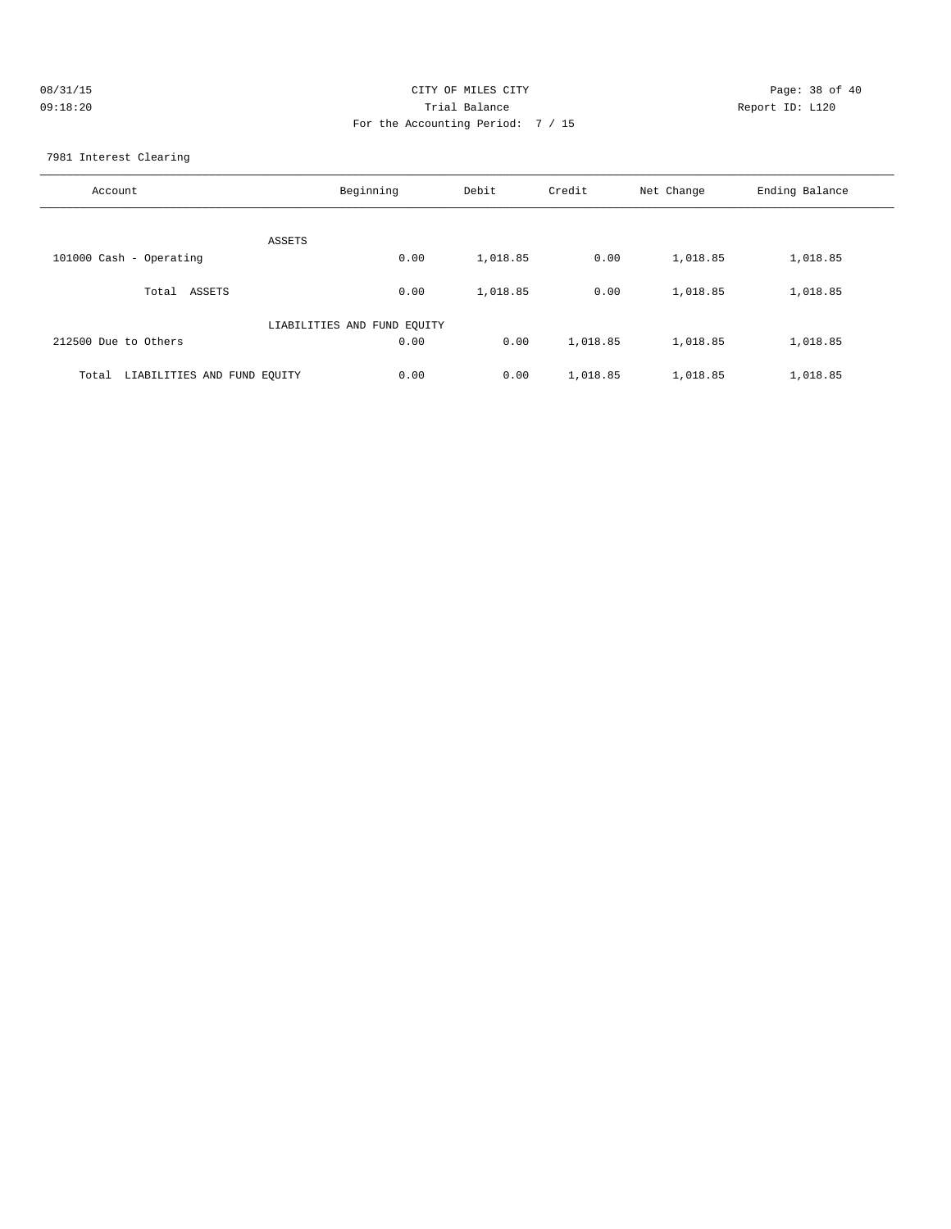| 08/31/15 | CITY OF MILES CITY                | Page: 38 of 40  |
|----------|-----------------------------------|-----------------|
| 09:18:20 | Trial Balance                     | Report ID: L120 |
|          | For the Accounting Period: 7 / 15 |                 |

7981 Interest Clearing

| Account                              | Beginning                   | Debit    | Credit   | Net Change | Ending Balance |
|--------------------------------------|-----------------------------|----------|----------|------------|----------------|
| ASSETS                               |                             |          |          |            |                |
| 101000 Cash - Operating              | 0.00                        | 1,018.85 | 0.00     | 1,018.85   | 1,018.85       |
| ASSETS<br>Total                      | 0.00                        | 1,018.85 | 0.00     | 1,018.85   | 1,018.85       |
|                                      | LIABILITIES AND FUND EQUITY |          |          |            |                |
| 212500 Due to Others                 | 0.00                        | 0.00     | 1,018.85 | 1,018.85   | 1,018.85       |
| LIABILITIES AND FUND EQUITY<br>Total | 0.00                        | 0.00     | 1,018.85 | 1,018.85   | 1,018.85       |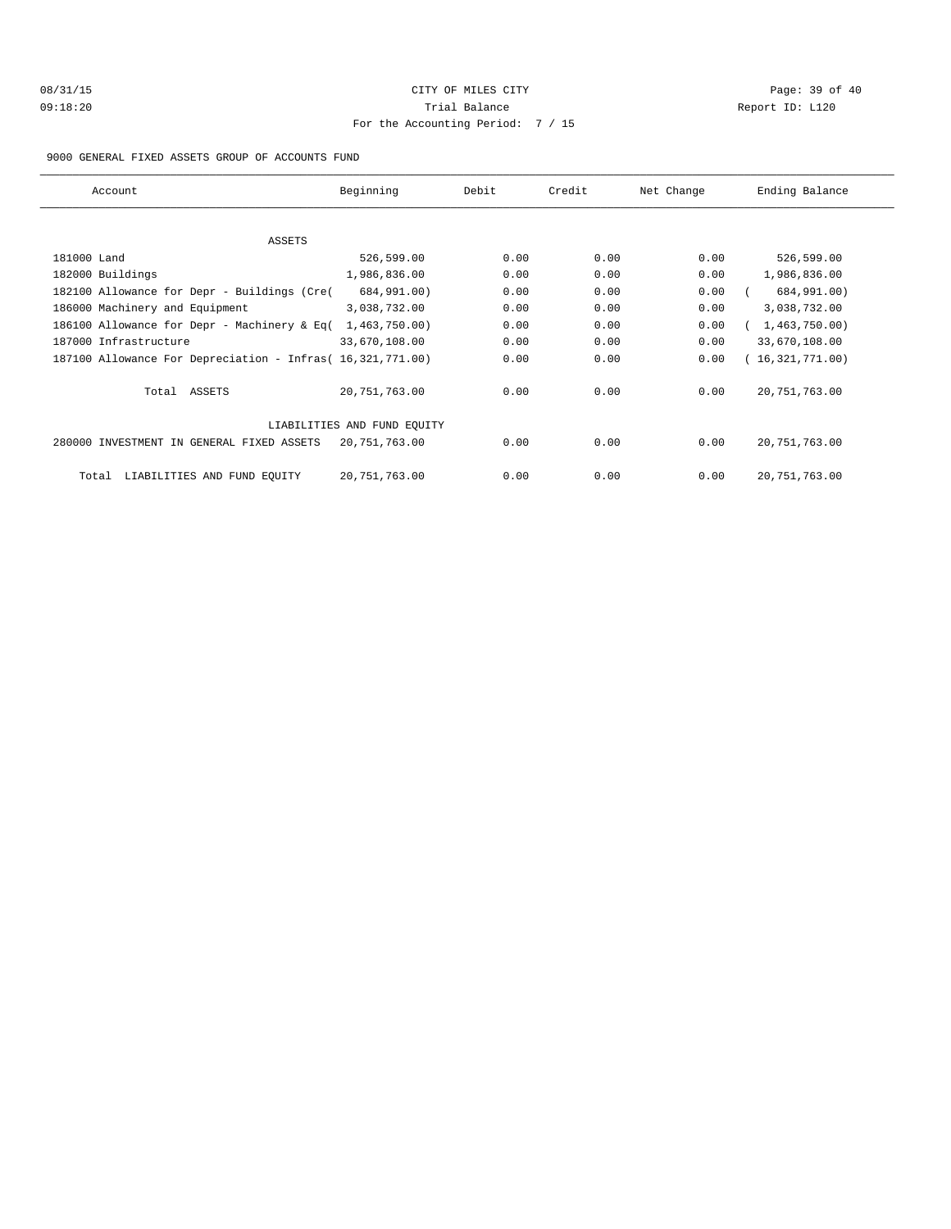# 08/31/15 Page: 39 of 40 09:18:20 Trial Balance Report ID: L120 For the Accounting Period: 7 / 15

### 9000 GENERAL FIXED ASSETS GROUP OF ACCOUNTS FUND

| Account                                                    | Beginning                   | Debit | Credit | Net Change | Ending Balance  |
|------------------------------------------------------------|-----------------------------|-------|--------|------------|-----------------|
|                                                            |                             |       |        |            |                 |
| ASSETS                                                     |                             |       |        |            |                 |
| 181000 Land                                                | 526,599.00                  | 0.00  | 0.00   | 0.00       | 526,599.00      |
| 182000 Buildings                                           | 1,986,836.00                | 0.00  | 0.00   | 0.00       | 1,986,836.00    |
| 182100 Allowance for Depr - Buildings (Cre(                | 684,991.00)                 | 0.00  | 0.00   | 0.00       | 684,991.00)     |
| 186000 Machinery and Equipment                             | 3,038,732.00                | 0.00  | 0.00   | 0.00       | 3,038,732.00    |
| 186100 Allowance for Depr - Machinery & Eq(                | 1,463,750.00)               | 0.00  | 0.00   | 0.00       | 1,463,750.00)   |
| 187000 Infrastructure                                      | 33,670,108.00               | 0.00  | 0.00   | 0.00       | 33,670,108.00   |
| 187100 Allowance For Depreciation - Infras( 16,321,771.00) |                             | 0.00  | 0.00   | 0.00       | (16,321,771.00) |
| Total ASSETS                                               | 20,751,763.00               | 0.00  | 0.00   | 0.00       | 20, 751, 763.00 |
|                                                            | LIABILITIES AND FUND EQUITY |       |        |            |                 |
| 280000 INVESTMENT IN GENERAL FIXED ASSETS                  | 20,751,763.00               | 0.00  | 0.00   | 0.00       | 20, 751, 763.00 |
| LIABILITIES AND FUND EQUITY<br>Total                       | 20,751,763.00               | 0.00  | 0.00   | 0.00       | 20, 751, 763.00 |